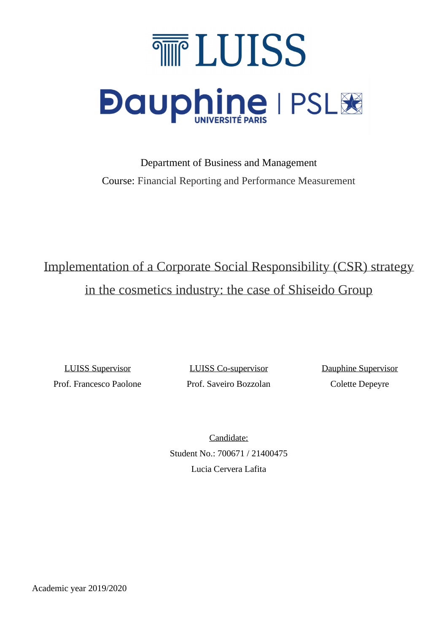

Department of Business and Management Course: Financial Reporting and Performance Measurement

# Implementation of a Corporate Social Responsibility (CSR) strategy in the cosmetics industry: the case of Shiseido Group

Prof. Francesco Paolone Prof. Saveiro Bozzolan Colette Depeyre

LUISS Supervisor LUISS Co-supervisor Dauphine Supervisor

Candidate: Student No.: 700671 / 21400475 Lucia Cervera Lafita

Academic year 2019/2020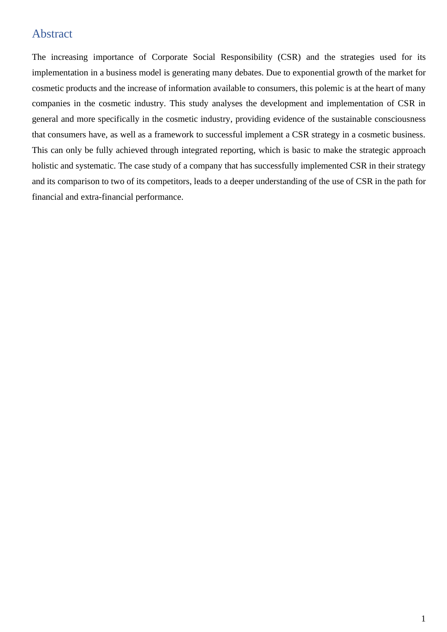# <span id="page-1-0"></span>Abstract

The increasing importance of Corporate Social Responsibility (CSR) and the strategies used for its implementation in a business model is generating many debates. Due to exponential growth of the market for cosmetic products and the increase of information available to consumers, this polemic is at the heart of many companies in the cosmetic industry. This study analyses the development and implementation of CSR in general and more specifically in the cosmetic industry, providing evidence of the sustainable consciousness that consumers have, as well as a framework to successful implement a CSR strategy in a cosmetic business. This can only be fully achieved through integrated reporting, which is basic to make the strategic approach holistic and systematic. The case study of a company that has successfully implemented CSR in their strategy and its comparison to two of its competitors, leads to a deeper understanding of the use of CSR in the path for financial and extra-financial performance.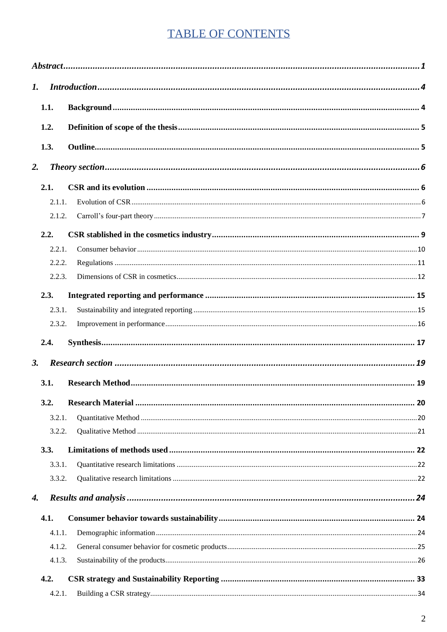# **TABLE OF CONTENTS**

| $\mathbf{I}$ . |        |  |  |  |  |
|----------------|--------|--|--|--|--|
|                | 1.1.   |  |  |  |  |
| 1.2.           |        |  |  |  |  |
|                | 1.3.   |  |  |  |  |
| 2.             |        |  |  |  |  |
|                | 2.1.   |  |  |  |  |
|                | 2.1.1. |  |  |  |  |
|                | 2.1.2. |  |  |  |  |
|                | 2.2.   |  |  |  |  |
|                | 2.2.1. |  |  |  |  |
|                | 2.2.2. |  |  |  |  |
|                | 2.2.3. |  |  |  |  |
|                | 2.3.   |  |  |  |  |
|                | 2.3.1. |  |  |  |  |
|                | 2.3.2. |  |  |  |  |
|                | 2.4.   |  |  |  |  |
| 3.             |        |  |  |  |  |
|                | 3.1.   |  |  |  |  |
|                | 3.2.   |  |  |  |  |
|                | 3.2.1. |  |  |  |  |
|                | 3.2.2. |  |  |  |  |
|                | 3.3.   |  |  |  |  |
|                | 3.3.1. |  |  |  |  |
|                | 3.3.2. |  |  |  |  |
| 4.             |        |  |  |  |  |
|                | 4.1.   |  |  |  |  |
|                | 4.1.1. |  |  |  |  |
|                | 4.1.2. |  |  |  |  |
|                | 4.1.3. |  |  |  |  |
|                | 4.2.   |  |  |  |  |
|                | 4.2.1. |  |  |  |  |
|                |        |  |  |  |  |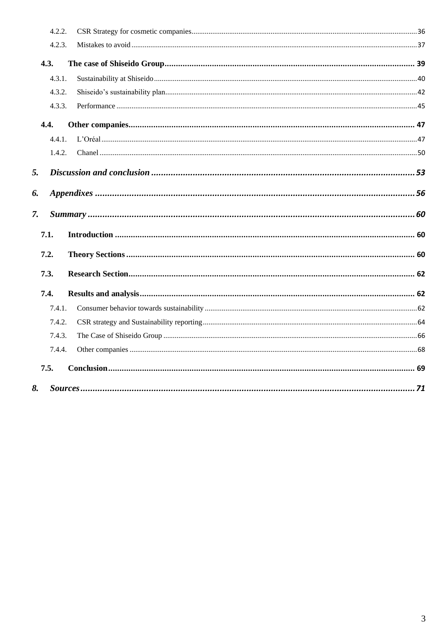| 4.2.2. |  |
|--------|--|
| 4.2.3. |  |
| 4.3.   |  |
| 4.3.1. |  |
| 4.3.2. |  |
| 4.3.3. |  |
| 4.4.   |  |
| 4.4.1. |  |
| 1.4.2. |  |
| 5.     |  |
| 6.     |  |
|        |  |
| 7.     |  |
| 7.1.   |  |
| 7.2.   |  |
| 7.3.   |  |
| 7.4.   |  |
| 7.4.1. |  |
| 7.4.2. |  |
| 7.4.3. |  |
| 7.4.4. |  |
| 7.5.   |  |
| 8.     |  |
|        |  |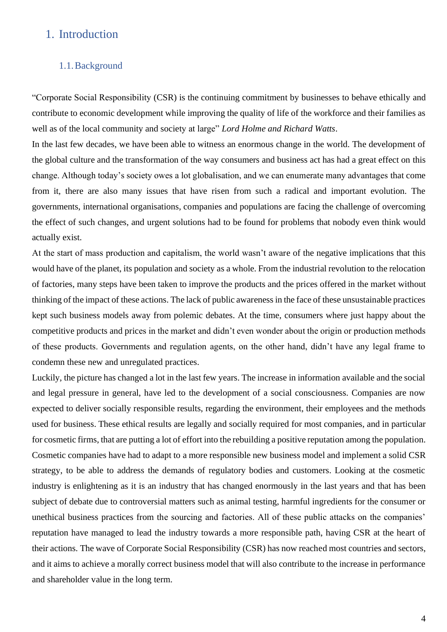# <span id="page-4-0"></span>1. Introduction

## <span id="page-4-1"></span>1.1.Background

"Corporate Social Responsibility (CSR) is the continuing commitment by businesses to behave ethically and contribute to economic development while improving the quality of life of the workforce and their families as well as of the local community and society at large" *Lord Holme and Richard Watts*.

In the last few decades, we have been able to witness an enormous change in the world. The development of the global culture and the transformation of the way consumers and business act has had a great effect on this change. Although today's society owes a lot globalisation, and we can enumerate many advantages that come from it, there are also many issues that have risen from such a radical and important evolution. The governments, international organisations, companies and populations are facing the challenge of overcoming the effect of such changes, and urgent solutions had to be found for problems that nobody even think would actually exist.

At the start of mass production and capitalism, the world wasn't aware of the negative implications that this would have of the planet, its population and society as a whole. From the industrial revolution to the relocation of factories, many steps have been taken to improve the products and the prices offered in the market without thinking of the impact of these actions. The lack of public awareness in the face of these unsustainable practices kept such business models away from polemic debates. At the time, consumers where just happy about the competitive products and prices in the market and didn't even wonder about the origin or production methods of these products. Governments and regulation agents, on the other hand, didn't have any legal frame to condemn these new and unregulated practices.

Luckily, the picture has changed a lot in the last few years. The increase in information available and the social and legal pressure in general, have led to the development of a social consciousness. Companies are now expected to deliver socially responsible results, regarding the environment, their employees and the methods used for business. These ethical results are legally and socially required for most companies, and in particular for cosmetic firms, that are putting a lot of effort into the rebuilding a positive reputation among the population. Cosmetic companies have had to adapt to a more responsible new business model and implement a solid CSR strategy, to be able to address the demands of regulatory bodies and customers. Looking at the cosmetic industry is enlightening as it is an industry that has changed enormously in the last years and that has been subject of debate due to controversial matters such as animal testing, harmful ingredients for the consumer or unethical business practices from the sourcing and factories. All of these public attacks on the companies' reputation have managed to lead the industry towards a more responsible path, having CSR at the heart of their actions. The wave of Corporate Social Responsibility (CSR) has now reached most countries and sectors, and it aims to achieve a morally correct business model that will also contribute to the increase in performance and shareholder value in the long term.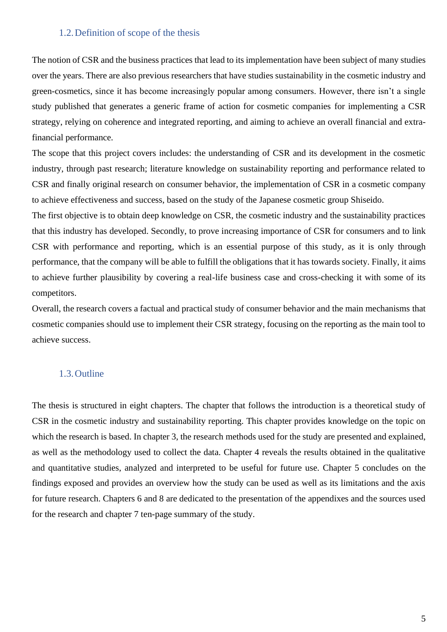## 1.2.Definition of scope of the thesis

<span id="page-5-0"></span>The notion of CSR and the business practices that lead to its implementation have been subject of many studies over the years. There are also previous researchers that have studies sustainability in the cosmetic industry and green-cosmetics, since it has become increasingly popular among consumers. However, there isn't a single study published that generates a generic frame of action for cosmetic companies for implementing a CSR strategy, relying on coherence and integrated reporting, and aiming to achieve an overall financial and extrafinancial performance.

The scope that this project covers includes: the understanding of CSR and its development in the cosmetic industry, through past research; literature knowledge on sustainability reporting and performance related to CSR and finally original research on consumer behavior, the implementation of CSR in a cosmetic company to achieve effectiveness and success, based on the study of the Japanese cosmetic group Shiseido.

The first objective is to obtain deep knowledge on CSR, the cosmetic industry and the sustainability practices that this industry has developed. Secondly, to prove increasing importance of CSR for consumers and to link CSR with performance and reporting, which is an essential purpose of this study, as it is only through performance, that the company will be able to fulfill the obligations that it has towards society. Finally, it aims to achieve further plausibility by covering a real-life business case and cross-checking it with some of its competitors.

Overall, the research covers a factual and practical study of consumer behavior and the main mechanisms that cosmetic companies should use to implement their CSR strategy, focusing on the reporting as the main tool to achieve success.

## <span id="page-5-1"></span>1.3.Outline

The thesis is structured in eight chapters. The chapter that follows the introduction is a theoretical study of CSR in the cosmetic industry and sustainability reporting. This chapter provides knowledge on the topic on which the research is based. In chapter 3, the research methods used for the study are presented and explained, as well as the methodology used to collect the data. Chapter 4 reveals the results obtained in the qualitative and quantitative studies, analyzed and interpreted to be useful for future use. Chapter 5 concludes on the findings exposed and provides an overview how the study can be used as well as its limitations and the axis for future research. Chapters 6 and 8 are dedicated to the presentation of the appendixes and the sources used for the research and chapter 7 ten-page summary of the study.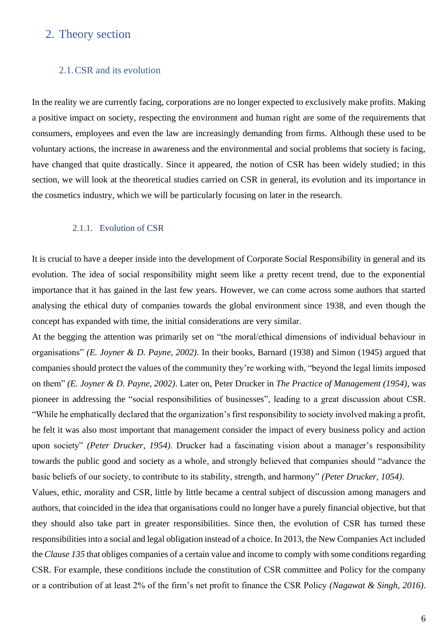## <span id="page-6-0"></span>2. Theory section

## <span id="page-6-1"></span>2.1.CSR and its evolution

In the reality we are currently facing, corporations are no longer expected to exclusively make profits. Making a positive impact on society, respecting the environment and human right are some of the requirements that consumers, employees and even the law are increasingly demanding from firms. Although these used to be voluntary actions, the increase in awareness and the environmental and social problems that society is facing, have changed that quite drastically. Since it appeared, the notion of CSR has been widely studied; in this section, we will look at the theoretical studies carried on CSR in general, its evolution and its importance in the cosmetics industry, which we will be particularly focusing on later in the research.

#### 2.1.1. Evolution of CSR

<span id="page-6-2"></span>It is crucial to have a deeper inside into the development of Corporate Social Responsibility in general and its evolution. The idea of social responsibility might seem like a pretty recent trend, due to the exponential importance that it has gained in the last few years. However, we can come across some authors that started analysing the ethical duty of companies towards the global environment since 1938, and even though the concept has expanded with time, the initial considerations are very similar.

At the begging the attention was primarily set on "the moral/ethical dimensions of individual behaviour in organisations" *(E. Joyner & D. Payne, 2002)*. In their books, Barnard (1938) and Simon (1945) argued that companies should protect the values of the community they're working with, "beyond the legal limits imposed on them" *(E. Joyner & D. Payne, 2002)*. Later on, Peter Drucker in *The Practice of Management (1954)*, was pioneer in addressing the "social responsibilities of businesses", leading to a great discussion about CSR. "While he emphatically declared that the organization's first responsibility to society involved making a profit, he felt it was also most important that management consider the impact of every business policy and action upon society" *(Peter Drucker, 1954)*. Drucker had a fascinating vision about a manager's responsibility towards the public good and society as a whole, and strongly believed that companies should "advance the basic beliefs of our society, to contribute to its stability, strength, and harmony" *(Peter Drucker, 1054)*.

Values, ethic, morality and CSR, little by little became a central subject of discussion among managers and authors, that coincided in the idea that organisations could no longer have a purely financial objective, but that they should also take part in greater responsibilities. Since then, the evolution of CSR has turned these responsibilities into a social and legal obligation instead of a choice. In 2013, the New Companies Act included the *Clause 135* that obliges companies of a certain value and income to comply with some conditions regarding CSR. For example, these conditions include the constitution of CSR committee and Policy for the company or a contribution of at least 2% of the firm's net profit to finance the CSR Policy *(Nagawat & Singh, 2016)*.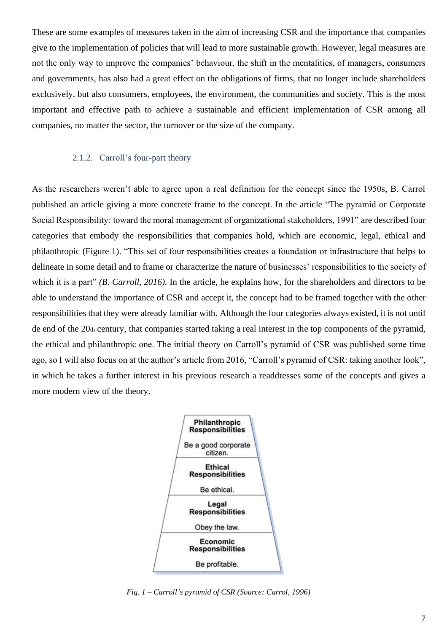These are some examples of measures taken in the aim of increasing CSR and the importance that companies give to the implementation of policies that will lead to more sustainable growth. However, legal measures are not the only way to improve the companies' behaviour, the shift in the mentalities, of managers, consumers and governments, has also had a great effect on the obligations of firms, that no longer include shareholders exclusively, but also consumers, employees, the environment, the communities and society. This is the most important and effective path to achieve a sustainable and efficient implementation of CSR among all companies, no matter the sector, the turnover or the size of the company.

#### 2.1.2. Carroll's four-part theory

<span id="page-7-0"></span>As the researchers weren't able to agree upon a real definition for the concept since the 1950s, B. Carrol published an article giving a more concrete frame to the concept. In the article "The pyramid or Corporate Social Responsibility: toward the moral management of organizational stakeholders, 1991" are described four categories that embody the responsibilities that companies hold, which are economic, legal, ethical and philanthropic (Figure 1). "This set of four responsibilities creates a foundation or infrastructure that helps to delineate in some detail and to frame or characterize the nature of businesses' responsibilities to the society of which it is a part" *(B. Carroll, 2016)*. In the article, he explains how, for the shareholders and directors to be able to understand the importance of CSR and accept it, the concept had to be framed together with the other responsibilities that they were already familiar with. Although the four categories always existed, it is not until de end of the 20th century, that companies started taking a real interest in the top components of the pyramid, the ethical and philanthropic one. The initial theory on Carroll's pyramid of CSR was published some time ago, so I will also focus on at the author's article from 2016, "Carroll's pyramid of CSR: taking another look", in which he takes a further interest in his previous research a readdresses some of the concepts and gives a more modern view of the theory.



*Fig. 1 – Carroll's pyramid of CSR (Source: Carrol, 1996)*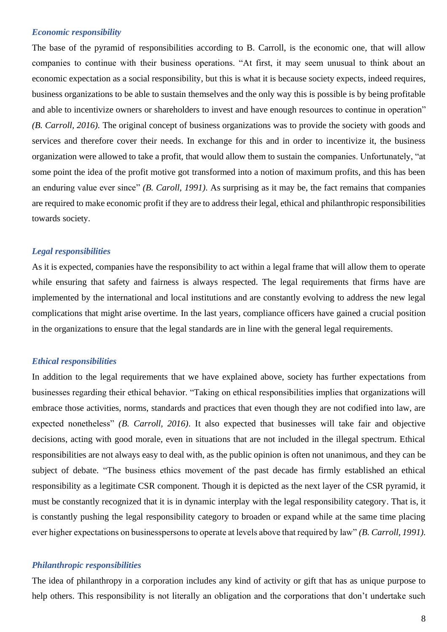#### *Economic responsibility*

The base of the pyramid of responsibilities according to B. Carroll, is the economic one, that will allow companies to continue with their business operations. "At first, it may seem unusual to think about an economic expectation as a social responsibility, but this is what it is because society expects, indeed requires, business organizations to be able to sustain themselves and the only way this is possible is by being profitable and able to incentivize owners or shareholders to invest and have enough resources to continue in operation" *(B. Carroll, 2016).* The original concept of business organizations was to provide the society with goods and services and therefore cover their needs. In exchange for this and in order to incentivize it, the business organization were allowed to take a profit, that would allow them to sustain the companies. Unfortunately, "at some point the idea of the profit motive got transformed into a notion of maximum profits, and this has been an enduring value ever since" *(B. Caroll, 1991)*. As surprising as it may be, the fact remains that companies are required to make economic profit if they are to address their legal, ethical and philanthropic responsibilities towards society.

## *Legal responsibilities*

As it is expected, companies have the responsibility to act within a legal frame that will allow them to operate while ensuring that safety and fairness is always respected. The legal requirements that firms have are implemented by the international and local institutions and are constantly evolving to address the new legal complications that might arise overtime. In the last years, compliance officers have gained a crucial position in the organizations to ensure that the legal standards are in line with the general legal requirements.

#### *Ethical responsibilities*

In addition to the legal requirements that we have explained above, society has further expectations from businesses regarding their ethical behavior. "Taking on ethical responsibilities implies that organizations will embrace those activities, norms, standards and practices that even though they are not codified into law, are expected nonetheless" *(B. Carroll, 2016)*. It also expected that businesses will take fair and objective decisions, acting with good morale, even in situations that are not included in the illegal spectrum. Ethical responsibilities are not always easy to deal with, as the public opinion is often not unanimous, and they can be subject of debate. "The business ethics movement of the past decade has firmly established an ethical responsibility as a legitimate CSR component. Though it is depicted as the next layer of the CSR pyramid, it must be constantly recognized that it is in dynamic interplay with the legal responsibility category. That is, it is constantly pushing the legal responsibility category to broaden or expand while at the same time placing ever higher expectations on businesspersons to operate at levels above that required by law" *(B. Carroll, 1991).*

#### *Philanthropic responsibilities*

The idea of philanthropy in a corporation includes any kind of activity or gift that has as unique purpose to help others. This responsibility is not literally an obligation and the corporations that don't undertake such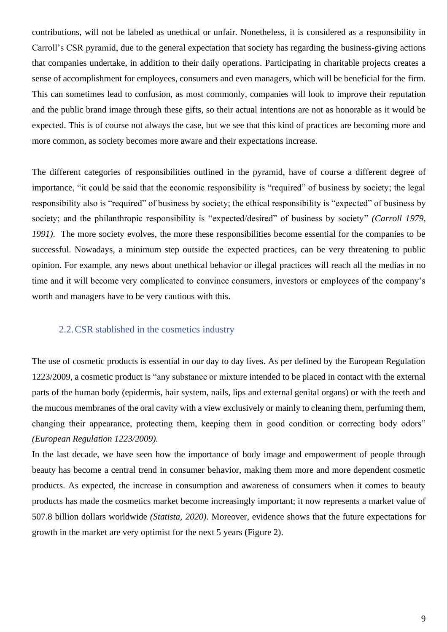contributions, will not be labeled as unethical or unfair. Nonetheless, it is considered as a responsibility in Carroll's CSR pyramid, due to the general expectation that society has regarding the business-giving actions that companies undertake, in addition to their daily operations. Participating in charitable projects creates a sense of accomplishment for employees, consumers and even managers, which will be beneficial for the firm. This can sometimes lead to confusion, as most commonly, companies will look to improve their reputation and the public brand image through these gifts, so their actual intentions are not as honorable as it would be expected. This is of course not always the case, but we see that this kind of practices are becoming more and more common, as society becomes more aware and their expectations increase.

The different categories of responsibilities outlined in the pyramid, have of course a different degree of importance, "it could be said that the economic responsibility is "required" of business by society; the legal responsibility also is "required" of business by society; the ethical responsibility is "expected" of business by society; and the philanthropic responsibility is "expected/desired" of business by society" *(Carroll 1979, 1991)*. The more society evolves, the more these responsibilities become essential for the companies to be successful. Nowadays, a minimum step outside the expected practices, can be very threatening to public opinion. For example, any news about unethical behavior or illegal practices will reach all the medias in no time and it will become very complicated to convince consumers, investors or employees of the company's worth and managers have to be very cautious with this.

## <span id="page-9-0"></span>2.2.CSR stablished in the cosmetics industry

The use of cosmetic products is essential in our day to day lives. As per defined by the European Regulation 1223/2009, a cosmetic product is "any substance or mixture intended to be placed in contact with the external parts of the human body (epidermis, hair system, nails, lips and external genital organs) or with the teeth and the mucous membranes of the oral cavity with a view exclusively or mainly to cleaning them, perfuming them, changing their appearance, protecting them, keeping them in good condition or correcting body odors" *(European Regulation 1223/2009).*

In the last decade, we have seen how the importance of body image and empowerment of people through beauty has become a central trend in consumer behavior, making them more and more dependent cosmetic products. As expected, the increase in consumption and awareness of consumers when it comes to beauty products has made the cosmetics market become increasingly important; it now represents a market value of 507.8 billion dollars worldwide *(Statista, 2020)*. Moreover, evidence shows that the future expectations for growth in the market are very optimist for the next 5 years (Figure 2).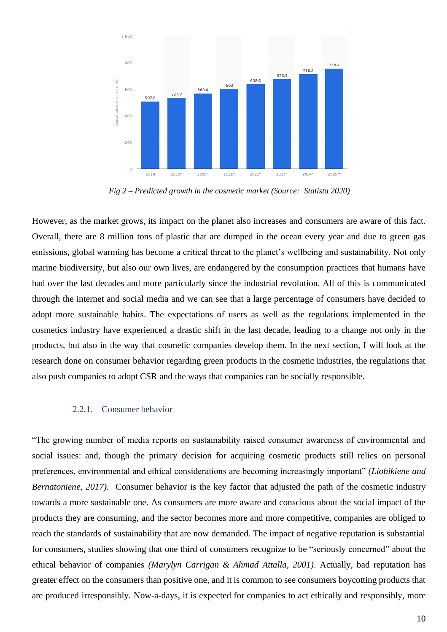

 *Fig 2 – Predicted growth in the cosmetic market (Source: Statista 2020)*

However, as the market grows, its impact on the planet also increases and consumers are aware of this fact. Overall, there are 8 million tons of plastic that are dumped in the ocean every year and due to green gas emissions, global warming has become a critical threat to the planet's wellbeing and sustainability. Not only marine biodiversity, but also our own lives, are endangered by the consumption practices that humans have had over the last decades and more particularly since the industrial revolution. All of this is communicated through the internet and social media and we can see that a large percentage of consumers have decided to adopt more sustainable habits. The expectations of users as well as the regulations implemented in the cosmetics industry have experienced a drastic shift in the last decade, leading to a change not only in the products, but also in the way that cosmetic companies develop them. In the next section, I will look at the research done on consumer behavior regarding green products in the cosmetic industries, the regulations that also push companies to adopt CSR and the ways that companies can be socially responsible.

#### <span id="page-10-0"></span>2.2.1. Consumer behavior

"The growing number of media reports on sustainability raised consumer awareness of environmental and social issues: and, though the primary decision for acquiring cosmetic products still relies on personal preferences, environmental and ethical considerations are becoming increasingly important" *(Liobikiene and Bernatoniene, 2017*). Consumer behavior is the key factor that adjusted the path of the cosmetic industry towards a more sustainable one. As consumers are more aware and conscious about the social impact of the products they are consuming, and the sector becomes more and more competitive, companies are obliged to reach the standards of sustainability that are now demanded. The impact of negative reputation is substantial for consumers, studies showing that one third of consumers recognize to be "seriously concerned" about the ethical behavior of companies *(Marylyn Carrigan & Ahmad Attalla, 2001)*. Actually, bad reputation has greater effect on the consumers than positive one, and it is common to see consumers boycotting products that are produced irresponsibly. Now-a-days, it is expected for companies to act ethically and responsibly, more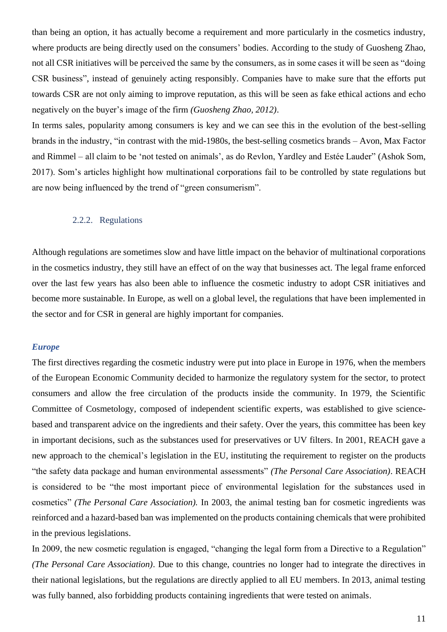than being an option, it has actually become a requirement and more particularly in the cosmetics industry, where products are being directly used on the consumers' bodies. According to the study of Guosheng Zhao, not all CSR initiatives will be perceived the same by the consumers, as in some cases it will be seen as "doing CSR business", instead of genuinely acting responsibly. Companies have to make sure that the efforts put towards CSR are not only aiming to improve reputation, as this will be seen as fake ethical actions and echo negatively on the buyer's image of the firm *(Guosheng Zhao, 2012)*.

In terms sales, popularity among consumers is key and we can see this in the evolution of the best-selling brands in the industry, "in contrast with the mid-1980s, the best-selling cosmetics brands – Avon, Max Factor and Rimmel – all claim to be 'not tested on animals', as do Revlon, Yardley and Estée Lauder" (Ashok Som, 2017). Som's articles highlight how multinational corporations fail to be controlled by state regulations but are now being influenced by the trend of "green consumerism".

## 2.2.2. Regulations

<span id="page-11-0"></span>Although regulations are sometimes slow and have little impact on the behavior of multinational corporations in the cosmetics industry, they still have an effect of on the way that businesses act. The legal frame enforced over the last few years has also been able to influence the cosmetic industry to adopt CSR initiatives and become more sustainable. In Europe, as well on a global level, the regulations that have been implemented in the sector and for CSR in general are highly important for companies.

#### *Europe*

The first directives regarding the cosmetic industry were put into place in Europe in 1976, when the members of the European Economic Community decided to harmonize the regulatory system for the sector, to protect consumers and allow the free circulation of the products inside the community. In 1979, the Scientific Committee of Cosmetology, composed of independent scientific experts, was established to give sciencebased and transparent advice on the ingredients and their safety. Over the years, this committee has been key in important decisions, such as the substances used for preservatives or UV filters. In 2001, REACH gave a new approach to the chemical's legislation in the EU, instituting the requirement to register on the products "the safety data package and human environmental assessments" *(The Personal Care Association)*. REACH is considered to be "the most important piece of environmental legislation for the substances used in cosmetics" *(The Personal Care Association).* In 2003, the animal testing ban for cosmetic ingredients was reinforced and a hazard-based ban was implemented on the products containing chemicals that were prohibited in the previous legislations.

In 2009, the new cosmetic regulation is engaged, "changing the legal form from a Directive to a Regulation" *(The Personal Care Association)*. Due to this change, countries no longer had to integrate the directives in their national legislations, but the regulations are directly applied to all EU members. In 2013, animal testing was fully banned, also forbidding products containing ingredients that were tested on animals.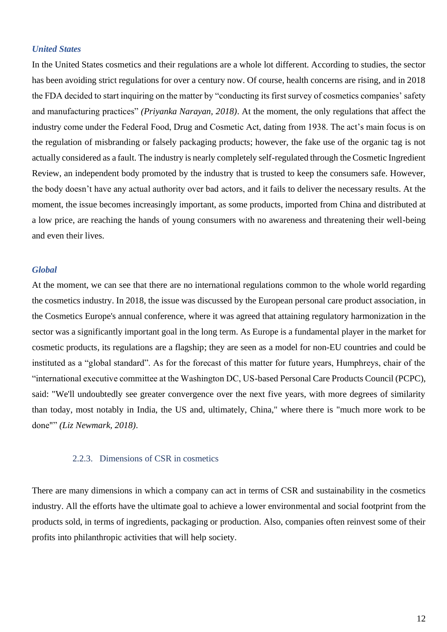## *United States*

In the United States cosmetics and their regulations are a whole lot different. According to studies, the sector has been avoiding strict regulations for over a century now. Of course, health concerns are rising, and in 2018 the FDA decided to start inquiring on the matter by "conducting its first survey of cosmetics companies' safety and manufacturing practices" *(Priyanka Narayan, 2018)*. At the moment, the only regulations that affect the industry come under the Federal Food, Drug and Cosmetic Act, dating from 1938. The act's main focus is on the regulation of misbranding or falsely packaging products; however, the fake use of the organic tag is not actually considered as a fault. The industry is nearly completely self-regulated through the Cosmetic Ingredient Review, an independent body promoted by the industry that is trusted to keep the consumers safe. However, the body doesn't have any actual authority over bad actors, and it fails to deliver the necessary results. At the moment, the issue becomes increasingly important, as some products, imported from China and distributed at a low price, are reaching the hands of young consumers with no awareness and threatening their well-being and even their lives.

#### *Global*

At the moment, we can see that there are no international regulations common to the whole world regarding the cosmetics industry. In 2018, the issue was discussed by the European personal care product association, in the Cosmetics Europe's annual conference, where it was agreed that attaining regulatory harmonization in the sector was a significantly important goal in the long term. As Europe is a fundamental player in the market for cosmetic products, its regulations are a flagship; they are seen as a model for non-EU countries and could be instituted as a "global standard". As for the forecast of this matter for future years, Humphreys, chair of the "international executive committee at the Washington DC, US-based Personal Care Products Council (PCPC), said: "We'll undoubtedly see greater convergence over the next five years, with more degrees of similarity than today, most notably in India, the US and, ultimately, China," where there is "much more work to be done"" *(Liz Newmark, 2018)*.

## 2.2.3. Dimensions of CSR in cosmetics

<span id="page-12-0"></span>There are many dimensions in which a company can act in terms of CSR and sustainability in the cosmetics industry. All the efforts have the ultimate goal to achieve a lower environmental and social footprint from the products sold, in terms of ingredients, packaging or production. Also, companies often reinvest some of their profits into philanthropic activities that will help society.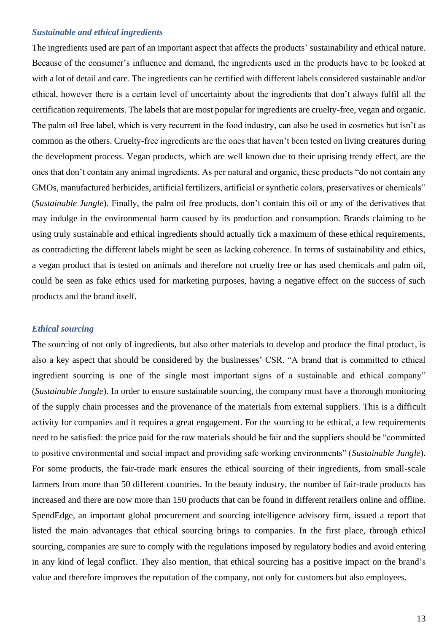## *Sustainable and ethical ingredients*

The ingredients used are part of an important aspect that affects the products' sustainability and ethical nature. Because of the consumer's influence and demand, the ingredients used in the products have to be looked at with a lot of detail and care. The ingredients can be certified with different labels considered sustainable and/or ethical, however there is a certain level of uncertainty about the ingredients that don't always fulfil all the certification requirements. The labels that are most popular for ingredients are cruelty-free, vegan and organic. The palm oil free label, which is very recurrent in the food industry, can also be used in cosmetics but isn't as common as the others. Cruelty-free ingredients are the ones that haven't been tested on living creatures during the development process. Vegan products, which are well known due to their uprising trendy effect, are the ones that don't contain any animal ingredients. As per natural and organic, these products "do not contain any GMOs, manufactured herbicides, artificial fertilizers, artificial or synthetic colors, preservatives or chemicals" (*Sustainable Jungle*). Finally, the palm oil free products, don't contain this oil or any of the derivatives that may indulge in the environmental harm caused by its production and consumption. Brands claiming to be using truly sustainable and ethical ingredients should actually tick a maximum of these ethical requirements, as contradicting the different labels might be seen as lacking coherence. In terms of sustainability and ethics, a vegan product that is tested on animals and therefore not cruelty free or has used chemicals and palm oil, could be seen as fake ethics used for marketing purposes, having a negative effect on the success of such products and the brand itself.

#### *Ethical sourcing*

The sourcing of not only of ingredients, but also other materials to develop and produce the final product, is also a key aspect that should be considered by the businesses' CSR. "A brand that is committed to ethical ingredient sourcing is one of the single most important signs of a sustainable and ethical company" (*Sustainable Jungle*). In order to ensure sustainable sourcing, the company must have a thorough monitoring of the supply chain processes and the provenance of the materials from external suppliers. This is a difficult activity for companies and it requires a great engagement. For the sourcing to be ethical, a few requirements need to be satisfied: the price paid for the raw materials should be fair and the suppliers should be "committed to positive environmental and social impact and providing safe working environments" (*Sustainable Jungle*). For some products, the fair-trade mark ensures the ethical sourcing of their ingredients, from small-scale farmers from more than 50 different countries. In the beauty industry, the number of fair-trade products has increased and there are now more than 150 products that can be found in different retailers online and offline. SpendEdge, an important global procurement and sourcing intelligence advisory firm, issued a report that listed the main advantages that ethical sourcing brings to companies. In the first place, through ethical sourcing, companies are sure to comply with the regulations imposed by regulatory bodies and avoid entering in any kind of legal conflict. They also mention, that ethical sourcing has a positive impact on the brand's value and therefore improves the reputation of the company, not only for customers but also employees.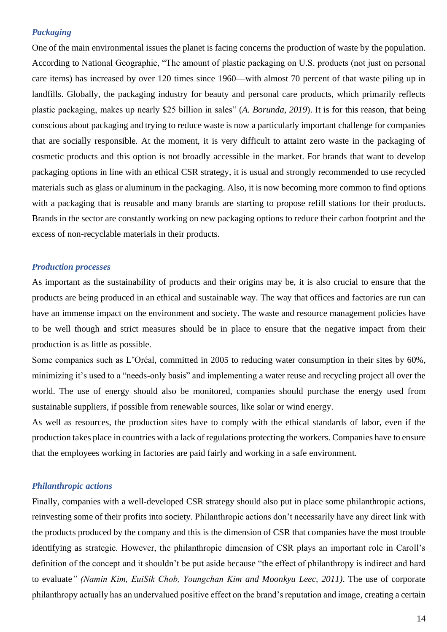#### *Packaging*

One of the main environmental issues the planet is facing concerns the production of waste by the population. According to National Geographic, "The amount of plastic packaging on U.S. products (not just on personal care items) has increased by over 120 times since 1960—with almost 70 percent of that waste piling up in landfills. Globally, the packaging industry for beauty and personal care products, which primarily reflects plastic packaging, makes up nearly \$25 billion in sales" (*A. Borunda, 2019*). It is for this reason, that being conscious about packaging and trying to reduce waste is now a particularly important challenge for companies that are socially responsible. At the moment, it is very difficult to attaint zero waste in the packaging of cosmetic products and this option is not broadly accessible in the market. For brands that want to develop packaging options in line with an ethical CSR strategy, it is usual and strongly recommended to use recycled materials such as glass or aluminum in the packaging. Also, it is now becoming more common to find options with a packaging that is reusable and many brands are starting to propose refill stations for their products. Brands in the sector are constantly working on new packaging options to reduce their carbon footprint and the excess of non-recyclable materials in their products.

#### *Production processes*

As important as the sustainability of products and their origins may be, it is also crucial to ensure that the products are being produced in an ethical and sustainable way. The way that offices and factories are run can have an immense impact on the environment and society. The waste and resource management policies have to be well though and strict measures should be in place to ensure that the negative impact from their production is as little as possible.

Some companies such as L'Oréal, committed in 2005 to reducing water consumption in their sites by 60%, minimizing it's used to a "needs-only basis" and implementing a water reuse and recycling project all over the world. The use of energy should also be monitored, companies should purchase the energy used from sustainable suppliers, if possible from renewable sources, like solar or wind energy.

As well as resources, the production sites have to comply with the ethical standards of labor, even if the production takes place in countries with a lack of regulations protecting the workers. Companies have to ensure that the employees working in factories are paid fairly and working in a safe environment.

## *Philanthropic actions*

Finally, companies with a well-developed CSR strategy should also put in place some philanthropic actions, reinvesting some of their profits into society. Philanthropic actions don't necessarily have any direct link with the products produced by the company and this is the dimension of CSR that companies have the most trouble identifying as strategic. However, the philanthropic dimension of CSR plays an important role in Caroll's definition of the concept and it shouldn't be put aside because "the effect of philanthropy is indirect and hard to evaluate*" (Namin Kim, EuiSik Chob, Youngchan Kim and Moonkyu Leec, 2011)*. The use of corporate philanthropy actually has an undervalued positive effect on the brand's reputation and image, creating a certain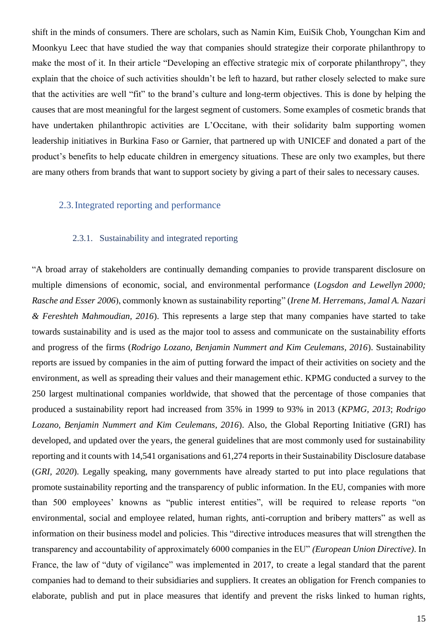shift in the minds of consumers. There are scholars, such as Namin Kim, EuiSik Chob, Youngchan Kim and Moonkyu Leec that have studied the way that companies should strategize their corporate philanthropy to make the most of it. In their article "Developing an effective strategic mix of corporate philanthropy", they explain that the choice of such activities shouldn't be left to hazard, but rather closely selected to make sure that the activities are well "fit" to the brand's culture and long-term objectives. This is done by helping the causes that are most meaningful for the largest segment of customers. Some examples of cosmetic brands that have undertaken philanthropic activities are L'Occitane, with their solidarity balm supporting women leadership initiatives in Burkina Faso or Garnier, that partnered up with UNICEF and donated a part of the product's benefits to help educate children in emergency situations. These are only two examples, but there are many others from brands that want to support society by giving a part of their sales to necessary causes.

## <span id="page-15-0"></span>2.3.Integrated reporting and performance

#### 2.3.1. Sustainability and integrated reporting

<span id="page-15-1"></span>"A broad array of stakeholders are continually demanding companies to provide transparent disclosure on multiple dimensions of economic, social, and environmental performance (*Logsdon and Lewellyn [2000;](https://link.springer.com/article/10.1007/s10551-015-2634-0#ref-CR34) Rasche and Esser [2006](https://link.springer.com/article/10.1007/s10551-015-2634-0#ref-CR53)*), commonly known as sustainability reporting" (*Irene M. Herremans, Jamal A. Nazari & Fereshteh Mahmoudian, 2016*). This represents a large step that many companies have started to take towards sustainability and is used as the major tool to assess and communicate on the sustainability efforts and progress of the firms (*Rodrigo Lozano, Benjamin Nummert and Kim Ceulemans, 2016*). Sustainability reports are issued by companies in the aim of putting forward the impact of their activities on society and the environment, as well as spreading their values and their management ethic. KPMG conducted a survey to the 250 largest multinational companies worldwide, that showed that the percentage of those companies that produced a sustainability report had increased from 35% in 1999 to 93% in 2013 (*KPMG, 2013*; *Rodrigo Lozano, Benjamin Nummert and Kim Ceulemans, 2016*). Also, the Global Reporting Initiative (GRI) has developed, and updated over the years, the general guidelines that are most commonly used for sustainability reporting and it counts with 14,541 organisations and 61,274 reports in their Sustainability Disclosure database (*GRI, 2020*). Legally speaking, many governments have already started to put into place regulations that promote sustainability reporting and the transparency of public information. In the EU, companies with more than 500 employees' knowns as "public interest entities", will be required to release reports "on environmental, social and employee related, human rights, anti-corruption and bribery matters" as well as information on their business model and policies. This "directive introduces measures that will strengthen the transparency and accountability of approximately 6000 companies in the EU" *(European Union Directive)*. In France, the law of "duty of vigilance" was implemented in 2017, to create a legal standard that the parent companies had to demand to their subsidiaries and suppliers. It creates an obligation for French companies to elaborate, publish and put in place measures that identify and prevent the risks linked to human rights,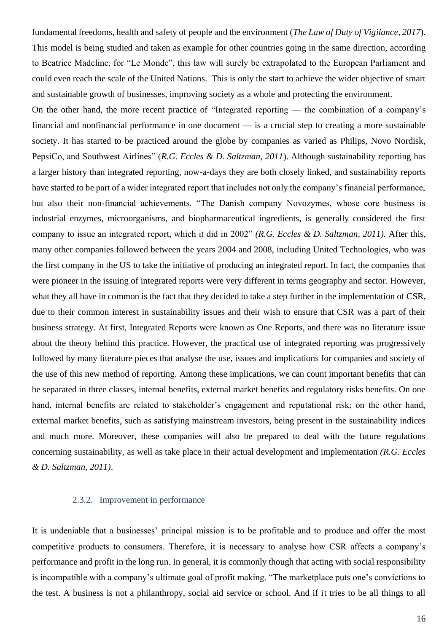fundamental freedoms, health and safety of people and the environment (*The Law of Duty of Vigilance, 2017*). This model is being studied and taken as example for other countries going in the same direction, according to Beatrice Madeline, for "Le Monde", this law will surely be extrapolated to the European Parliament and could even reach the scale of the United Nations. This is only the start to achieve the wider objective of smart and sustainable growth of businesses, improving society as a whole and protecting the environment.

On the other hand, the more recent practice of "Integrated reporting — the combination of a company's financial and nonfinancial performance in one document — is a crucial step to creating a more sustainable society. It has started to be practiced around the globe by companies as varied as Philips, Novo Nordisk, PepsiCo, and Southwest Airlines" (*R.G. Eccles & D. Saltzman, 2011*). Although sustainability reporting has a larger history than integrated reporting, now-a-days they are both closely linked, and sustainability reports have started to be part of a wider integrated report that includes not only the company's financial performance, but also their non-financial achievements. "The Danish company Novozymes, whose core business is industrial enzymes, microorganisms, and biopharmaceutical ingredients, is generally considered the first company to issue an integrated report, which it did in 2002" *(R.G. Eccles & D. Saltzman, 2011).* After this, many other companies followed between the years 2004 and 2008, including United Technologies, who was the first company in the US to take the initiative of producing an integrated report. In fact, the companies that were pioneer in the issuing of integrated reports were very different in terms geography and sector. However, what they all have in common is the fact that they decided to take a step further in the implementation of CSR, due to their common interest in sustainability issues and their wish to ensure that CSR was a part of their business strategy. At first, Integrated Reports were known as One Reports, and there was no literature issue about the theory behind this practice. However, the practical use of integrated reporting was progressively followed by many literature pieces that analyse the use, issues and implications for companies and society of the use of this new method of reporting. Among these implications, we can count important benefits that can be separated in three classes, internal benefits, external market benefits and regulatory risks benefits. On one hand, internal benefits are related to stakeholder's engagement and reputational risk; on the other hand, external market benefits, such as satisfying mainstream investors, being present in the sustainability indices and much more. Moreover, these companies will also be prepared to deal with the future regulations concerning sustainability, as well as take place in their actual development and implementation *(R.G. Eccles & D. Saltzman, 2011)*.

## 2.3.2. Improvement in performance

<span id="page-16-0"></span>It is undeniable that a businesses' principal mission is to be profitable and to produce and offer the most competitive products to consumers. Therefore, it is necessary to analyse how CSR affects a company's performance and profit in the long run. In general, it is commonly though that acting with social responsibility is incompatible with a company's ultimate goal of profit making. "The marketplace puts one's convictions to the test. A business is not a philanthropy, social aid service or school. And if it tries to be all things to all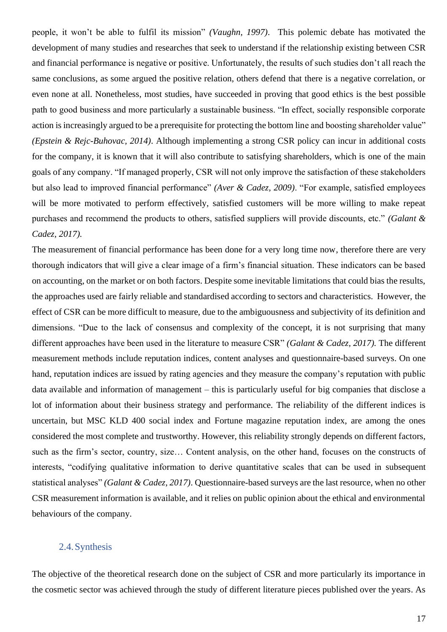people, it won't be able to fulfil its mission" *(Vaughn, 1997)*. This polemic debate has motivated the development of many studies and researches that seek to understand if the relationship existing between CSR and financial performance is negative or positive. Unfortunately, the results of such studies don't all reach the same conclusions, as some argued the positive relation, others defend that there is a negative correlation, or even none at all. Nonetheless, most studies, have succeeded in proving that good ethics is the best possible path to good business and more particularly a sustainable business. "In effect, socially responsible corporate action is increasingly argued to be a prerequisite for protecting the bottom line and boosting shareholder value" *(Epstein & Rejc-Buhovac, 2014)*. Although implementing a strong CSR policy can incur in additional costs for the company, it is known that it will also contribute to satisfying shareholders, which is one of the main goals of any company. "If managed properly, CSR will not only improve the satisfaction of these stakeholders but also lead to improved financial performance" *(Aver & Cadez, 2009)*. "For example, satisfied employees will be more motivated to perform effectively, satisfied customers will be more willing to make repeat purchases and recommend the products to others, satisfied suppliers will provide discounts, etc." *(Galant & Cadez, 2017).* 

The measurement of financial performance has been done for a very long time now, therefore there are very thorough indicators that will give a clear image of a firm's financial situation. These indicators can be based on accounting, on the market or on both factors. Despite some inevitable limitations that could bias the results, the approaches used are fairly reliable and standardised according to sectors and characteristics. However, the effect of CSR can be more difficult to measure, due to the ambiguousness and subjectivity of its definition and dimensions. "Due to the lack of consensus and complexity of the concept, it is not surprising that many different approaches have been used in the literature to measure CSR" *(Galant & Cadez, 2017).* The different measurement methods include reputation indices, content analyses and questionnaire-based surveys. On one hand, reputation indices are issued by rating agencies and they measure the company's reputation with public data available and information of management – this is particularly useful for big companies that disclose a lot of information about their business strategy and performance. The reliability of the different indices is uncertain, but MSC KLD 400 social index and Fortune magazine reputation index, are among the ones considered the most complete and trustworthy. However, this reliability strongly depends on different factors, such as the firm's sector, country, size… Content analysis, on the other hand, focuses on the constructs of interests, "codifying qualitative information to derive quantitative scales that can be used in subsequent statistical analyses" *(Galant & Cadez, 2017)*. Questionnaire-based surveys are the last resource, when no other CSR measurement information is available, and it relies on public opinion about the ethical and environmental behaviours of the company.

## <span id="page-17-0"></span>2.4.Synthesis

The objective of the theoretical research done on the subject of CSR and more particularly its importance in the cosmetic sector was achieved through the study of different literature pieces published over the years. As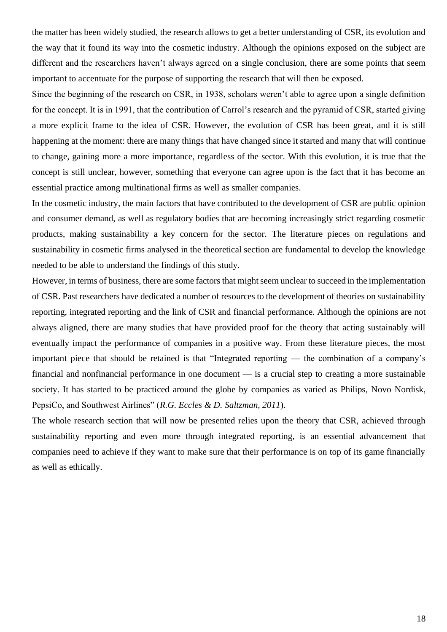the matter has been widely studied, the research allows to get a better understanding of CSR, its evolution and the way that it found its way into the cosmetic industry. Although the opinions exposed on the subject are different and the researchers haven't always agreed on a single conclusion, there are some points that seem important to accentuate for the purpose of supporting the research that will then be exposed.

Since the beginning of the research on CSR, in 1938, scholars weren't able to agree upon a single definition for the concept. It is in 1991, that the contribution of Carrol's research and the pyramid of CSR, started giving a more explicit frame to the idea of CSR. However, the evolution of CSR has been great, and it is still happening at the moment: there are many things that have changed since it started and many that will continue to change, gaining more a more importance, regardless of the sector. With this evolution, it is true that the concept is still unclear, however, something that everyone can agree upon is the fact that it has become an essential practice among multinational firms as well as smaller companies.

In the cosmetic industry, the main factors that have contributed to the development of CSR are public opinion and consumer demand, as well as regulatory bodies that are becoming increasingly strict regarding cosmetic products, making sustainability a key concern for the sector. The literature pieces on regulations and sustainability in cosmetic firms analysed in the theoretical section are fundamental to develop the knowledge needed to be able to understand the findings of this study.

However, in terms of business, there are some factors that might seem unclear to succeed in the implementation of CSR. Past researchers have dedicated a number of resources to the development of theories on sustainability reporting, integrated reporting and the link of CSR and financial performance. Although the opinions are not always aligned, there are many studies that have provided proof for the theory that acting sustainably will eventually impact the performance of companies in a positive way. From these literature pieces, the most important piece that should be retained is that "Integrated reporting — the combination of a company's financial and nonfinancial performance in one document — is a crucial step to creating a more sustainable society. It has started to be practiced around the globe by companies as varied as Philips, Novo Nordisk, PepsiCo, and Southwest Airlines" (*R.G. Eccles & D. Saltzman, 2011*).

The whole research section that will now be presented relies upon the theory that CSR, achieved through sustainability reporting and even more through integrated reporting, is an essential advancement that companies need to achieve if they want to make sure that their performance is on top of its game financially as well as ethically.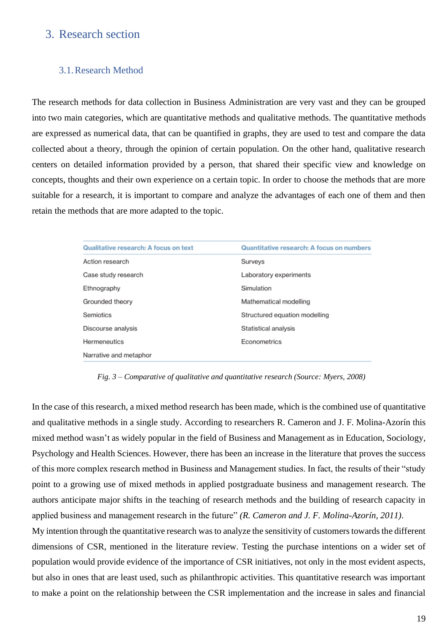## <span id="page-19-0"></span>3. Research section

## <span id="page-19-1"></span>3.1.Research Method

The research methods for data collection in Business Administration are very vast and they can be grouped into two main categories, which are quantitative methods and qualitative methods. The quantitative methods are expressed as numerical data, that can be quantified in graphs, they are used to test and compare the data collected about a theory, through the opinion of certain population. On the other hand, qualitative research centers on detailed information provided by a person, that shared their specific view and knowledge on concepts, thoughts and their own experience on a certain topic. In order to choose the methods that are more suitable for a research, it is important to compare and analyze the advantages of each one of them and then retain the methods that are more adapted to the topic.

| <b>Qualitative research: A focus on text</b> | <b>Quantitative research: A focus on numbers</b> |
|----------------------------------------------|--------------------------------------------------|
| Action research                              | <b>Surveys</b>                                   |
| Case study research                          | Laboratory experiments                           |
| Ethnography                                  | Simulation                                       |
| Grounded theory                              | Mathematical modelling                           |
| Semiotics                                    | Structured equation modelling                    |
| Discourse analysis                           | <b>Statistical analysis</b>                      |
| <b>Hermeneutics</b>                          | Econometrics                                     |
| Narrative and metaphor                       |                                                  |

*Fig. 3 – Comparative of qualitative and quantitative research (Source: Myers, 2008)*

In the case of this research, a mixed method research has been made, which is the combined use of quantitative and qualitative methods in a single study. According to researchers R. Cameron and J. F. Molina-Azorín this mixed method wasn't as widely popular in the field of Business and Management as in Education, Sociology, Psychology and Health Sciences. However, there has been an increase in the literature that proves the success of this more complex research method in Business and Management studies. In fact, the results of their "study point to a growing use of mixed methods in applied postgraduate business and management research. The authors anticipate major shifts in the teaching of research methods and the building of research capacity in applied business and management research in the future" *(R. Cameron and J. F. Molina-Azorín, 2011)*.

My intention through the quantitative research was to analyze the sensitivity of customers towards the different dimensions of CSR, mentioned in the literature review. Testing the purchase intentions on a wider set of population would provide evidence of the importance of CSR initiatives, not only in the most evident aspects, but also in ones that are least used, such as philanthropic activities. This quantitative research was important to make a point on the relationship between the CSR implementation and the increase in sales and financial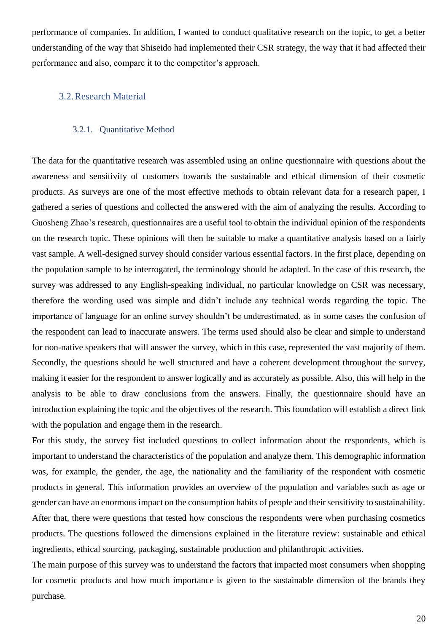performance of companies. In addition, I wanted to conduct qualitative research on the topic, to get a better understanding of the way that Shiseido had implemented their CSR strategy, the way that it had affected their performance and also, compare it to the competitor's approach.

## <span id="page-20-0"></span>3.2.Research Material

## 3.2.1. Quantitative Method

<span id="page-20-1"></span>The data for the quantitative research was assembled using an online questionnaire with questions about the awareness and sensitivity of customers towards the sustainable and ethical dimension of their cosmetic products. As surveys are one of the most effective methods to obtain relevant data for a research paper, I gathered a series of questions and collected the answered with the aim of analyzing the results. According to Guosheng Zhao's research, questionnaires are a useful tool to obtain the individual opinion of the respondents on the research topic. These opinions will then be suitable to make a quantitative analysis based on a fairly vast sample. A well-designed survey should consider various essential factors. In the first place, depending on the population sample to be interrogated, the terminology should be adapted. In the case of this research, the survey was addressed to any English-speaking individual, no particular knowledge on CSR was necessary, therefore the wording used was simple and didn't include any technical words regarding the topic. The importance of language for an online survey shouldn't be underestimated, as in some cases the confusion of the respondent can lead to inaccurate answers. The terms used should also be clear and simple to understand for non-native speakers that will answer the survey, which in this case, represented the vast majority of them. Secondly, the questions should be well structured and have a coherent development throughout the survey, making it easier for the respondent to answer logically and as accurately as possible. Also, this will help in the analysis to be able to draw conclusions from the answers. Finally, the questionnaire should have an introduction explaining the topic and the objectives of the research. This foundation will establish a direct link with the population and engage them in the research.

For this study, the survey fist included questions to collect information about the respondents, which is important to understand the characteristics of the population and analyze them. This demographic information was, for example, the gender, the age, the nationality and the familiarity of the respondent with cosmetic products in general. This information provides an overview of the population and variables such as age or gender can have an enormous impact on the consumption habits of people and their sensitivity to sustainability. After that, there were questions that tested how conscious the respondents were when purchasing cosmetics products. The questions followed the dimensions explained in the literature review: sustainable and ethical ingredients, ethical sourcing, packaging, sustainable production and philanthropic activities.

The main purpose of this survey was to understand the factors that impacted most consumers when shopping for cosmetic products and how much importance is given to the sustainable dimension of the brands they purchase.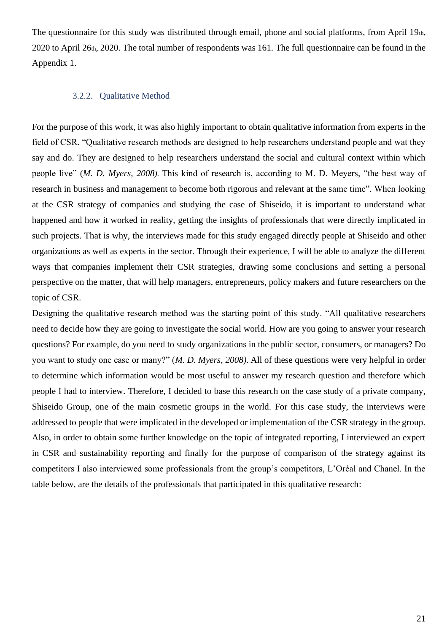The questionnaire for this study was distributed through email, phone and social platforms, from April 19th, 2020 to April 26th, 2020. The total number of respondents was 161. The full questionnaire can be found in the Appendix 1.

## 3.2.2. Qualitative Method

<span id="page-21-0"></span>For the purpose of this work, it was also highly important to obtain qualitative information from experts in the field of CSR. "Qualitative research methods are designed to help researchers understand people and wat they say and do. They are designed to help researchers understand the social and cultural context within which people live" (*M. D. Myers, 2008)*. This kind of research is, according to M. D. Meyers, "the best way of research in business and management to become both rigorous and relevant at the same time". When looking at the CSR strategy of companies and studying the case of Shiseido, it is important to understand what happened and how it worked in reality, getting the insights of professionals that were directly implicated in such projects. That is why, the interviews made for this study engaged directly people at Shiseido and other organizations as well as experts in the sector. Through their experience, I will be able to analyze the different ways that companies implement their CSR strategies, drawing some conclusions and setting a personal perspective on the matter, that will help managers, entrepreneurs, policy makers and future researchers on the topic of CSR.

Designing the qualitative research method was the starting point of this study. "All qualitative researchers need to decide how they are going to investigate the social world. How are you going to answer your research questions? For example, do you need to study organizations in the public sector, consumers, or managers? Do you want to study one case or many?" (*M. D. Myers, 2008)*. All of these questions were very helpful in order to determine which information would be most useful to answer my research question and therefore which people I had to interview. Therefore, I decided to base this research on the case study of a private company, Shiseido Group, one of the main cosmetic groups in the world. For this case study, the interviews were addressed to people that were implicated in the developed or implementation of the CSR strategy in the group. Also, in order to obtain some further knowledge on the topic of integrated reporting, I interviewed an expert in CSR and sustainability reporting and finally for the purpose of comparison of the strategy against its competitors I also interviewed some professionals from the group's competitors, L'Oréal and Chanel. In the table below, are the details of the professionals that participated in this qualitative research: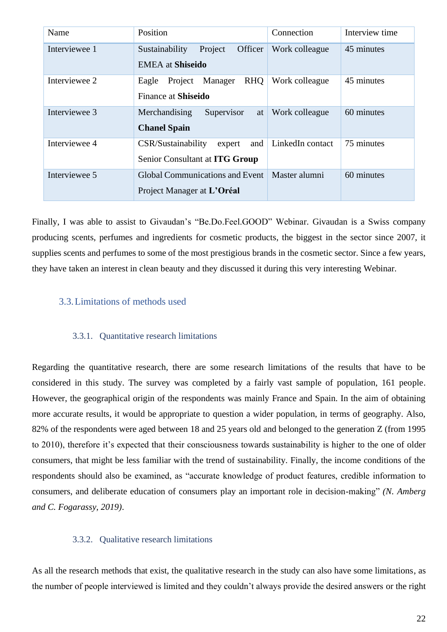| Name          | Position                                                                | Connection       | Interview time |
|---------------|-------------------------------------------------------------------------|------------------|----------------|
| Interviewee 1 | Project<br>Officer<br>Sustainability<br><b>EMEA</b> at Shiseido         | Work colleague   | 45 minutes     |
|               |                                                                         |                  |                |
| Interviewee 2 | <b>RHQ</b><br>Manager<br>Eagle<br>Project<br><b>Finance at Shiseido</b> | Work colleague   | 45 minutes     |
|               |                                                                         |                  |                |
| Interviewee 3 | Supervisor<br>Merchandising<br>at<br><b>Chanel Spain</b>                | Work colleague   | 60 minutes     |
| Interviewee 4 | CSR/Sustainability<br>and<br>expert<br>Senior Consultant at ITG Group   | LinkedIn contact | 75 minutes     |
| Interviewee 5 | Global Communications and Event<br>Project Manager at L'Oréal           | Master alumni    | 60 minutes     |

Finally, I was able to assist to Givaudan's "Be.Do.Feel.GOOD" Webinar. Givaudan is a Swiss company producing scents, perfumes and ingredients for cosmetic products, the biggest in the sector since 2007, it supplies scents and perfumes to some of the most prestigious brands in the cosmetic sector. Since a few years, they have taken an interest in clean beauty and they discussed it during this very interesting Webinar.

## <span id="page-22-0"></span>3.3.Limitations of methods used

#### 3.3.1. Quantitative research limitations

<span id="page-22-1"></span>Regarding the quantitative research, there are some research limitations of the results that have to be considered in this study. The survey was completed by a fairly vast sample of population, 161 people. However, the geographical origin of the respondents was mainly France and Spain. In the aim of obtaining more accurate results, it would be appropriate to question a wider population, in terms of geography. Also, 82% of the respondents were aged between 18 and 25 years old and belonged to the generation Z (from 1995 to 2010), therefore it's expected that their consciousness towards sustainability is higher to the one of older consumers, that might be less familiar with the trend of sustainability. Finally, the income conditions of the respondents should also be examined, as "accurate knowledge of product features, credible information to consumers, and deliberate education of consumers play an important role in decision-making" *(N. Amberg and C. Fogarassy, 2019)*.

#### 3.3.2. Qualitative research limitations

<span id="page-22-2"></span>As all the research methods that exist, the qualitative research in the study can also have some limitations, as the number of people interviewed is limited and they couldn't always provide the desired answers or the right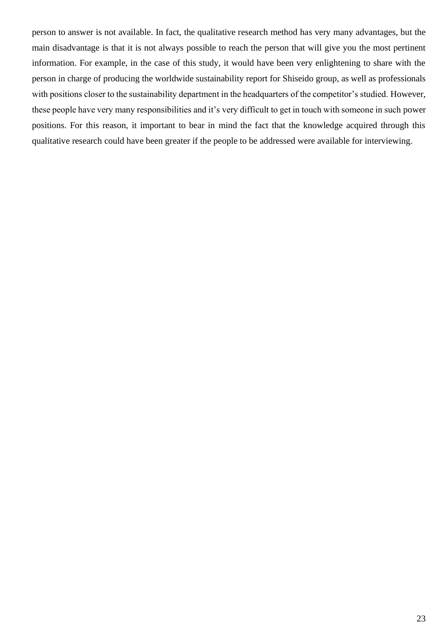person to answer is not available. In fact, the qualitative research method has very many advantages, but the main disadvantage is that it is not always possible to reach the person that will give you the most pertinent information. For example, in the case of this study, it would have been very enlightening to share with the person in charge of producing the worldwide sustainability report for Shiseido group, as well as professionals with positions closer to the sustainability department in the headquarters of the competitor's studied. However, these people have very many responsibilities and it's very difficult to get in touch with someone in such power positions. For this reason, it important to bear in mind the fact that the knowledge acquired through this qualitative research could have been greater if the people to be addressed were available for interviewing.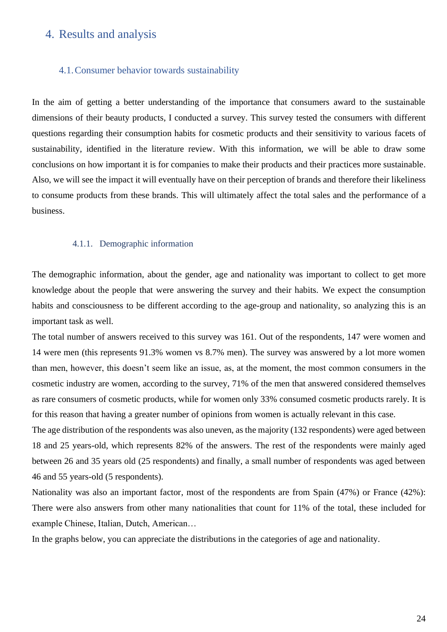# <span id="page-24-0"></span>4. Results and analysis

## <span id="page-24-1"></span>4.1.Consumer behavior towards sustainability

In the aim of getting a better understanding of the importance that consumers award to the sustainable dimensions of their beauty products, I conducted a survey. This survey tested the consumers with different questions regarding their consumption habits for cosmetic products and their sensitivity to various facets of sustainability, identified in the literature review. With this information, we will be able to draw some conclusions on how important it is for companies to make their products and their practices more sustainable. Also, we will see the impact it will eventually have on their perception of brands and therefore their likeliness to consume products from these brands. This will ultimately affect the total sales and the performance of a business.

## 4.1.1. Demographic information

<span id="page-24-2"></span>The demographic information, about the gender, age and nationality was important to collect to get more knowledge about the people that were answering the survey and their habits. We expect the consumption habits and consciousness to be different according to the age-group and nationality, so analyzing this is an important task as well.

The total number of answers received to this survey was 161. Out of the respondents, 147 were women and 14 were men (this represents 91.3% women vs 8.7% men). The survey was answered by a lot more women than men, however, this doesn't seem like an issue, as, at the moment, the most common consumers in the cosmetic industry are women, according to the survey, 71% of the men that answered considered themselves as rare consumers of cosmetic products, while for women only 33% consumed cosmetic products rarely. It is for this reason that having a greater number of opinions from women is actually relevant in this case.

The age distribution of the respondents was also uneven, as the majority (132 respondents) were aged between 18 and 25 years-old, which represents 82% of the answers. The rest of the respondents were mainly aged between 26 and 35 years old (25 respondents) and finally, a small number of respondents was aged between 46 and 55 years-old (5 respondents).

Nationality was also an important factor, most of the respondents are from Spain (47%) or France (42%): There were also answers from other many nationalities that count for 11% of the total, these included for example Chinese, Italian, Dutch, American…

In the graphs below, you can appreciate the distributions in the categories of age and nationality.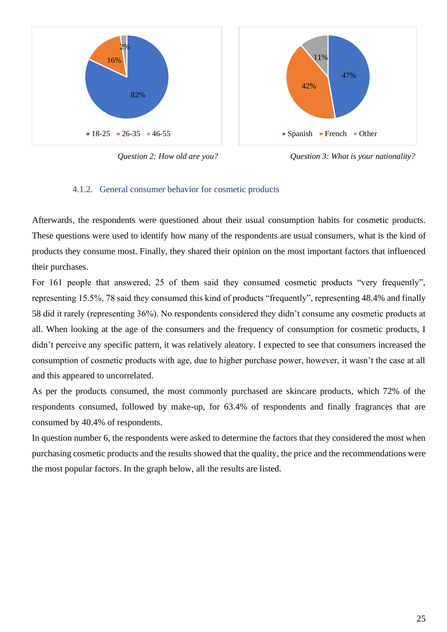

*Question 2: How old are you? Question 3: What is your nationality?*

## 4.1.2. General consumer behavior for cosmetic products

<span id="page-25-0"></span>Afterwards, the respondents were questioned about their usual consumption habits for cosmetic products. These questions were used to identify how many of the respondents are usual consumers, what is the kind of products they consume most. Finally, they shared their opinion on the most important factors that influenced their purchases.

For 161 people that answered, 25 of them said they consumed cosmetic products "very frequently", representing 15.5%, 78 said they consumed this kind of products "frequently", representing 48.4% and finally 58 did it rarely (representing 36%). No respondents considered they didn't consume any cosmetic products at all. When looking at the age of the consumers and the frequency of consumption for cosmetic products, I didn't perceive any specific pattern, it was relatively aleatory. I expected to see that consumers increased the consumption of cosmetic products with age, due to higher purchase power, however, it wasn't the case at all and this appeared to uncorrelated.

As per the products consumed, the most commonly purchased are skincare products, which 72% of the respondents consumed, followed by make-up, for 63.4% of respondents and finally fragrances that are consumed by 40.4% of respondents.

In question number 6, the respondents were asked to determine the factors that they considered the most when purchasing cosmetic products and the results showed that the quality, the price and the recommendations were the most popular factors. In the graph below, all the results are listed.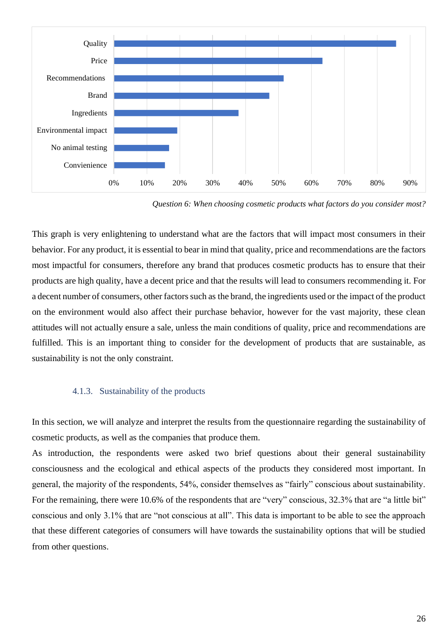

*Question 6: When choosing cosmetic products what factors do you consider most?*

This graph is very enlightening to understand what are the factors that will impact most consumers in their behavior. For any product, it is essential to bear in mind that quality, price and recommendations are the factors most impactful for consumers, therefore any brand that produces cosmetic products has to ensure that their products are high quality, have a decent price and that the results will lead to consumers recommending it. For a decent number of consumers, other factors such as the brand, the ingredients used or the impact of the product on the environment would also affect their purchase behavior, however for the vast majority, these clean attitudes will not actually ensure a sale, unless the main conditions of quality, price and recommendations are fulfilled. This is an important thing to consider for the development of products that are sustainable, as sustainability is not the only constraint.

#### 4.1.3. Sustainability of the products

<span id="page-26-0"></span>In this section, we will analyze and interpret the results from the questionnaire regarding the sustainability of cosmetic products, as well as the companies that produce them.

As introduction, the respondents were asked two brief questions about their general sustainability consciousness and the ecological and ethical aspects of the products they considered most important. In general, the majority of the respondents, 54%, consider themselves as "fairly" conscious about sustainability. For the remaining, there were 10.6% of the respondents that are "very" conscious, 32.3% that are "a little bit" conscious and only 3.1% that are "not conscious at all". This data is important to be able to see the approach that these different categories of consumers will have towards the sustainability options that will be studied from other questions.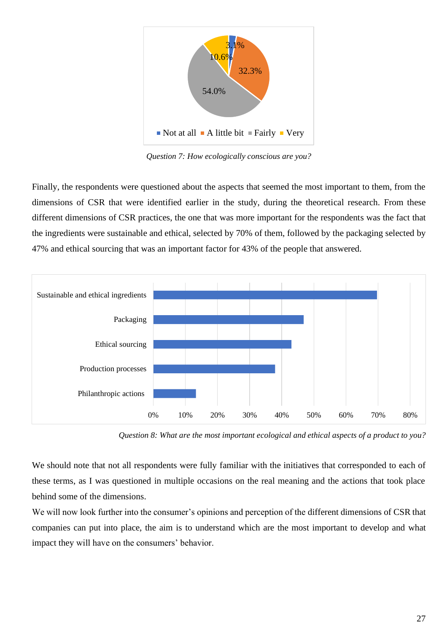

*Question 7: How ecologically conscious are you?*

Finally, the respondents were questioned about the aspects that seemed the most important to them, from the dimensions of CSR that were identified earlier in the study, during the theoretical research. From these different dimensions of CSR practices, the one that was more important for the respondents was the fact that the ingredients were sustainable and ethical, selected by 70% of them, followed by the packaging selected by 47% and ethical sourcing that was an important factor for 43% of the people that answered.



*Question 8: What are the most important ecological and ethical aspects of a product to you?*

We should note that not all respondents were fully familiar with the initiatives that corresponded to each of these terms, as I was questioned in multiple occasions on the real meaning and the actions that took place behind some of the dimensions.

We will now look further into the consumer's opinions and perception of the different dimensions of CSR that companies can put into place, the aim is to understand which are the most important to develop and what impact they will have on the consumers' behavior.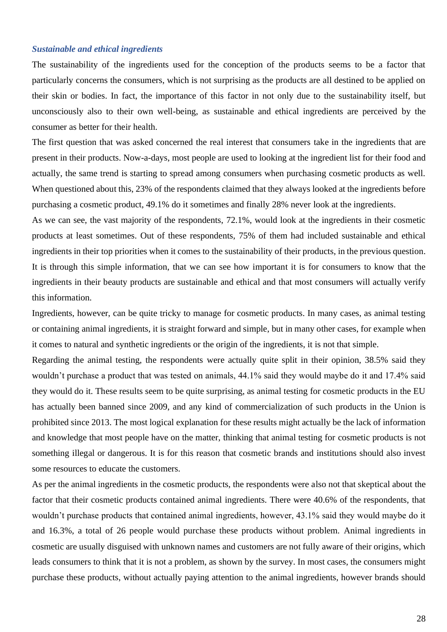#### *Sustainable and ethical ingredients*

The sustainability of the ingredients used for the conception of the products seems to be a factor that particularly concerns the consumers, which is not surprising as the products are all destined to be applied on their skin or bodies. In fact, the importance of this factor in not only due to the sustainability itself, but unconsciously also to their own well-being, as sustainable and ethical ingredients are perceived by the consumer as better for their health.

The first question that was asked concerned the real interest that consumers take in the ingredients that are present in their products. Now-a-days, most people are used to looking at the ingredient list for their food and actually, the same trend is starting to spread among consumers when purchasing cosmetic products as well. When questioned about this, 23% of the respondents claimed that they always looked at the ingredients before purchasing a cosmetic product, 49.1% do it sometimes and finally 28% never look at the ingredients.

As we can see, the vast majority of the respondents, 72.1%, would look at the ingredients in their cosmetic products at least sometimes. Out of these respondents, 75% of them had included sustainable and ethical ingredients in their top priorities when it comes to the sustainability of their products, in the previous question. It is through this simple information, that we can see how important it is for consumers to know that the ingredients in their beauty products are sustainable and ethical and that most consumers will actually verify this information.

Ingredients, however, can be quite tricky to manage for cosmetic products. In many cases, as animal testing or containing animal ingredients, it is straight forward and simple, but in many other cases, for example when it comes to natural and synthetic ingredients or the origin of the ingredients, it is not that simple.

Regarding the animal testing, the respondents were actually quite split in their opinion, 38.5% said they wouldn't purchase a product that was tested on animals, 44.1% said they would maybe do it and 17.4% said they would do it. These results seem to be quite surprising, as animal testing for cosmetic products in the EU has actually been banned since 2009, and any kind of commercialization of such products in the Union is prohibited since 2013. The most logical explanation for these results might actually be the lack of information and knowledge that most people have on the matter, thinking that animal testing for cosmetic products is not something illegal or dangerous. It is for this reason that cosmetic brands and institutions should also invest some resources to educate the customers.

As per the animal ingredients in the cosmetic products, the respondents were also not that skeptical about the factor that their cosmetic products contained animal ingredients. There were 40.6% of the respondents, that wouldn't purchase products that contained animal ingredients, however, 43.1% said they would maybe do it and 16.3%, a total of 26 people would purchase these products without problem. Animal ingredients in cosmetic are usually disguised with unknown names and customers are not fully aware of their origins, which leads consumers to think that it is not a problem, as shown by the survey. In most cases, the consumers might purchase these products, without actually paying attention to the animal ingredients, however brands should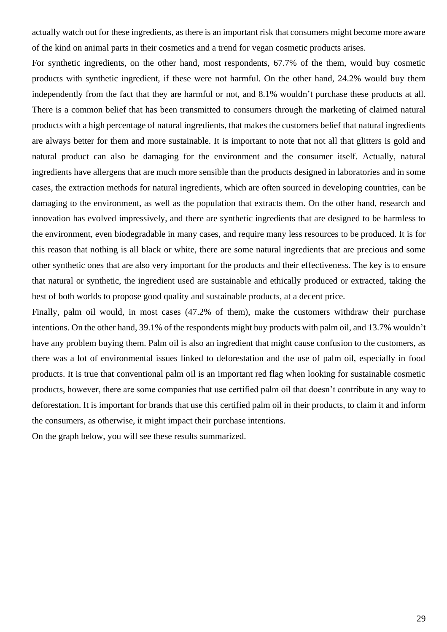actually watch out for these ingredients, as there is an important risk that consumers might become more aware of the kind on animal parts in their cosmetics and a trend for vegan cosmetic products arises.

For synthetic ingredients, on the other hand, most respondents, 67.7% of the them, would buy cosmetic products with synthetic ingredient, if these were not harmful. On the other hand, 24.2% would buy them independently from the fact that they are harmful or not, and 8.1% wouldn't purchase these products at all. There is a common belief that has been transmitted to consumers through the marketing of claimed natural products with a high percentage of natural ingredients, that makes the customers belief that natural ingredients are always better for them and more sustainable. It is important to note that not all that glitters is gold and natural product can also be damaging for the environment and the consumer itself. Actually, natural ingredients have allergens that are much more sensible than the products designed in laboratories and in some cases, the extraction methods for natural ingredients, which are often sourced in developing countries, can be damaging to the environment, as well as the population that extracts them. On the other hand, research and innovation has evolved impressively, and there are synthetic ingredients that are designed to be harmless to the environment, even biodegradable in many cases, and require many less resources to be produced. It is for this reason that nothing is all black or white, there are some natural ingredients that are precious and some other synthetic ones that are also very important for the products and their effectiveness. The key is to ensure that natural or synthetic, the ingredient used are sustainable and ethically produced or extracted, taking the best of both worlds to propose good quality and sustainable products, at a decent price.

Finally, palm oil would, in most cases (47.2% of them), make the customers withdraw their purchase intentions. On the other hand, 39.1% of the respondents might buy products with palm oil, and 13.7% wouldn't have any problem buying them. Palm oil is also an ingredient that might cause confusion to the customers, as there was a lot of environmental issues linked to deforestation and the use of palm oil, especially in food products. It is true that conventional palm oil is an important red flag when looking for sustainable cosmetic products, however, there are some companies that use certified palm oil that doesn't contribute in any way to deforestation. It is important for brands that use this certified palm oil in their products, to claim it and inform the consumers, as otherwise, it might impact their purchase intentions.

On the graph below, you will see these results summarized.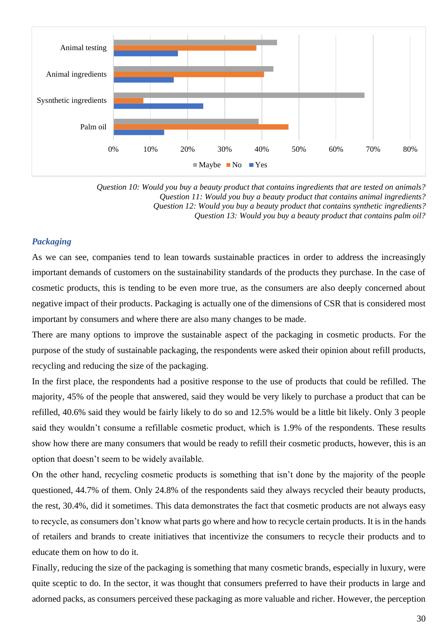

*Question 10: Would you buy a beauty product that contains ingredients that are tested on animals? Question 11: Would you buy a beauty product that contains animal ingredients? Question 12: Would you buy a beauty product that contains synthetic ingredients? Question 13: Would you buy a beauty product that contains palm oil?*

## *Packaging*

As we can see, companies tend to lean towards sustainable practices in order to address the increasingly important demands of customers on the sustainability standards of the products they purchase. In the case of cosmetic products, this is tending to be even more true, as the consumers are also deeply concerned about negative impact of their products. Packaging is actually one of the dimensions of CSR that is considered most important by consumers and where there are also many changes to be made.

There are many options to improve the sustainable aspect of the packaging in cosmetic products. For the purpose of the study of sustainable packaging, the respondents were asked their opinion about refill products, recycling and reducing the size of the packaging.

In the first place, the respondents had a positive response to the use of products that could be refilled. The majority, 45% of the people that answered, said they would be very likely to purchase a product that can be refilled, 40.6% said they would be fairly likely to do so and 12.5% would be a little bit likely. Only 3 people said they wouldn't consume a refillable cosmetic product, which is 1.9% of the respondents. These results show how there are many consumers that would be ready to refill their cosmetic products, however, this is an option that doesn't seem to be widely available.

On the other hand, recycling cosmetic products is something that isn't done by the majority of the people questioned, 44.7% of them. Only 24.8% of the respondents said they always recycled their beauty products, the rest, 30.4%, did it sometimes. This data demonstrates the fact that cosmetic products are not always easy to recycle, as consumers don't know what parts go where and how to recycle certain products. It is in the hands of retailers and brands to create initiatives that incentivize the consumers to recycle their products and to educate them on how to do it.

Finally, reducing the size of the packaging is something that many cosmetic brands, especially in luxury, were quite sceptic to do. In the sector, it was thought that consumers preferred to have their products in large and adorned packs, as consumers perceived these packaging as more valuable and richer. However, the perception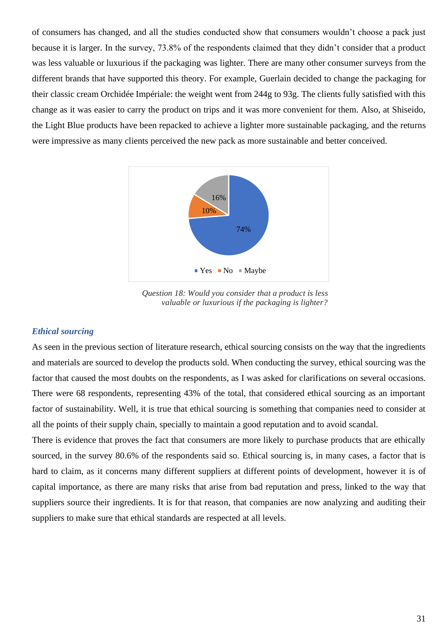of consumers has changed, and all the studies conducted show that consumers wouldn't choose a pack just because it is larger. In the survey, 73.8% of the respondents claimed that they didn't consider that a product was less valuable or luxurious if the packaging was lighter. There are many other consumer surveys from the different brands that have supported this theory. For example, Guerlain decided to change the packaging for their classic cream Orchidée Impériale: the weight went from 244g to 93g. The clients fully satisfied with this change as it was easier to carry the product on trips and it was more convenient for them. Also, at Shiseido, the Light Blue products have been repacked to achieve a lighter more sustainable packaging, and the returns were impressive as many clients perceived the new pack as more sustainable and better conceived.



 *Question 18: Would you consider that a product is less valuable or luxurious if the packaging is lighter?*

#### *Ethical sourcing*

As seen in the previous section of literature research, ethical sourcing consists on the way that the ingredients and materials are sourced to develop the products sold. When conducting the survey, ethical sourcing was the factor that caused the most doubts on the respondents, as I was asked for clarifications on several occasions. There were 68 respondents, representing 43% of the total, that considered ethical sourcing as an important factor of sustainability. Well, it is true that ethical sourcing is something that companies need to consider at all the points of their supply chain, specially to maintain a good reputation and to avoid scandal.

There is evidence that proves the fact that consumers are more likely to purchase products that are ethically sourced, in the survey 80.6% of the respondents said so. Ethical sourcing is, in many cases, a factor that is hard to claim, as it concerns many different suppliers at different points of development, however it is of capital importance, as there are many risks that arise from bad reputation and press, linked to the way that suppliers source their ingredients. It is for that reason, that companies are now analyzing and auditing their suppliers to make sure that ethical standards are respected at all levels.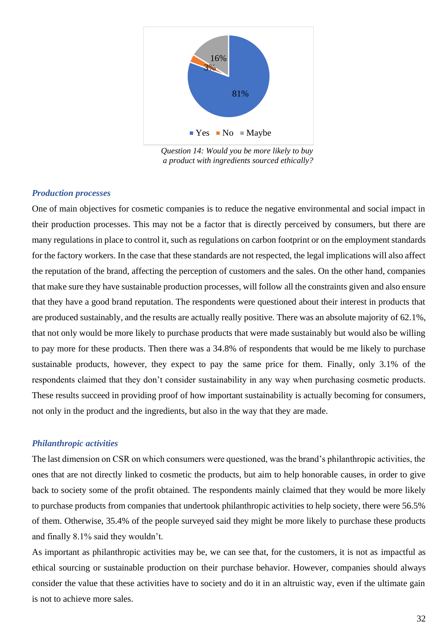

 *Question 14: Would you be more likely to buy a product with ingredients sourced ethically?*

#### *Production processes*

One of main objectives for cosmetic companies is to reduce the negative environmental and social impact in their production processes. This may not be a factor that is directly perceived by consumers, but there are many regulations in place to control it, such as regulations on carbon footprint or on the employment standards for the factory workers. In the case that these standards are not respected, the legal implications will also affect the reputation of the brand, affecting the perception of customers and the sales. On the other hand, companies that make sure they have sustainable production processes, will follow all the constraints given and also ensure that they have a good brand reputation. The respondents were questioned about their interest in products that are produced sustainably, and the results are actually really positive. There was an absolute majority of 62.1%, that not only would be more likely to purchase products that were made sustainably but would also be willing to pay more for these products. Then there was a 34.8% of respondents that would be me likely to purchase sustainable products, however, they expect to pay the same price for them. Finally, only 3.1% of the respondents claimed that they don't consider sustainability in any way when purchasing cosmetic products. These results succeed in providing proof of how important sustainability is actually becoming for consumers, not only in the product and the ingredients, but also in the way that they are made.

#### *Philanthropic activities*

The last dimension on CSR on which consumers were questioned, was the brand's philanthropic activities, the ones that are not directly linked to cosmetic the products, but aim to help honorable causes, in order to give back to society some of the profit obtained. The respondents mainly claimed that they would be more likely to purchase products from companies that undertook philanthropic activities to help society, there were 56.5% of them. Otherwise, 35.4% of the people surveyed said they might be more likely to purchase these products and finally 8.1% said they wouldn't.

As important as philanthropic activities may be, we can see that, for the customers, it is not as impactful as ethical sourcing or sustainable production on their purchase behavior. However, companies should always consider the value that these activities have to society and do it in an altruistic way, even if the ultimate gain is not to achieve more sales.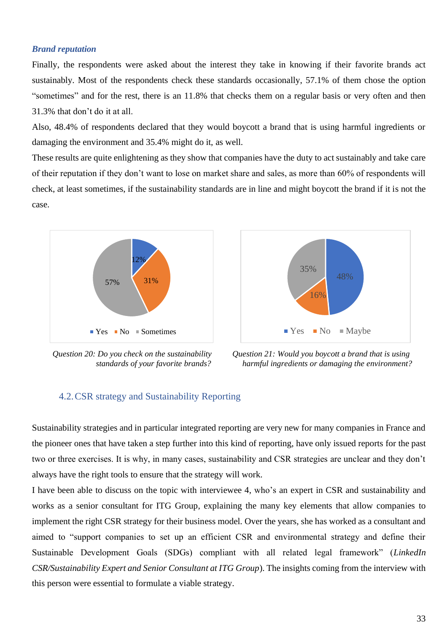#### *Brand reputation*

Finally, the respondents were asked about the interest they take in knowing if their favorite brands act sustainably. Most of the respondents check these standards occasionally, 57.1% of them chose the option "sometimes" and for the rest, there is an 11.8% that checks them on a regular basis or very often and then 31.3% that don't do it at all.

Also, 48.4% of respondents declared that they would boycott a brand that is using harmful ingredients or damaging the environment and 35.4% might do it, as well.

These results are quite enlightening as they show that companies have the duty to act sustainably and take care of their reputation if they don't want to lose on market share and sales, as more than 60% of respondents will check, at least sometimes, if the sustainability standards are in line and might boycott the brand if it is not the case.





 *Question 20: Do you check on the sustainability Question 21: Would you boycott a brand that is using standards of your favorite brands? harmful ingredients or damaging the environment?*

## <span id="page-33-0"></span>4.2.CSR strategy and Sustainability Reporting

Sustainability strategies and in particular integrated reporting are very new for many companies in France and the pioneer ones that have taken a step further into this kind of reporting, have only issued reports for the past two or three exercises. It is why, in many cases, sustainability and CSR strategies are unclear and they don't always have the right tools to ensure that the strategy will work.

I have been able to discuss on the topic with interviewee 4, who's an expert in CSR and sustainability and works as a senior consultant for ITG Group, explaining the many key elements that allow companies to implement the right CSR strategy for their business model. Over the years, she has worked as a consultant and aimed to "support companies to set up an efficient CSR and environmental strategy and define their Sustainable Development Goals (SDGs) compliant with all related legal framework" (*LinkedIn CSR/Sustainability Expert and Senior Consultant at ITG Group*). The insights coming from the interview with this person were essential to formulate a viable strategy.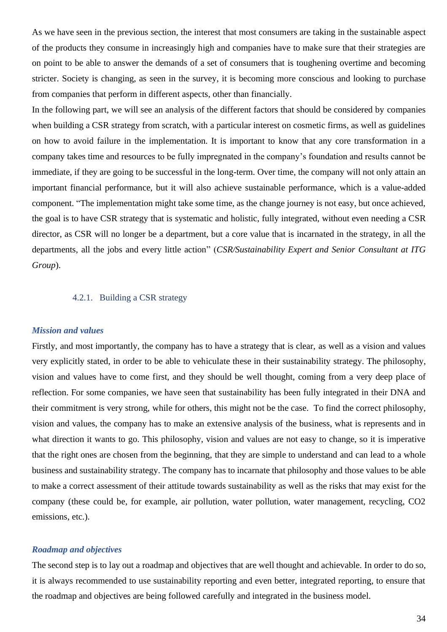As we have seen in the previous section, the interest that most consumers are taking in the sustainable aspect of the products they consume in increasingly high and companies have to make sure that their strategies are on point to be able to answer the demands of a set of consumers that is toughening overtime and becoming stricter. Society is changing, as seen in the survey, it is becoming more conscious and looking to purchase from companies that perform in different aspects, other than financially.

In the following part, we will see an analysis of the different factors that should be considered by companies when building a CSR strategy from scratch, with a particular interest on cosmetic firms, as well as guidelines on how to avoid failure in the implementation. It is important to know that any core transformation in a company takes time and resources to be fully impregnated in the company's foundation and results cannot be immediate, if they are going to be successful in the long-term. Over time, the company will not only attain an important financial performance, but it will also achieve sustainable performance, which is a value-added component. "The implementation might take some time, as the change journey is not easy, but once achieved, the goal is to have CSR strategy that is systematic and holistic, fully integrated, without even needing a CSR director, as CSR will no longer be a department, but a core value that is incarnated in the strategy, in all the departments, all the jobs and every little action" (*CSR/Sustainability Expert and Senior Consultant at ITG Group*).

## 4.2.1. Building a CSR strategy

#### <span id="page-34-0"></span>*Mission and values*

Firstly, and most importantly, the company has to have a strategy that is clear, as well as a vision and values very explicitly stated, in order to be able to vehiculate these in their sustainability strategy. The philosophy, vision and values have to come first, and they should be well thought, coming from a very deep place of reflection. For some companies, we have seen that sustainability has been fully integrated in their DNA and their commitment is very strong, while for others, this might not be the case. To find the correct philosophy, vision and values, the company has to make an extensive analysis of the business, what is represents and in what direction it wants to go. This philosophy, vision and values are not easy to change, so it is imperative that the right ones are chosen from the beginning, that they are simple to understand and can lead to a whole business and sustainability strategy. The company has to incarnate that philosophy and those values to be able to make a correct assessment of their attitude towards sustainability as well as the risks that may exist for the company (these could be, for example, air pollution, water pollution, water management, recycling, CO2 emissions, etc.).

#### *Roadmap and objectives*

The second step is to lay out a roadmap and objectives that are well thought and achievable. In order to do so, it is always recommended to use sustainability reporting and even better, integrated reporting, to ensure that the roadmap and objectives are being followed carefully and integrated in the business model.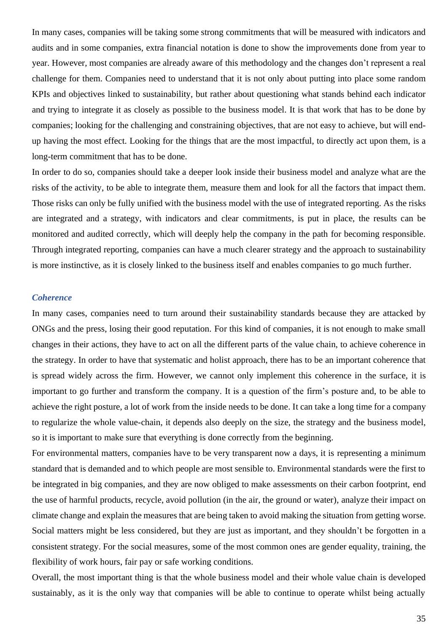In many cases, companies will be taking some strong commitments that will be measured with indicators and audits and in some companies, extra financial notation is done to show the improvements done from year to year. However, most companies are already aware of this methodology and the changes don't represent a real challenge for them. Companies need to understand that it is not only about putting into place some random KPIs and objectives linked to sustainability, but rather about questioning what stands behind each indicator and trying to integrate it as closely as possible to the business model. It is that work that has to be done by companies; looking for the challenging and constraining objectives, that are not easy to achieve, but will endup having the most effect. Looking for the things that are the most impactful, to directly act upon them, is a long-term commitment that has to be done.

In order to do so, companies should take a deeper look inside their business model and analyze what are the risks of the activity, to be able to integrate them, measure them and look for all the factors that impact them. Those risks can only be fully unified with the business model with the use of integrated reporting. As the risks are integrated and a strategy, with indicators and clear commitments, is put in place, the results can be monitored and audited correctly, which will deeply help the company in the path for becoming responsible. Through integrated reporting, companies can have a much clearer strategy and the approach to sustainability is more instinctive, as it is closely linked to the business itself and enables companies to go much further.

#### *Coherence*

In many cases, companies need to turn around their sustainability standards because they are attacked by ONGs and the press, losing their good reputation. For this kind of companies, it is not enough to make small changes in their actions, they have to act on all the different parts of the value chain, to achieve coherence in the strategy. In order to have that systematic and holist approach, there has to be an important coherence that is spread widely across the firm. However, we cannot only implement this coherence in the surface, it is important to go further and transform the company. It is a question of the firm's posture and, to be able to achieve the right posture, a lot of work from the inside needs to be done. It can take a long time for a company to regularize the whole value-chain, it depends also deeply on the size, the strategy and the business model, so it is important to make sure that everything is done correctly from the beginning.

For environmental matters, companies have to be very transparent now a days, it is representing a minimum standard that is demanded and to which people are most sensible to. Environmental standards were the first to be integrated in big companies, and they are now obliged to make assessments on their carbon footprint, end the use of harmful products, recycle, avoid pollution (in the air, the ground or water), analyze their impact on climate change and explain the measures that are being taken to avoid making the situation from getting worse. Social matters might be less considered, but they are just as important, and they shouldn't be forgotten in a consistent strategy. For the social measures, some of the most common ones are gender equality, training, the flexibility of work hours, fair pay or safe working conditions.

Overall, the most important thing is that the whole business model and their whole value chain is developed sustainably, as it is the only way that companies will be able to continue to operate whilst being actually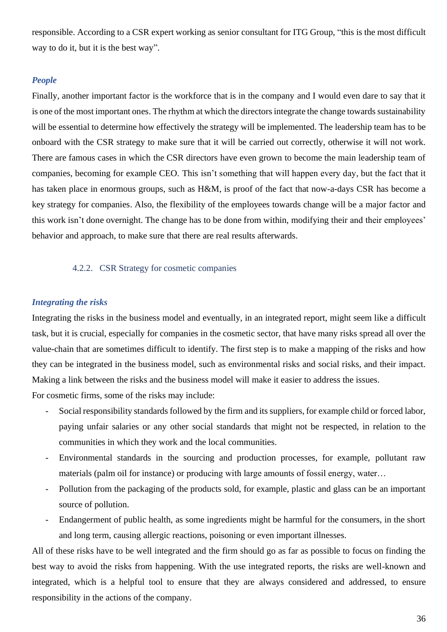responsible. According to a CSR expert working as senior consultant for ITG Group, "this is the most difficult way to do it, but it is the best way".

#### *People*

Finally, another important factor is the workforce that is in the company and I would even dare to say that it is one of the most important ones. The rhythm at which the directors integrate the change towards sustainability will be essential to determine how effectively the strategy will be implemented. The leadership team has to be onboard with the CSR strategy to make sure that it will be carried out correctly, otherwise it will not work. There are famous cases in which the CSR directors have even grown to become the main leadership team of companies, becoming for example CEO. This isn't something that will happen every day, but the fact that it has taken place in enormous groups, such as H&M, is proof of the fact that now-a-days CSR has become a key strategy for companies. Also, the flexibility of the employees towards change will be a major factor and this work isn't done overnight. The change has to be done from within, modifying their and their employees' behavior and approach, to make sure that there are real results afterwards.

#### 4.2.2. CSR Strategy for cosmetic companies

#### *Integrating the risks*

Integrating the risks in the business model and eventually, in an integrated report, might seem like a difficult task, but it is crucial, especially for companies in the cosmetic sector, that have many risks spread all over the value-chain that are sometimes difficult to identify. The first step is to make a mapping of the risks and how they can be integrated in the business model, such as environmental risks and social risks, and their impact. Making a link between the risks and the business model will make it easier to address the issues.

For cosmetic firms, some of the risks may include:

- Social responsibility standards followed by the firm and its suppliers, for example child or forced labor, paying unfair salaries or any other social standards that might not be respected, in relation to the communities in which they work and the local communities.
- Environmental standards in the sourcing and production processes, for example, pollutant raw materials (palm oil for instance) or producing with large amounts of fossil energy, water…
- Pollution from the packaging of the products sold, for example, plastic and glass can be an important source of pollution.
- Endangerment of public health, as some ingredients might be harmful for the consumers, in the short and long term, causing allergic reactions, poisoning or even important illnesses.

All of these risks have to be well integrated and the firm should go as far as possible to focus on finding the best way to avoid the risks from happening. With the use integrated reports, the risks are well-known and integrated, which is a helpful tool to ensure that they are always considered and addressed, to ensure responsibility in the actions of the company.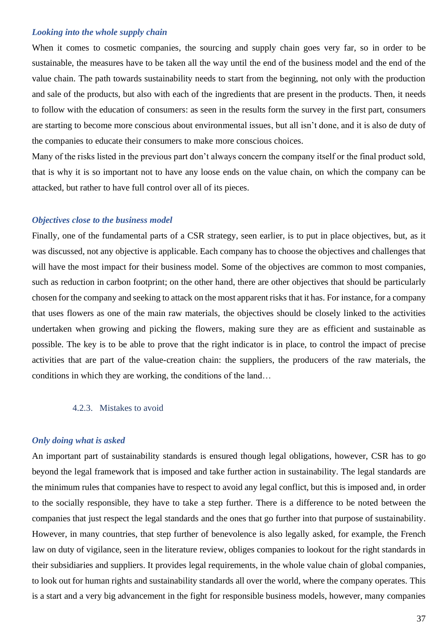#### *Looking into the whole supply chain*

When it comes to cosmetic companies, the sourcing and supply chain goes very far, so in order to be sustainable, the measures have to be taken all the way until the end of the business model and the end of the value chain. The path towards sustainability needs to start from the beginning, not only with the production and sale of the products, but also with each of the ingredients that are present in the products. Then, it needs to follow with the education of consumers: as seen in the results form the survey in the first part, consumers are starting to become more conscious about environmental issues, but all isn't done, and it is also de duty of the companies to educate their consumers to make more conscious choices.

Many of the risks listed in the previous part don't always concern the company itself or the final product sold, that is why it is so important not to have any loose ends on the value chain, on which the company can be attacked, but rather to have full control over all of its pieces.

#### *Objectives close to the business model*

Finally, one of the fundamental parts of a CSR strategy, seen earlier, is to put in place objectives, but, as it was discussed, not any objective is applicable. Each company has to choose the objectives and challenges that will have the most impact for their business model. Some of the objectives are common to most companies, such as reduction in carbon footprint; on the other hand, there are other objectives that should be particularly chosen for the company and seeking to attack on the most apparent risks that it has. For instance, for a company that uses flowers as one of the main raw materials, the objectives should be closely linked to the activities undertaken when growing and picking the flowers, making sure they are as efficient and sustainable as possible. The key is to be able to prove that the right indicator is in place, to control the impact of precise activities that are part of the value-creation chain: the suppliers, the producers of the raw materials, the conditions in which they are working, the conditions of the land…

#### 4.2.3. Mistakes to avoid

#### *Only doing what is asked*

An important part of sustainability standards is ensured though legal obligations, however, CSR has to go beyond the legal framework that is imposed and take further action in sustainability. The legal standards are the minimum rules that companies have to respect to avoid any legal conflict, but this is imposed and, in order to the socially responsible, they have to take a step further. There is a difference to be noted between the companies that just respect the legal standards and the ones that go further into that purpose of sustainability. However, in many countries, that step further of benevolence is also legally asked, for example, the French law on duty of vigilance, seen in the literature review, obliges companies to lookout for the right standards in their subsidiaries and suppliers. It provides legal requirements, in the whole value chain of global companies, to look out for human rights and sustainability standards all over the world, where the company operates. This is a start and a very big advancement in the fight for responsible business models, however, many companies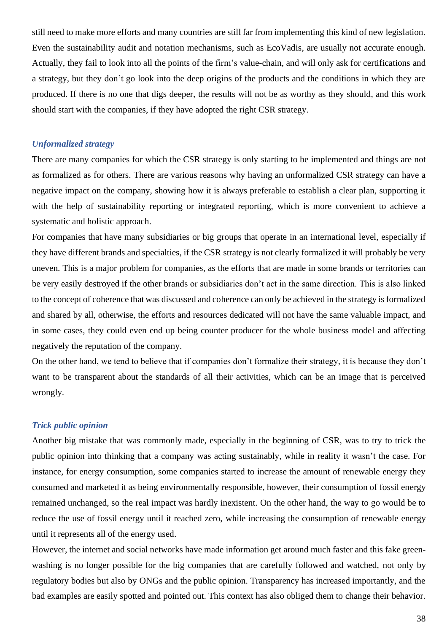still need to make more efforts and many countries are still far from implementing this kind of new legislation. Even the sustainability audit and notation mechanisms, such as EcoVadis, are usually not accurate enough. Actually, they fail to look into all the points of the firm's value-chain, and will only ask for certifications and a strategy, but they don't go look into the deep origins of the products and the conditions in which they are produced. If there is no one that digs deeper, the results will not be as worthy as they should, and this work should start with the companies, if they have adopted the right CSR strategy.

#### *Unformalized strategy*

There are many companies for which the CSR strategy is only starting to be implemented and things are not as formalized as for others. There are various reasons why having an unformalized CSR strategy can have a negative impact on the company, showing how it is always preferable to establish a clear plan, supporting it with the help of sustainability reporting or integrated reporting, which is more convenient to achieve a systematic and holistic approach.

For companies that have many subsidiaries or big groups that operate in an international level, especially if they have different brands and specialties, if the CSR strategy is not clearly formalized it will probably be very uneven. This is a major problem for companies, as the efforts that are made in some brands or territories can be very easily destroyed if the other brands or subsidiaries don't act in the same direction. This is also linked to the concept of coherence that was discussed and coherence can only be achieved in the strategy is formalized and shared by all, otherwise, the efforts and resources dedicated will not have the same valuable impact, and in some cases, they could even end up being counter producer for the whole business model and affecting negatively the reputation of the company.

On the other hand, we tend to believe that if companies don't formalize their strategy, it is because they don't want to be transparent about the standards of all their activities, which can be an image that is perceived wrongly.

#### *Trick public opinion*

Another big mistake that was commonly made, especially in the beginning of CSR, was to try to trick the public opinion into thinking that a company was acting sustainably, while in reality it wasn't the case. For instance, for energy consumption, some companies started to increase the amount of renewable energy they consumed and marketed it as being environmentally responsible, however, their consumption of fossil energy remained unchanged, so the real impact was hardly inexistent. On the other hand, the way to go would be to reduce the use of fossil energy until it reached zero, while increasing the consumption of renewable energy until it represents all of the energy used.

However, the internet and social networks have made information get around much faster and this fake greenwashing is no longer possible for the big companies that are carefully followed and watched, not only by regulatory bodies but also by ONGs and the public opinion. Transparency has increased importantly, and the bad examples are easily spotted and pointed out. This context has also obliged them to change their behavior.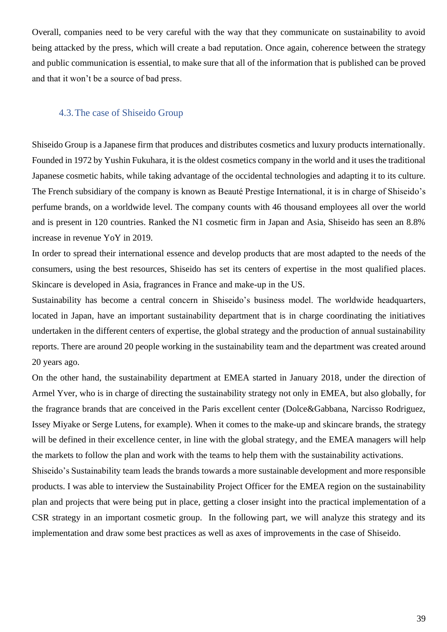Overall, companies need to be very careful with the way that they communicate on sustainability to avoid being attacked by the press, which will create a bad reputation. Once again, coherence between the strategy and public communication is essential, to make sure that all of the information that is published can be proved and that it won't be a source of bad press.

## 4.3.The case of Shiseido Group

Shiseido Group is a Japanese firm that produces and distributes cosmetics and luxury products internationally. Founded in 1972 by Yushin Fukuhara, it is the oldest cosmetics company in the world and it uses the traditional Japanese cosmetic habits, while taking advantage of the occidental technologies and adapting it to its culture. The French subsidiary of the company is known as Beauté Prestige International, it is in charge of Shiseido's perfume brands, on a worldwide level. The company counts with 46 thousand employees all over the world and is present in 120 countries. Ranked the N1 cosmetic firm in Japan and Asia, Shiseido has seen an 8.8% increase in revenue YoY in 2019.

In order to spread their international essence and develop products that are most adapted to the needs of the consumers, using the best resources, Shiseido has set its centers of expertise in the most qualified places. Skincare is developed in Asia, fragrances in France and make-up in the US.

Sustainability has become a central concern in Shiseido's business model. The worldwide headquarters, located in Japan, have an important sustainability department that is in charge coordinating the initiatives undertaken in the different centers of expertise, the global strategy and the production of annual sustainability reports. There are around 20 people working in the sustainability team and the department was created around 20 years ago.

On the other hand, the sustainability department at EMEA started in January 2018, under the direction of Armel Yver, who is in charge of directing the sustainability strategy not only in EMEA, but also globally, for the fragrance brands that are conceived in the Paris excellent center (Dolce&Gabbana, Narcisso Rodriguez, Issey Miyake or Serge Lutens, for example). When it comes to the make-up and skincare brands, the strategy will be defined in their excellence center, in line with the global strategy, and the EMEA managers will help the markets to follow the plan and work with the teams to help them with the sustainability activations.

Shiseido's Sustainability team leads the brands towards a more sustainable development and more responsible products. I was able to interview the Sustainability Project Officer for the EMEA region on the sustainability plan and projects that were being put in place, getting a closer insight into the practical implementation of a CSR strategy in an important cosmetic group. In the following part, we will analyze this strategy and its implementation and draw some best practices as well as axes of improvements in the case of Shiseido.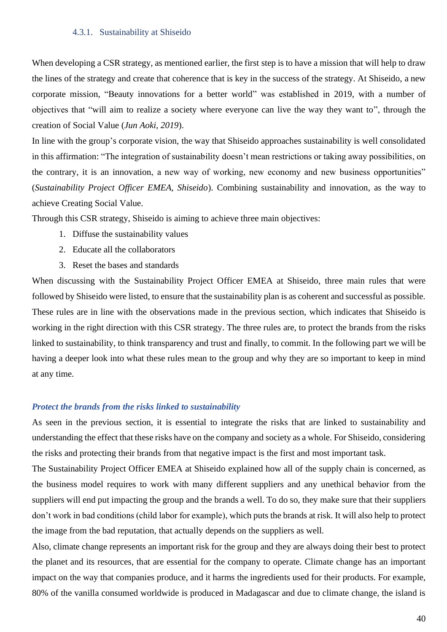#### 4.3.1. Sustainability at Shiseido

When developing a CSR strategy, as mentioned earlier, the first step is to have a mission that will help to draw the lines of the strategy and create that coherence that is key in the success of the strategy. At Shiseido, a new corporate mission, "Beauty innovations for a better world" was established in 2019, with a number of objectives that "will aim to realize a society where everyone can live the way they want to", through the creation of Social Value (*Jun Aoki, 2019*).

In line with the group's corporate vision, the way that Shiseido approaches sustainability is well consolidated in this affirmation: "The integration of sustainability doesn't mean restrictions or taking away possibilities, on the contrary, it is an innovation, a new way of working, new economy and new business opportunities" (*Sustainability Project Officer EMEA, Shiseido*). Combining sustainability and innovation, as the way to achieve Creating Social Value.

Through this CSR strategy, Shiseido is aiming to achieve three main objectives:

- 1. Diffuse the sustainability values
- 2. Educate all the collaborators
- 3. Reset the bases and standards

When discussing with the Sustainability Project Officer EMEA at Shiseido, three main rules that were followed by Shiseido were listed, to ensure that the sustainability plan is as coherent and successful as possible. These rules are in line with the observations made in the previous section, which indicates that Shiseido is working in the right direction with this CSR strategy. The three rules are, to protect the brands from the risks linked to sustainability, to think transparency and trust and finally, to commit. In the following part we will be having a deeper look into what these rules mean to the group and why they are so important to keep in mind at any time.

#### *Protect the brands from the risks linked to sustainability*

As seen in the previous section, it is essential to integrate the risks that are linked to sustainability and understanding the effect that these risks have on the company and society as a whole. For Shiseido, considering the risks and protecting their brands from that negative impact is the first and most important task.

The Sustainability Project Officer EMEA at Shiseido explained how all of the supply chain is concerned, as the business model requires to work with many different suppliers and any unethical behavior from the suppliers will end put impacting the group and the brands a well. To do so, they make sure that their suppliers don't work in bad conditions (child labor for example), which puts the brands at risk. It will also help to protect the image from the bad reputation, that actually depends on the suppliers as well.

Also, climate change represents an important risk for the group and they are always doing their best to protect the planet and its resources, that are essential for the company to operate. Climate change has an important impact on the way that companies produce, and it harms the ingredients used for their products. For example, 80% of the vanilla consumed worldwide is produced in Madagascar and due to climate change, the island is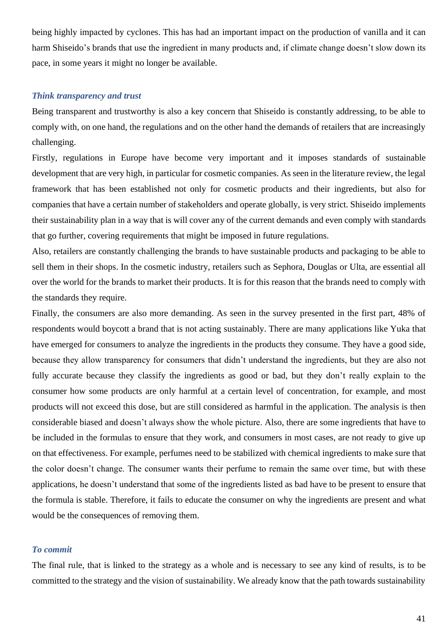being highly impacted by cyclones. This has had an important impact on the production of vanilla and it can harm Shiseido's brands that use the ingredient in many products and, if climate change doesn't slow down its pace, in some years it might no longer be available.

#### *Think transparency and trust*

Being transparent and trustworthy is also a key concern that Shiseido is constantly addressing, to be able to comply with, on one hand, the regulations and on the other hand the demands of retailers that are increasingly challenging.

Firstly, regulations in Europe have become very important and it imposes standards of sustainable development that are very high, in particular for cosmetic companies. As seen in the literature review, the legal framework that has been established not only for cosmetic products and their ingredients, but also for companies that have a certain number of stakeholders and operate globally, is very strict. Shiseido implements their sustainability plan in a way that is will cover any of the current demands and even comply with standards that go further, covering requirements that might be imposed in future regulations.

Also, retailers are constantly challenging the brands to have sustainable products and packaging to be able to sell them in their shops. In the cosmetic industry, retailers such as Sephora, Douglas or Ulta, are essential all over the world for the brands to market their products. It is for this reason that the brands need to comply with the standards they require.

Finally, the consumers are also more demanding. As seen in the survey presented in the first part, 48% of respondents would boycott a brand that is not acting sustainably. There are many applications like Yuka that have emerged for consumers to analyze the ingredients in the products they consume. They have a good side, because they allow transparency for consumers that didn't understand the ingredients, but they are also not fully accurate because they classify the ingredients as good or bad, but they don't really explain to the consumer how some products are only harmful at a certain level of concentration, for example, and most products will not exceed this dose, but are still considered as harmful in the application. The analysis is then considerable biased and doesn't always show the whole picture. Also, there are some ingredients that have to be included in the formulas to ensure that they work, and consumers in most cases, are not ready to give up on that effectiveness. For example, perfumes need to be stabilized with chemical ingredients to make sure that the color doesn't change. The consumer wants their perfume to remain the same over time, but with these applications, he doesn't understand that some of the ingredients listed as bad have to be present to ensure that the formula is stable. Therefore, it fails to educate the consumer on why the ingredients are present and what would be the consequences of removing them.

### *To commit*

The final rule, that is linked to the strategy as a whole and is necessary to see any kind of results, is to be committed to the strategy and the vision of sustainability. We already know that the path towards sustainability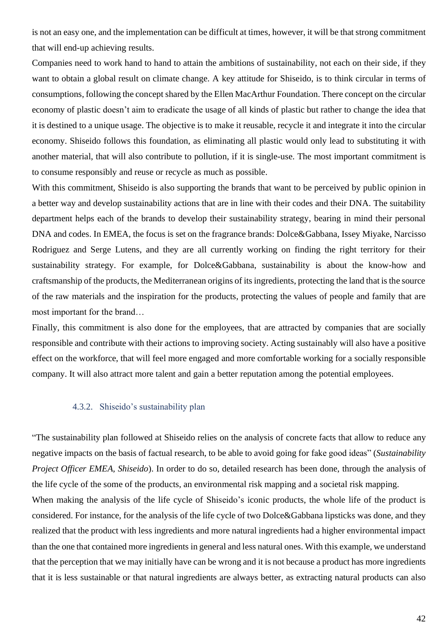is not an easy one, and the implementation can be difficult at times, however, it will be that strong commitment that will end-up achieving results.

Companies need to work hand to hand to attain the ambitions of sustainability, not each on their side, if they want to obtain a global result on climate change. A key attitude for Shiseido, is to think circular in terms of consumptions, following the concept shared by the Ellen MacArthur Foundation. There concept on the circular economy of plastic doesn't aim to eradicate the usage of all kinds of plastic but rather to change the idea that it is destined to a unique usage. The objective is to make it reusable, recycle it and integrate it into the circular economy. Shiseido follows this foundation, as eliminating all plastic would only lead to substituting it with another material, that will also contribute to pollution, if it is single-use. The most important commitment is to consume responsibly and reuse or recycle as much as possible.

With this commitment, Shiseido is also supporting the brands that want to be perceived by public opinion in a better way and develop sustainability actions that are in line with their codes and their DNA. The suitability department helps each of the brands to develop their sustainability strategy, bearing in mind their personal DNA and codes. In EMEA, the focus is set on the fragrance brands: Dolce&Gabbana, Issey Miyake, Narcisso Rodriguez and Serge Lutens, and they are all currently working on finding the right territory for their sustainability strategy. For example, for Dolce&Gabbana, sustainability is about the know-how and craftsmanship of the products, the Mediterranean origins of its ingredients, protecting the land that is the source of the raw materials and the inspiration for the products, protecting the values of people and family that are most important for the brand…

Finally, this commitment is also done for the employees, that are attracted by companies that are socially responsible and contribute with their actions to improving society. Acting sustainably will also have a positive effect on the workforce, that will feel more engaged and more comfortable working for a socially responsible company. It will also attract more talent and gain a better reputation among the potential employees.

#### 4.3.2. Shiseido's sustainability plan

"The sustainability plan followed at Shiseido relies on the analysis of concrete facts that allow to reduce any negative impacts on the basis of factual research, to be able to avoid going for fake good ideas" (*Sustainability Project Officer EMEA, Shiseido*). In order to do so, detailed research has been done, through the analysis of the life cycle of the some of the products, an environmental risk mapping and a societal risk mapping.

When making the analysis of the life cycle of Shiseido's iconic products, the whole life of the product is considered. For instance, for the analysis of the life cycle of two Dolce&Gabbana lipsticks was done, and they realized that the product with less ingredients and more natural ingredients had a higher environmental impact than the one that contained more ingredients in general and less natural ones. With this example, we understand that the perception that we may initially have can be wrong and it is not because a product has more ingredients that it is less sustainable or that natural ingredients are always better, as extracting natural products can also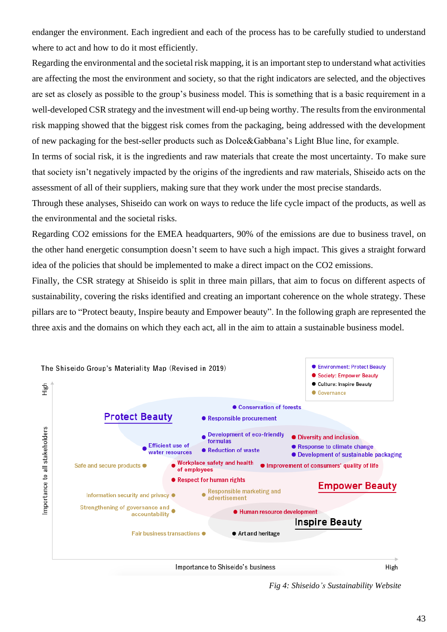endanger the environment. Each ingredient and each of the process has to be carefully studied to understand where to act and how to do it most efficiently.

Regarding the environmental and the societal risk mapping, it is an important step to understand what activities are affecting the most the environment and society, so that the right indicators are selected, and the objectives are set as closely as possible to the group's business model. This is something that is a basic requirement in a well-developed CSR strategy and the investment will end-up being worthy. The results from the environmental risk mapping showed that the biggest risk comes from the packaging, being addressed with the development of new packaging for the best-seller products such as Dolce&Gabbana's Light Blue line, for example.

In terms of social risk, it is the ingredients and raw materials that create the most uncertainty. To make sure that society isn't negatively impacted by the origins of the ingredients and raw materials, Shiseido acts on the assessment of all of their suppliers, making sure that they work under the most precise standards.

Through these analyses, Shiseido can work on ways to reduce the life cycle impact of the products, as well as the environmental and the societal risks.

Regarding CO2 emissions for the EMEA headquarters, 90% of the emissions are due to business travel, on the other hand energetic consumption doesn't seem to have such a high impact. This gives a straight forward idea of the policies that should be implemented to make a direct impact on the CO2 emissions.

Finally, the CSR strategy at Shiseido is split in three main pillars, that aim to focus on different aspects of sustainability, covering the risks identified and creating an important coherence on the whole strategy. These pillars are to "Protect beauty, Inspire beauty and Empower beauty". In the following graph are represented the three axis and the domains on which they each act, all in the aim to attain a sustainable business model.



*Fig 4: Shiseido's Sustainability Website*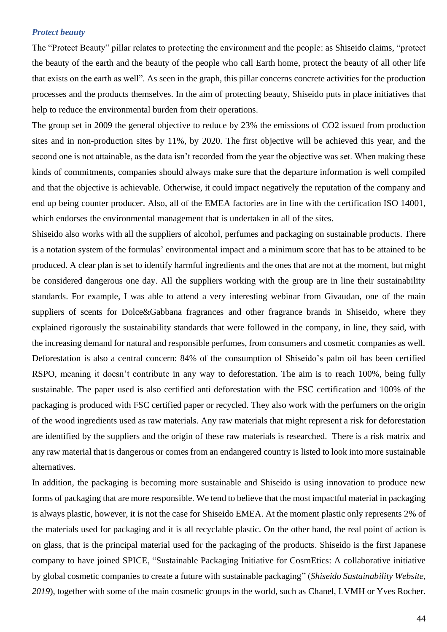#### *Protect beauty*

The "Protect Beauty" pillar relates to protecting the environment and the people: as Shiseido claims, "protect the beauty of the earth and the beauty of the people who call Earth home, protect the beauty of all other life that exists on the earth as well". As seen in the graph, this pillar concerns concrete activities for the production processes and the products themselves. In the aim of protecting beauty, Shiseido puts in place initiatives that help to reduce the environmental burden from their operations.

The group set in 2009 the general objective to reduce by 23% the emissions of CO2 issued from production sites and in non-production sites by 11%, by 2020. The first objective will be achieved this year, and the second one is not attainable, as the data isn't recorded from the year the objective was set. When making these kinds of commitments, companies should always make sure that the departure information is well compiled and that the objective is achievable. Otherwise, it could impact negatively the reputation of the company and end up being counter producer. Also, all of the EMEA factories are in line with the certification ISO 14001, which endorses the environmental management that is undertaken in all of the sites.

Shiseido also works with all the suppliers of alcohol, perfumes and packaging on sustainable products. There is a notation system of the formulas' environmental impact and a minimum score that has to be attained to be produced. A clear plan is set to identify harmful ingredients and the ones that are not at the moment, but might be considered dangerous one day. All the suppliers working with the group are in line their sustainability standards. For example, I was able to attend a very interesting webinar from Givaudan, one of the main suppliers of scents for Dolce&Gabbana fragrances and other fragrance brands in Shiseido, where they explained rigorously the sustainability standards that were followed in the company, in line, they said, with the increasing demand for natural and responsible perfumes, from consumers and cosmetic companies as well. Deforestation is also a central concern: 84% of the consumption of Shiseido's palm oil has been certified RSPO, meaning it doesn't contribute in any way to deforestation. The aim is to reach 100%, being fully sustainable. The paper used is also certified anti deforestation with the FSC certification and 100% of the packaging is produced with FSC certified paper or recycled. They also work with the perfumers on the origin of the wood ingredients used as raw materials. Any raw materials that might represent a risk for deforestation are identified by the suppliers and the origin of these raw materials is researched. There is a risk matrix and any raw material that is dangerous or comes from an endangered country is listed to look into more sustainable alternatives.

In addition, the packaging is becoming more sustainable and Shiseido is using innovation to produce new forms of packaging that are more responsible. We tend to believe that the most impactful material in packaging is always plastic, however, it is not the case for Shiseido EMEA. At the moment plastic only represents 2% of the materials used for packaging and it is all recyclable plastic. On the other hand, the real point of action is on glass, that is the principal material used for the packaging of the products. Shiseido is the first Japanese company to have joined SPICE, "Sustainable Packaging Initiative for CosmEtics: A collaborative initiative by global cosmetic companies to create a future with sustainable packaging" (*Shiseido Sustainability Website, 2019*), together with some of the main cosmetic groups in the world, such as Chanel, LVMH or Yves Rocher.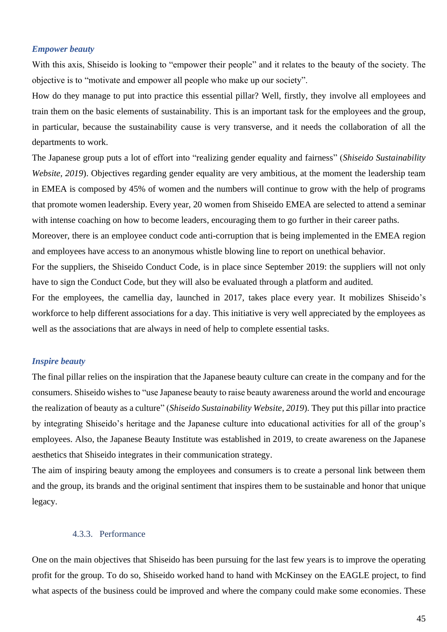#### *Empower beauty*

With this axis, Shiseido is looking to "empower their people" and it relates to the beauty of the society. The objective is to "motivate and empower all people who make up our society".

How do they manage to put into practice this essential pillar? Well, firstly, they involve all employees and train them on the basic elements of sustainability. This is an important task for the employees and the group, in particular, because the sustainability cause is very transverse, and it needs the collaboration of all the departments to work.

The Japanese group puts a lot of effort into "realizing gender equality and fairness" (*Shiseido Sustainability Website, 2019*). Objectives regarding gender equality are very ambitious, at the moment the leadership team in EMEA is composed by 45% of women and the numbers will continue to grow with the help of programs that promote women leadership. Every year, 20 women from Shiseido EMEA are selected to attend a seminar with intense coaching on how to become leaders, encouraging them to go further in their career paths.

Moreover, there is an employee conduct code anti-corruption that is being implemented in the EMEA region and employees have access to an anonymous whistle blowing line to report on unethical behavior.

For the suppliers, the Shiseido Conduct Code, is in place since September 2019: the suppliers will not only have to sign the Conduct Code, but they will also be evaluated through a platform and audited.

For the employees, the camellia day, launched in 2017, takes place every year. It mobilizes Shiseido's workforce to help different associations for a day. This initiative is very well appreciated by the employees as well as the associations that are always in need of help to complete essential tasks.

#### *Inspire beauty*

The final pillar relies on the inspiration that the Japanese beauty culture can create in the company and for the consumers. Shiseido wishes to "use Japanese beauty to raise beauty awareness around the world and encourage the realization of beauty as a culture" (*Shiseido Sustainability Website, 2019*). They put this pillar into practice by integrating Shiseido's heritage and the Japanese culture into educational activities for all of the group's employees. Also, the Japanese Beauty Institute was established in 2019, to create awareness on the Japanese aesthetics that Shiseido integrates in their communication strategy.

The aim of inspiring beauty among the employees and consumers is to create a personal link between them and the group, its brands and the original sentiment that inspires them to be sustainable and honor that unique legacy.

#### 4.3.3. Performance

One on the main objectives that Shiseido has been pursuing for the last few years is to improve the operating profit for the group. To do so, Shiseido worked hand to hand with McKinsey on the EAGLE project, to find what aspects of the business could be improved and where the company could make some economies. These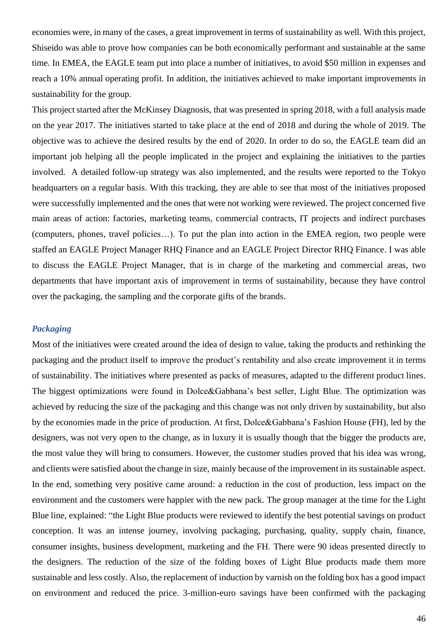economies were, in many of the cases, a great improvement in terms of sustainability as well. With this project, Shiseido was able to prove how companies can be both economically performant and sustainable at the same time. In EMEA, the EAGLE team put into place a number of initiatives, to avoid \$50 million in expenses and reach a 10% annual operating profit. In addition, the initiatives achieved to make important improvements in sustainability for the group.

This project started after the McKinsey Diagnosis, that was presented in spring 2018, with a full analysis made on the year 2017. The initiatives started to take place at the end of 2018 and during the whole of 2019. The objective was to achieve the desired results by the end of 2020. In order to do so, the EAGLE team did an important job helping all the people implicated in the project and explaining the initiatives to the parties involved. A detailed follow-up strategy was also implemented, and the results were reported to the Tokyo headquarters on a regular basis. With this tracking, they are able to see that most of the initiatives proposed were successfully implemented and the ones that were not working were reviewed. The project concerned five main areas of action: factories, marketing teams, commercial contracts, IT projects and indirect purchases (computers, phones, travel policies…). To put the plan into action in the EMEA region, two people were staffed an EAGLE Project Manager RHQ Finance and an EAGLE Project Director RHQ Finance. I was able to discuss the EAGLE Project Manager, that is in charge of the marketing and commercial areas, two departments that have important axis of improvement in terms of sustainability, because they have control over the packaging, the sampling and the corporate gifts of the brands.

#### *Packaging*

Most of the initiatives were created around the idea of design to value, taking the products and rethinking the packaging and the product itself to improve the product's rentability and also create improvement it in terms of sustainability. The initiatives where presented as packs of measures, adapted to the different product lines. The biggest optimizations were found in Dolce&Gabbana's best seller, Light Blue. The optimization was achieved by reducing the size of the packaging and this change was not only driven by sustainability, but also by the economies made in the price of production. At first, Dolce&Gabbana's Fashion House (FH), led by the designers, was not very open to the change, as in luxury it is usually though that the bigger the products are, the most value they will bring to consumers. However, the customer studies proved that his idea was wrong, and clients were satisfied about the change in size, mainly because of the improvement in its sustainable aspect. In the end, something very positive came around: a reduction in the cost of production, less impact on the environment and the customers were happier with the new pack. The group manager at the time for the Light Blue line, explained: "the Light Blue products were reviewed to identify the best potential savings on product conception. It was an intense journey, involving packaging, purchasing, quality, supply chain, finance, consumer insights, business development, marketing and the FH. There were 90 ideas presented directly to the designers. The reduction of the size of the folding boxes of Light Blue products made them more sustainable and less costly. Also, the replacement of induction by varnish on the folding box has a good impact on environment and reduced the price. 3-million-euro savings have been confirmed with the packaging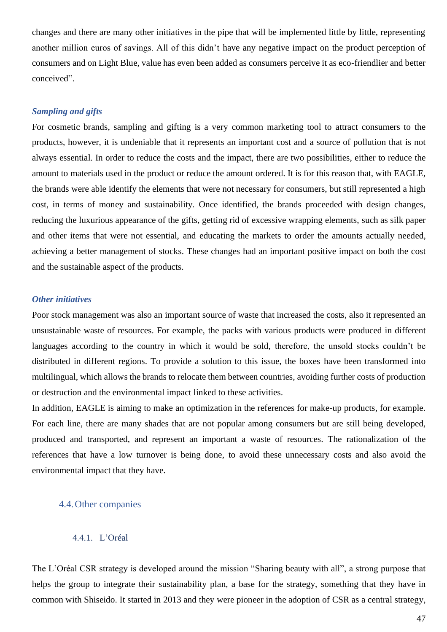changes and there are many other initiatives in the pipe that will be implemented little by little, representing another million euros of savings. All of this didn't have any negative impact on the product perception of consumers and on Light Blue, value has even been added as consumers perceive it as eco-friendlier and better conceived".

#### *Sampling and gifts*

For cosmetic brands, sampling and gifting is a very common marketing tool to attract consumers to the products, however, it is undeniable that it represents an important cost and a source of pollution that is not always essential. In order to reduce the costs and the impact, there are two possibilities, either to reduce the amount to materials used in the product or reduce the amount ordered. It is for this reason that, with EAGLE, the brands were able identify the elements that were not necessary for consumers, but still represented a high cost, in terms of money and sustainability. Once identified, the brands proceeded with design changes, reducing the luxurious appearance of the gifts, getting rid of excessive wrapping elements, such as silk paper and other items that were not essential, and educating the markets to order the amounts actually needed, achieving a better management of stocks. These changes had an important positive impact on both the cost and the sustainable aspect of the products.

#### *Other initiatives*

Poor stock management was also an important source of waste that increased the costs, also it represented an unsustainable waste of resources. For example, the packs with various products were produced in different languages according to the country in which it would be sold, therefore, the unsold stocks couldn't be distributed in different regions. To provide a solution to this issue, the boxes have been transformed into multilingual, which allows the brands to relocate them between countries, avoiding further costs of production or destruction and the environmental impact linked to these activities.

In addition, EAGLE is aiming to make an optimization in the references for make-up products, for example. For each line, there are many shades that are not popular among consumers but are still being developed, produced and transported, and represent an important a waste of resources. The rationalization of the references that have a low turnover is being done, to avoid these unnecessary costs and also avoid the environmental impact that they have.

#### 4.4.Other companies

#### 4.4.1. L'Oréal

The L'Oréal CSR strategy is developed around the mission "Sharing beauty with all", a strong purpose that helps the group to integrate their sustainability plan, a base for the strategy, something that they have in common with Shiseido. It started in 2013 and they were pioneer in the adoption of CSR as a central strategy,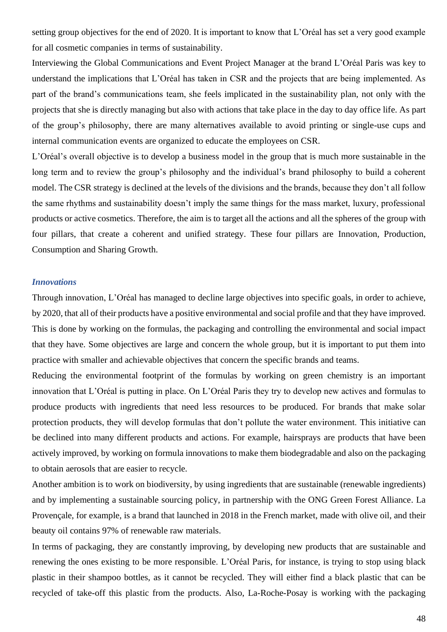setting group objectives for the end of 2020. It is important to know that L'Oréal has set a very good example for all cosmetic companies in terms of sustainability.

Interviewing the Global Communications and Event Project Manager at the brand L'Oréal Paris was key to understand the implications that L'Oréal has taken in CSR and the projects that are being implemented. As part of the brand's communications team, she feels implicated in the sustainability plan, not only with the projects that she is directly managing but also with actions that take place in the day to day office life. As part of the group's philosophy, there are many alternatives available to avoid printing or single-use cups and internal communication events are organized to educate the employees on CSR.

L'Oréal's overall objective is to develop a business model in the group that is much more sustainable in the long term and to review the group's philosophy and the individual's brand philosophy to build a coherent model. The CSR strategy is declined at the levels of the divisions and the brands, because they don't all follow the same rhythms and sustainability doesn't imply the same things for the mass market, luxury, professional products or active cosmetics. Therefore, the aim is to target all the actions and all the spheres of the group with four pillars, that create a coherent and unified strategy. These four pillars are Innovation, Production, Consumption and Sharing Growth.

#### *Innovations*

Through innovation, L'Oréal has managed to decline large objectives into specific goals, in order to achieve, by 2020, that all of their products have a positive environmental and social profile and that they have improved. This is done by working on the formulas, the packaging and controlling the environmental and social impact that they have. Some objectives are large and concern the whole group, but it is important to put them into practice with smaller and achievable objectives that concern the specific brands and teams.

Reducing the environmental footprint of the formulas by working on green chemistry is an important innovation that L'Oréal is putting in place. On L'Oréal Paris they try to develop new actives and formulas to produce products with ingredients that need less resources to be produced. For brands that make solar protection products, they will develop formulas that don't pollute the water environment. This initiative can be declined into many different products and actions. For example, hairsprays are products that have been actively improved, by working on formula innovations to make them biodegradable and also on the packaging to obtain aerosols that are easier to recycle.

Another ambition is to work on biodiversity, by using ingredients that are sustainable (renewable ingredients) and by implementing a sustainable sourcing policy, in partnership with the ONG Green Forest Alliance. La Provençale, for example, is a brand that launched in 2018 in the French market, made with olive oil, and their beauty oil contains 97% of renewable raw materials.

In terms of packaging, they are constantly improving, by developing new products that are sustainable and renewing the ones existing to be more responsible. L'Oréal Paris, for instance, is trying to stop using black plastic in their shampoo bottles, as it cannot be recycled. They will either find a black plastic that can be recycled of take-off this plastic from the products. Also, La-Roche-Posay is working with the packaging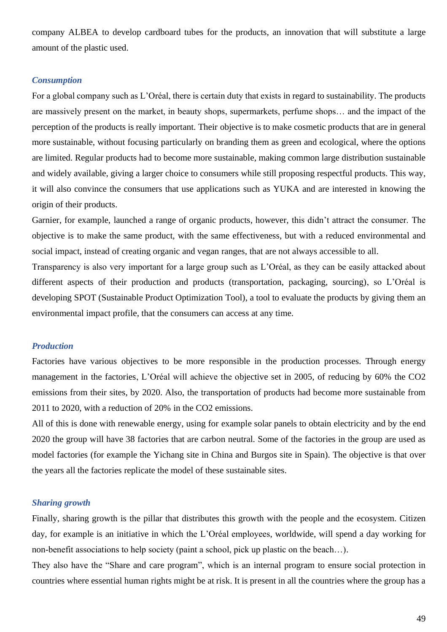company ALBEA to develop cardboard tubes for the products, an innovation that will substitute a large amount of the plastic used.

#### *Consumption*

For a global company such as L'Oréal, there is certain duty that exists in regard to sustainability. The products are massively present on the market, in beauty shops, supermarkets, perfume shops… and the impact of the perception of the products is really important. Their objective is to make cosmetic products that are in general more sustainable, without focusing particularly on branding them as green and ecological, where the options are limited. Regular products had to become more sustainable, making common large distribution sustainable and widely available, giving a larger choice to consumers while still proposing respectful products. This way, it will also convince the consumers that use applications such as YUKA and are interested in knowing the origin of their products.

Garnier, for example, launched a range of organic products, however, this didn't attract the consumer. The objective is to make the same product, with the same effectiveness, but with a reduced environmental and social impact, instead of creating organic and vegan ranges, that are not always accessible to all.

Transparency is also very important for a large group such as L'Oréal, as they can be easily attacked about different aspects of their production and products (transportation, packaging, sourcing), so L'Oréal is developing SPOT (Sustainable Product Optimization Tool), a tool to evaluate the products by giving them an environmental impact profile, that the consumers can access at any time.

#### *Production*

Factories have various objectives to be more responsible in the production processes. Through energy management in the factories, L'Oréal will achieve the objective set in 2005, of reducing by 60% the CO2 emissions from their sites, by 2020. Also, the transportation of products had become more sustainable from 2011 to 2020, with a reduction of 20% in the CO2 emissions.

All of this is done with renewable energy, using for example solar panels to obtain electricity and by the end 2020 the group will have 38 factories that are carbon neutral. Some of the factories in the group are used as model factories (for example the Yichang site in China and Burgos site in Spain). The objective is that over the years all the factories replicate the model of these sustainable sites.

#### *Sharing growth*

Finally, sharing growth is the pillar that distributes this growth with the people and the ecosystem. Citizen day, for example is an initiative in which the L'Oréal employees, worldwide, will spend a day working for non-benefit associations to help society (paint a school, pick up plastic on the beach…).

They also have the "Share and care program", which is an internal program to ensure social protection in countries where essential human rights might be at risk. It is present in all the countries where the group has a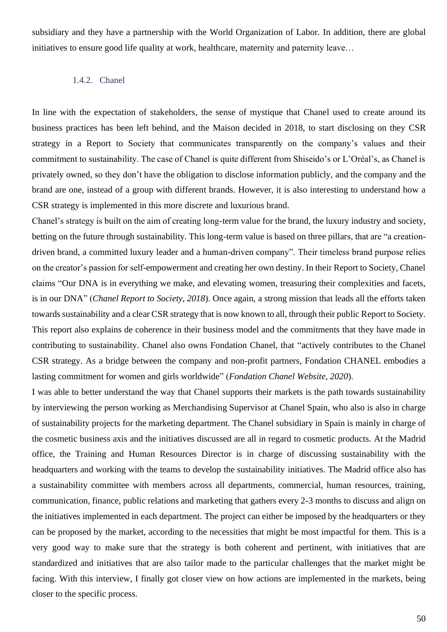subsidiary and they have a partnership with the World Organization of Labor. In addition, there are global initiatives to ensure good life quality at work, healthcare, maternity and paternity leave…

#### 1.4.2. Chanel

In line with the expectation of stakeholders, the sense of mystique that Chanel used to create around its business practices has been left behind, and the Maison decided in 2018, to start disclosing on they CSR strategy in a Report to Society that communicates transparently on the company's values and their commitment to sustainability. The case of Chanel is quite different from Shiseido's or L'Oréal's, as Chanel is privately owned, so they don't have the obligation to disclose information publicly, and the company and the brand are one, instead of a group with different brands. However, it is also interesting to understand how a CSR strategy is implemented in this more discrete and luxurious brand.

Chanel's strategy is built on the aim of creating long-term value for the brand, the luxury industry and society, betting on the future through sustainability. This long-term value is based on three pillars, that are "a creationdriven brand, a committed luxury leader and a human-driven company". Their timeless brand purpose relies on the creator's passion for self-empowerment and creating her own destiny. In their Report to Society, Chanel claims "Our DNA is in everything we make, and elevating women, treasuring their complexities and facets, is in our DNA" (*Chanel Report to Society, 2018*). Once again, a strong mission that leads all the efforts taken towards sustainability and a clear CSR strategy that is now known to all, through their public Report to Society. This report also explains de coherence in their business model and the commitments that they have made in contributing to sustainability. Chanel also owns Fondation Chanel, that "actively contributes to the Chanel CSR strategy. As a bridge between the company and non-profit partners, Fondation CHANEL embodies a lasting commitment for women and girls worldwide" (*Fondation Chanel Website, 2020*).

I was able to better understand the way that Chanel supports their markets is the path towards sustainability by interviewing the person working as Merchandising Supervisor at Chanel Spain, who also is also in charge of sustainability projects for the marketing department. The Chanel subsidiary in Spain is mainly in charge of the cosmetic business axis and the initiatives discussed are all in regard to cosmetic products. At the Madrid office, the Training and Human Resources Director is in charge of discussing sustainability with the headquarters and working with the teams to develop the sustainability initiatives. The Madrid office also has a sustainability committee with members across all departments, commercial, human resources, training, communication, finance, public relations and marketing that gathers every 2-3 months to discuss and align on the initiatives implemented in each department. The project can either be imposed by the headquarters or they can be proposed by the market, according to the necessities that might be most impactful for them. This is a very good way to make sure that the strategy is both coherent and pertinent, with initiatives that are standardized and initiatives that are also tailor made to the particular challenges that the market might be facing. With this interview, I finally got closer view on how actions are implemented in the markets, being closer to the specific process.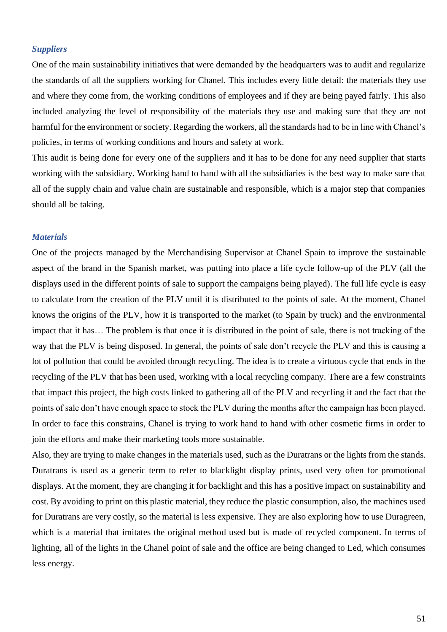#### *Suppliers*

One of the main sustainability initiatives that were demanded by the headquarters was to audit and regularize the standards of all the suppliers working for Chanel. This includes every little detail: the materials they use and where they come from, the working conditions of employees and if they are being payed fairly. This also included analyzing the level of responsibility of the materials they use and making sure that they are not harmful for the environment or society. Regarding the workers, all the standards had to be in line with Chanel's policies, in terms of working conditions and hours and safety at work.

This audit is being done for every one of the suppliers and it has to be done for any need supplier that starts working with the subsidiary. Working hand to hand with all the subsidiaries is the best way to make sure that all of the supply chain and value chain are sustainable and responsible, which is a major step that companies should all be taking.

#### *Materials*

One of the projects managed by the Merchandising Supervisor at Chanel Spain to improve the sustainable aspect of the brand in the Spanish market, was putting into place a life cycle follow-up of the PLV (all the displays used in the different points of sale to support the campaigns being played). The full life cycle is easy to calculate from the creation of the PLV until it is distributed to the points of sale. At the moment, Chanel knows the origins of the PLV, how it is transported to the market (to Spain by truck) and the environmental impact that it has… The problem is that once it is distributed in the point of sale, there is not tracking of the way that the PLV is being disposed. In general, the points of sale don't recycle the PLV and this is causing a lot of pollution that could be avoided through recycling. The idea is to create a virtuous cycle that ends in the recycling of the PLV that has been used, working with a local recycling company. There are a few constraints that impact this project, the high costs linked to gathering all of the PLV and recycling it and the fact that the points of sale don't have enough space to stock the PLV during the months after the campaign has been played. In order to face this constrains, Chanel is trying to work hand to hand with other cosmetic firms in order to join the efforts and make their marketing tools more sustainable.

Also, they are trying to make changes in the materials used, such as the Duratrans or the lights from the stands. Duratrans is used as a generic term to refer to blacklight display prints, used very often for promotional displays. At the moment, they are changing it for backlight and this has a positive impact on sustainability and cost. By avoiding to print on this plastic material, they reduce the plastic consumption, also, the machines used for Duratrans are very costly, so the material is less expensive. They are also exploring how to use Duragreen, which is a material that imitates the original method used but is made of recycled component. In terms of lighting, all of the lights in the Chanel point of sale and the office are being changed to Led, which consumes less energy.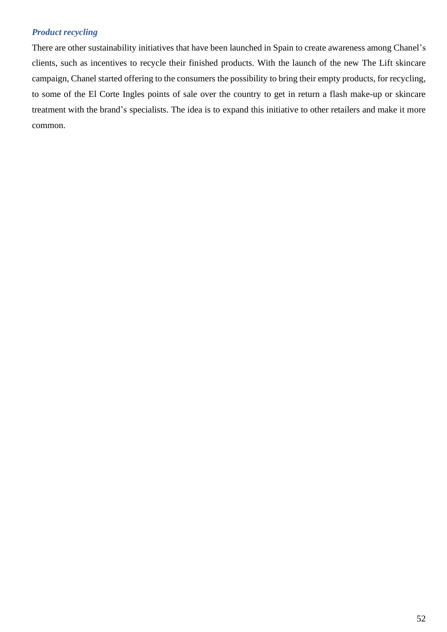## *Product recycling*

There are other sustainability initiatives that have been launched in Spain to create awareness among Chanel's clients, such as incentives to recycle their finished products. With the launch of the new The Lift skincare campaign, Chanel started offering to the consumers the possibility to bring their empty products, for recycling, to some of the El Corte Ingles points of sale over the country to get in return a flash make-up or skincare treatment with the brand's specialists. The idea is to expand this initiative to other retailers and make it more common.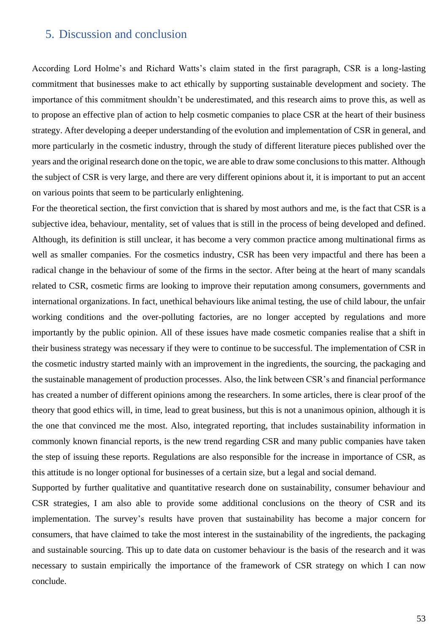# 5. Discussion and conclusion

According Lord Holme's and Richard Watts's claim stated in the first paragraph, CSR is a long-lasting commitment that businesses make to act ethically by supporting sustainable development and society. The importance of this commitment shouldn't be underestimated, and this research aims to prove this, as well as to propose an effective plan of action to help cosmetic companies to place CSR at the heart of their business strategy. After developing a deeper understanding of the evolution and implementation of CSR in general, and more particularly in the cosmetic industry, through the study of different literature pieces published over the years and the original research done on the topic, we are able to draw some conclusions to this matter. Although the subject of CSR is very large, and there are very different opinions about it, it is important to put an accent on various points that seem to be particularly enlightening.

For the theoretical section, the first conviction that is shared by most authors and me, is the fact that CSR is a subjective idea, behaviour, mentality, set of values that is still in the process of being developed and defined. Although, its definition is still unclear, it has become a very common practice among multinational firms as well as smaller companies. For the cosmetics industry, CSR has been very impactful and there has been a radical change in the behaviour of some of the firms in the sector. After being at the heart of many scandals related to CSR, cosmetic firms are looking to improve their reputation among consumers, governments and international organizations. In fact, unethical behaviours like animal testing, the use of child labour, the unfair working conditions and the over-polluting factories, are no longer accepted by regulations and more importantly by the public opinion. All of these issues have made cosmetic companies realise that a shift in their business strategy was necessary if they were to continue to be successful. The implementation of CSR in the cosmetic industry started mainly with an improvement in the ingredients, the sourcing, the packaging and the sustainable management of production processes. Also, the link between CSR's and financial performance has created a number of different opinions among the researchers. In some articles, there is clear proof of the theory that good ethics will, in time, lead to great business, but this is not a unanimous opinion, although it is the one that convinced me the most. Also, integrated reporting, that includes sustainability information in commonly known financial reports, is the new trend regarding CSR and many public companies have taken the step of issuing these reports. Regulations are also responsible for the increase in importance of CSR, as this attitude is no longer optional for businesses of a certain size, but a legal and social demand.

Supported by further qualitative and quantitative research done on sustainability, consumer behaviour and CSR strategies, I am also able to provide some additional conclusions on the theory of CSR and its implementation. The survey's results have proven that sustainability has become a major concern for consumers, that have claimed to take the most interest in the sustainability of the ingredients, the packaging and sustainable sourcing. This up to date data on customer behaviour is the basis of the research and it was necessary to sustain empirically the importance of the framework of CSR strategy on which I can now conclude.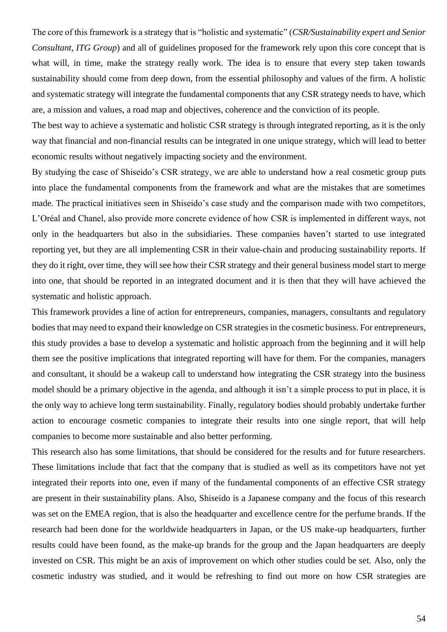The core of this framework is a strategy that is "holistic and systematic" (*CSR/Sustainability expert and Senior Consultant, ITG Group*) and all of guidelines proposed for the framework rely upon this core concept that is what will, in time, make the strategy really work. The idea is to ensure that every step taken towards sustainability should come from deep down, from the essential philosophy and values of the firm. A holistic and systematic strategy will integrate the fundamental components that any CSR strategy needs to have, which are, a mission and values, a road map and objectives, coherence and the conviction of its people.

The best way to achieve a systematic and holistic CSR strategy is through integrated reporting, as it is the only way that financial and non-financial results can be integrated in one unique strategy, which will lead to better economic results without negatively impacting society and the environment.

By studying the case of Shiseido's CSR strategy, we are able to understand how a real cosmetic group puts into place the fundamental components from the framework and what are the mistakes that are sometimes made. The practical initiatives seen in Shiseido's case study and the comparison made with two competitors, L'Oréal and Chanel, also provide more concrete evidence of how CSR is implemented in different ways, not only in the headquarters but also in the subsidiaries. These companies haven't started to use integrated reporting yet, but they are all implementing CSR in their value-chain and producing sustainability reports. If they do it right, over time, they will see how their CSR strategy and their general business model start to merge into one, that should be reported in an integrated document and it is then that they will have achieved the systematic and holistic approach.

This framework provides a line of action for entrepreneurs, companies, managers, consultants and regulatory bodies that may need to expand their knowledge on CSR strategies in the cosmetic business. For entrepreneurs, this study provides a base to develop a systematic and holistic approach from the beginning and it will help them see the positive implications that integrated reporting will have for them. For the companies, managers and consultant, it should be a wakeup call to understand how integrating the CSR strategy into the business model should be a primary objective in the agenda, and although it isn't a simple process to put in place, it is the only way to achieve long term sustainability. Finally, regulatory bodies should probably undertake further action to encourage cosmetic companies to integrate their results into one single report, that will help companies to become more sustainable and also better performing.

This research also has some limitations, that should be considered for the results and for future researchers. These limitations include that fact that the company that is studied as well as its competitors have not yet integrated their reports into one, even if many of the fundamental components of an effective CSR strategy are present in their sustainability plans. Also, Shiseido is a Japanese company and the focus of this research was set on the EMEA region, that is also the headquarter and excellence centre for the perfume brands. If the research had been done for the worldwide headquarters in Japan, or the US make-up headquarters, further results could have been found, as the make-up brands for the group and the Japan headquarters are deeply invested on CSR. This might be an axis of improvement on which other studies could be set. Also, only the cosmetic industry was studied, and it would be refreshing to find out more on how CSR strategies are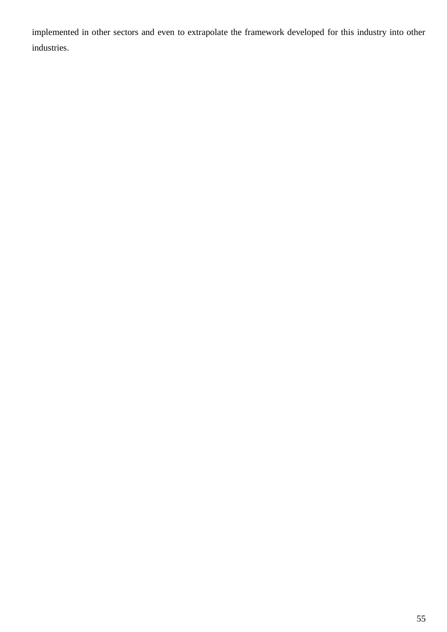implemented in other sectors and even to extrapolate the framework developed for this industry into other industries.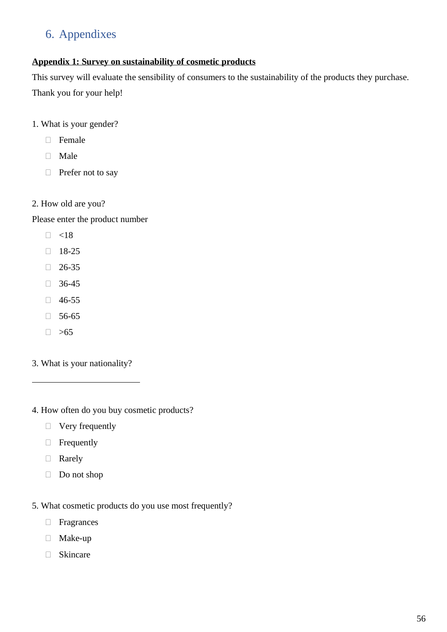# 6. Appendixes

# **Appendix 1: Survey on sustainability of cosmetic products**

This survey will evaluate the sensibility of consumers to the sustainability of the products they purchase. Thank you for your help!

- 1. What is your gender?
	- Female
	- □ Male
	- $\Box$  Prefer not to say
- 2. How old are you?

Please enter the product number

- $\Box$  <18
- $18-25$
- $26-35$
- $36-45$
- $146-55$
- $\Box$  56-65
- $\Box > 65$

 $\overline{a}$ 

- 3. What is your nationality?
- 4. How often do you buy cosmetic products?
	- $\Box$  Very frequently
	- **Frequently**
	- Rarely
	- Do not shop
- 5. What cosmetic products do you use most frequently?
	- **Fragrances**
	- Make-up
	- Skincare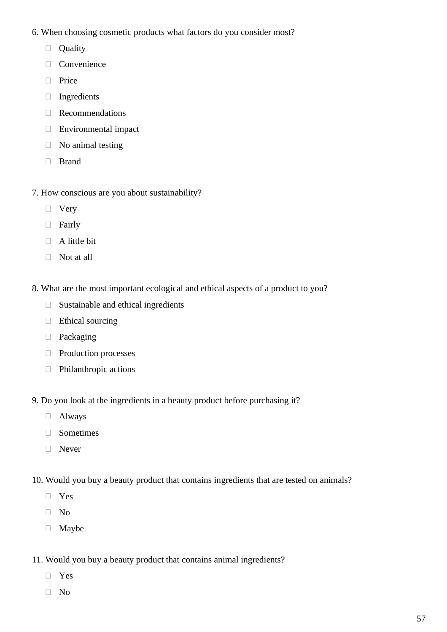- 6. When choosing cosmetic products what factors do you consider most?
	- **Quality**
	- Convenience
	- **Price**
	- $\Box$  Ingredients
	- Recommendations
	- Environmental impact
	- $\Box$  No animal testing
	- **Brand**
- 7. How conscious are you about sustainability?
	- Very
	- **Fairly**
	- $\Box$  A little bit
	- Not at all
- 8. What are the most important ecological and ethical aspects of a product to you?
	- $\Box$  Sustainable and ethical ingredients
	- $\Box$  Ethical sourcing
	- D Packaging
	- Production processes
	- Philanthropic actions
- 9. Do you look at the ingredients in a beauty product before purchasing it?
	- Always
	- Sometimes
	- □ Never
- 10. Would you buy a beauty product that contains ingredients that are tested on animals?
	- Yes
	- $\hfill\Box$  No
	- Maybe
- 11. Would you buy a beauty product that contains animal ingredients?
	- Yes
	- $\Box$  No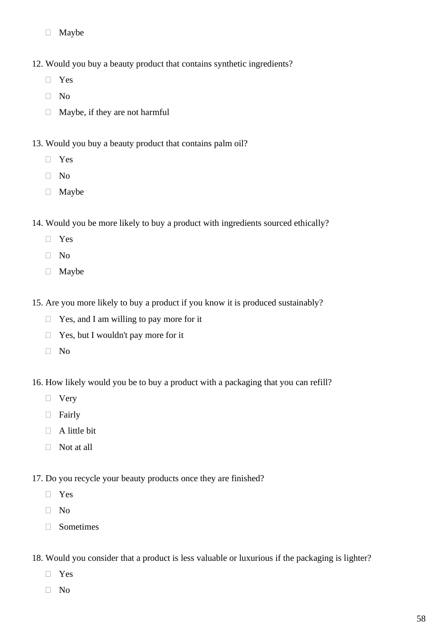- Maybe
- 12. Would you buy a beauty product that contains synthetic ingredients?
	- Yes
	- $\neg$  No
	- $\Box$  Maybe, if they are not harmful
- 13. Would you buy a beauty product that contains palm oil?
	- Yes
	- No
	- Maybe
- 14. Would you be more likely to buy a product with ingredients sourced ethically?
	- Yes
	- $\neg$  No
	- Maybe
- 15. Are you more likely to buy a product if you know it is produced sustainably?
	- □ Yes, and I am willing to pay more for it
	- □ Yes, but I wouldn't pay more for it
	- $\neg$  No
- 16. How likely would you be to buy a product with a packaging that you can refill?
	- □ Very
	- Fairly
	- $\Box$  A little bit
	- $\Box$  Not at all
- 17. Do you recycle your beauty products once they are finished?
	- Yes
	- $\Box$  No
	- Sometimes
- 18. Would you consider that a product is less valuable or luxurious if the packaging is lighter?
	- Yes
	- $\neg$  No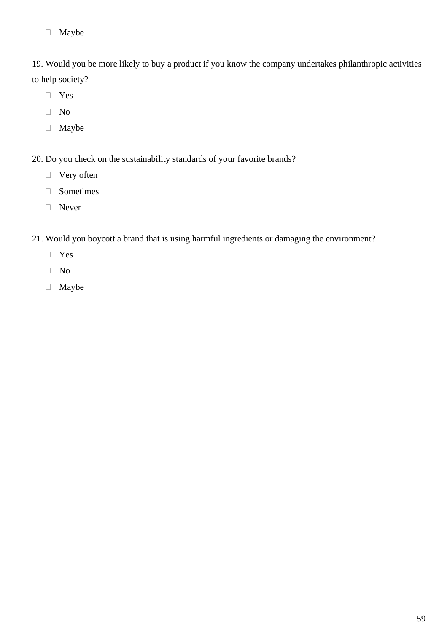Maybe

19. Would you be more likely to buy a product if you know the company undertakes philanthropic activities to help society?

- Yes
- No
- Maybe
- 20. Do you check on the sustainability standards of your favorite brands?
	- □ Very often
	- Sometimes
	- Never
- 21. Would you boycott a brand that is using harmful ingredients or damaging the environment?
	- Yes
	- $\hfill\Box$  No
	- Maybe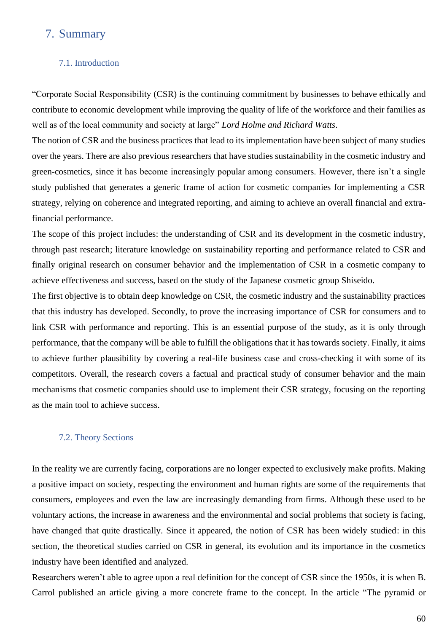# 7. Summary

#### 7.1. Introduction

"Corporate Social Responsibility (CSR) is the continuing commitment by businesses to behave ethically and contribute to economic development while improving the quality of life of the workforce and their families as well as of the local community and society at large" *Lord Holme and Richard Watts*.

The notion of CSR and the business practices that lead to its implementation have been subject of many studies over the years. There are also previous researchers that have studies sustainability in the cosmetic industry and green-cosmetics, since it has become increasingly popular among consumers. However, there isn't a single study published that generates a generic frame of action for cosmetic companies for implementing a CSR strategy, relying on coherence and integrated reporting, and aiming to achieve an overall financial and extrafinancial performance.

The scope of this project includes: the understanding of CSR and its development in the cosmetic industry, through past research; literature knowledge on sustainability reporting and performance related to CSR and finally original research on consumer behavior and the implementation of CSR in a cosmetic company to achieve effectiveness and success, based on the study of the Japanese cosmetic group Shiseido.

The first objective is to obtain deep knowledge on CSR, the cosmetic industry and the sustainability practices that this industry has developed. Secondly, to prove the increasing importance of CSR for consumers and to link CSR with performance and reporting. This is an essential purpose of the study, as it is only through performance, that the company will be able to fulfill the obligations that it has towards society. Finally, it aims to achieve further plausibility by covering a real-life business case and cross-checking it with some of its competitors. Overall, the research covers a factual and practical study of consumer behavior and the main mechanisms that cosmetic companies should use to implement their CSR strategy, focusing on the reporting as the main tool to achieve success.

#### 7.2. Theory Sections

In the reality we are currently facing, corporations are no longer expected to exclusively make profits. Making a positive impact on society, respecting the environment and human rights are some of the requirements that consumers, employees and even the law are increasingly demanding from firms. Although these used to be voluntary actions, the increase in awareness and the environmental and social problems that society is facing, have changed that quite drastically. Since it appeared, the notion of CSR has been widely studied: in this section, the theoretical studies carried on CSR in general, its evolution and its importance in the cosmetics industry have been identified and analyzed.

Researchers weren't able to agree upon a real definition for the concept of CSR since the 1950s, it is when B. Carrol published an article giving a more concrete frame to the concept. In the article "The pyramid or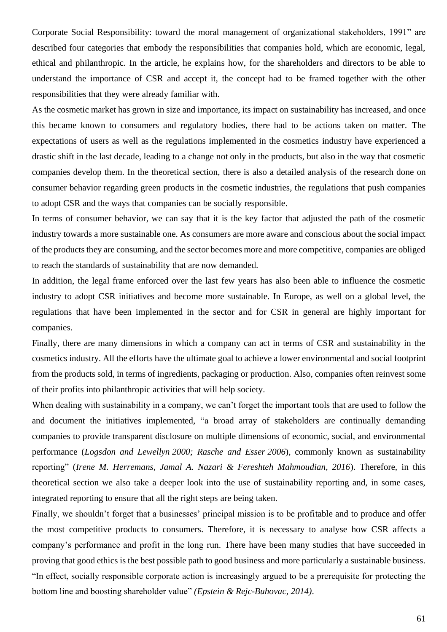Corporate Social Responsibility: toward the moral management of organizational stakeholders, 1991" are described four categories that embody the responsibilities that companies hold, which are economic, legal, ethical and philanthropic. In the article, he explains how, for the shareholders and directors to be able to understand the importance of CSR and accept it, the concept had to be framed together with the other responsibilities that they were already familiar with.

As the cosmetic market has grown in size and importance, its impact on sustainability has increased, and once this became known to consumers and regulatory bodies, there had to be actions taken on matter. The expectations of users as well as the regulations implemented in the cosmetics industry have experienced a drastic shift in the last decade, leading to a change not only in the products, but also in the way that cosmetic companies develop them. In the theoretical section, there is also a detailed analysis of the research done on consumer behavior regarding green products in the cosmetic industries, the regulations that push companies to adopt CSR and the ways that companies can be socially responsible.

In terms of consumer behavior, we can say that it is the key factor that adjusted the path of the cosmetic industry towards a more sustainable one. As consumers are more aware and conscious about the social impact of the products they are consuming, and the sector becomes more and more competitive, companies are obliged to reach the standards of sustainability that are now demanded.

In addition, the legal frame enforced over the last few years has also been able to influence the cosmetic industry to adopt CSR initiatives and become more sustainable. In Europe, as well on a global level, the regulations that have been implemented in the sector and for CSR in general are highly important for companies.

Finally, there are many dimensions in which a company can act in terms of CSR and sustainability in the cosmetics industry. All the efforts have the ultimate goal to achieve a lower environmental and social footprint from the products sold, in terms of ingredients, packaging or production. Also, companies often reinvest some of their profits into philanthropic activities that will help society.

When dealing with sustainability in a company, we can't forget the important tools that are used to follow the and document the initiatives implemented, "a broad array of stakeholders are continually demanding companies to provide transparent disclosure on multiple dimensions of economic, social, and environmental performance (*Logsdon and Lewellyn [2000;](https://link.springer.com/article/10.1007/s10551-015-2634-0#ref-CR34) Rasche and Esser [2006](https://link.springer.com/article/10.1007/s10551-015-2634-0#ref-CR53)*), commonly known as sustainability reporting" (*Irene M. Herremans, Jamal A. Nazari & Fereshteh Mahmoudian, 2016*). Therefore, in this theoretical section we also take a deeper look into the use of sustainability reporting and, in some cases, integrated reporting to ensure that all the right steps are being taken.

Finally, we shouldn't forget that a businesses' principal mission is to be profitable and to produce and offer the most competitive products to consumers. Therefore, it is necessary to analyse how CSR affects a company's performance and profit in the long run. There have been many studies that have succeeded in proving that good ethics is the best possible path to good business and more particularly a sustainable business. "In effect, socially responsible corporate action is increasingly argued to be a prerequisite for protecting the bottom line and boosting shareholder value" *(Epstein & Rejc-Buhovac, 2014)*.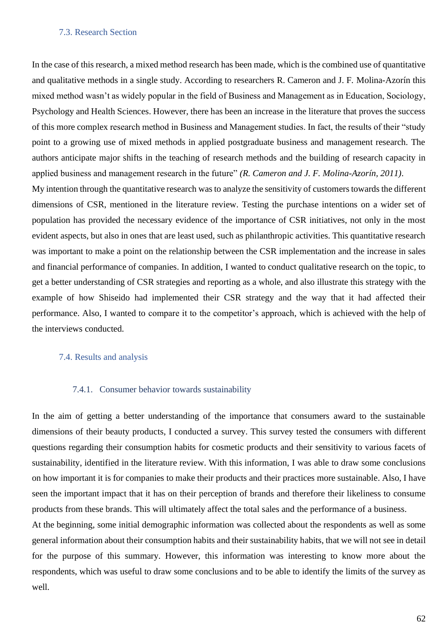#### 7.3. Research Section

In the case of this research, a mixed method research has been made, which is the combined use of quantitative and qualitative methods in a single study. According to researchers R. Cameron and J. F. Molina-Azorín this mixed method wasn't as widely popular in the field of Business and Management as in Education, Sociology, Psychology and Health Sciences. However, there has been an increase in the literature that proves the success of this more complex research method in Business and Management studies. In fact, the results of their "study point to a growing use of mixed methods in applied postgraduate business and management research. The authors anticipate major shifts in the teaching of research methods and the building of research capacity in applied business and management research in the future" *(R. Cameron and J. F. Molina-Azorín, 2011)*.

My intention through the quantitative research was to analyze the sensitivity of customers towards the different dimensions of CSR, mentioned in the literature review. Testing the purchase intentions on a wider set of population has provided the necessary evidence of the importance of CSR initiatives, not only in the most evident aspects, but also in ones that are least used, such as philanthropic activities. This quantitative research was important to make a point on the relationship between the CSR implementation and the increase in sales and financial performance of companies. In addition, I wanted to conduct qualitative research on the topic, to get a better understanding of CSR strategies and reporting as a whole, and also illustrate this strategy with the example of how Shiseido had implemented their CSR strategy and the way that it had affected their performance. Also, I wanted to compare it to the competitor's approach, which is achieved with the help of the interviews conducted.

#### 7.4. Results and analysis

#### 7.4.1. Consumer behavior towards sustainability

In the aim of getting a better understanding of the importance that consumers award to the sustainable dimensions of their beauty products, I conducted a survey. This survey tested the consumers with different questions regarding their consumption habits for cosmetic products and their sensitivity to various facets of sustainability, identified in the literature review. With this information, I was able to draw some conclusions on how important it is for companies to make their products and their practices more sustainable. Also, I have seen the important impact that it has on their perception of brands and therefore their likeliness to consume products from these brands. This will ultimately affect the total sales and the performance of a business.

At the beginning, some initial demographic information was collected about the respondents as well as some general information about their consumption habits and their sustainability habits, that we will not see in detail for the purpose of this summary. However, this information was interesting to know more about the respondents, which was useful to draw some conclusions and to be able to identify the limits of the survey as well.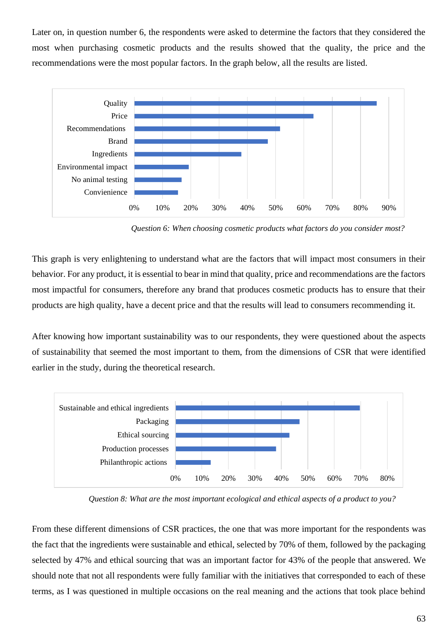Later on, in question number 6, the respondents were asked to determine the factors that they considered the most when purchasing cosmetic products and the results showed that the quality, the price and the recommendations were the most popular factors. In the graph below, all the results are listed.



 *Question 6: When choosing cosmetic products what factors do you consider most?*

This graph is very enlightening to understand what are the factors that will impact most consumers in their behavior. For any product, it is essential to bear in mind that quality, price and recommendations are the factors most impactful for consumers, therefore any brand that produces cosmetic products has to ensure that their products are high quality, have a decent price and that the results will lead to consumers recommending it.

After knowing how important sustainability was to our respondents, they were questioned about the aspects of sustainability that seemed the most important to them, from the dimensions of CSR that were identified earlier in the study, during the theoretical research.



 *Question 8: What are the most important ecological and ethical aspects of a product to you?*

From these different dimensions of CSR practices, the one that was more important for the respondents was the fact that the ingredients were sustainable and ethical, selected by 70% of them, followed by the packaging selected by 47% and ethical sourcing that was an important factor for 43% of the people that answered. We should note that not all respondents were fully familiar with the initiatives that corresponded to each of these terms, as I was questioned in multiple occasions on the real meaning and the actions that took place behind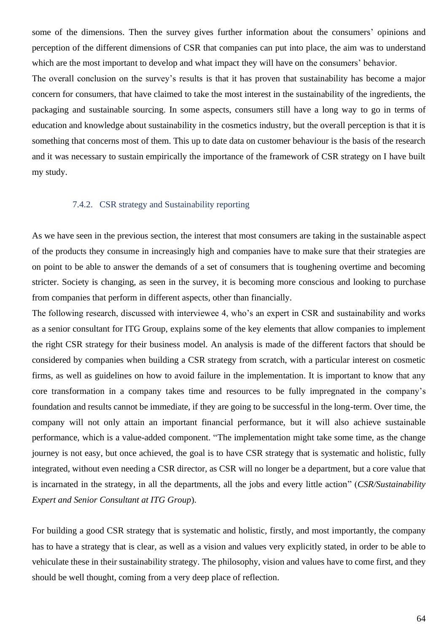some of the dimensions. Then the survey gives further information about the consumers' opinions and perception of the different dimensions of CSR that companies can put into place, the aim was to understand which are the most important to develop and what impact they will have on the consumers' behavior.

The overall conclusion on the survey's results is that it has proven that sustainability has become a major concern for consumers, that have claimed to take the most interest in the sustainability of the ingredients, the packaging and sustainable sourcing. In some aspects, consumers still have a long way to go in terms of education and knowledge about sustainability in the cosmetics industry, but the overall perception is that it is something that concerns most of them. This up to date data on customer behaviour is the basis of the research and it was necessary to sustain empirically the importance of the framework of CSR strategy on I have built my study.

#### 7.4.2. CSR strategy and Sustainability reporting

As we have seen in the previous section, the interest that most consumers are taking in the sustainable aspect of the products they consume in increasingly high and companies have to make sure that their strategies are on point to be able to answer the demands of a set of consumers that is toughening overtime and becoming stricter. Society is changing, as seen in the survey, it is becoming more conscious and looking to purchase from companies that perform in different aspects, other than financially.

The following research, discussed with interviewee 4, who's an expert in CSR and sustainability and works as a senior consultant for ITG Group, explains some of the key elements that allow companies to implement the right CSR strategy for their business model. An analysis is made of the different factors that should be considered by companies when building a CSR strategy from scratch, with a particular interest on cosmetic firms, as well as guidelines on how to avoid failure in the implementation. It is important to know that any core transformation in a company takes time and resources to be fully impregnated in the company's foundation and results cannot be immediate, if they are going to be successful in the long-term. Over time, the company will not only attain an important financial performance, but it will also achieve sustainable performance, which is a value-added component. "The implementation might take some time, as the change journey is not easy, but once achieved, the goal is to have CSR strategy that is systematic and holistic, fully integrated, without even needing a CSR director, as CSR will no longer be a department, but a core value that is incarnated in the strategy, in all the departments, all the jobs and every little action" (*CSR/Sustainability Expert and Senior Consultant at ITG Group*).

For building a good CSR strategy that is systematic and holistic, firstly, and most importantly, the company has to have a strategy that is clear, as well as a vision and values very explicitly stated, in order to be able to vehiculate these in their sustainability strategy. The philosophy, vision and values have to come first, and they should be well thought, coming from a very deep place of reflection.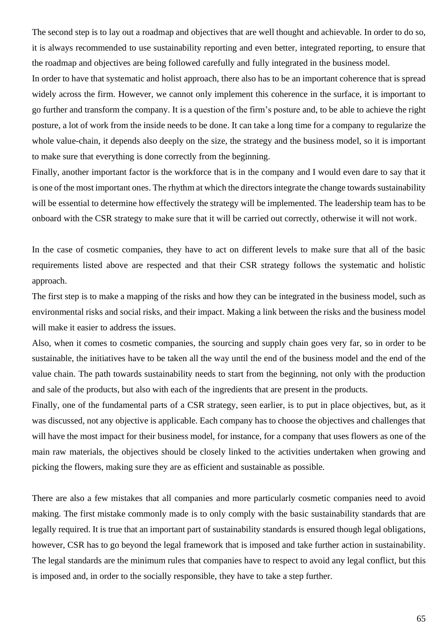The second step is to lay out a roadmap and objectives that are well thought and achievable. In order to do so, it is always recommended to use sustainability reporting and even better, integrated reporting, to ensure that the roadmap and objectives are being followed carefully and fully integrated in the business model.

In order to have that systematic and holist approach, there also has to be an important coherence that is spread widely across the firm. However, we cannot only implement this coherence in the surface, it is important to go further and transform the company. It is a question of the firm's posture and, to be able to achieve the right posture, a lot of work from the inside needs to be done. It can take a long time for a company to regularize the whole value-chain, it depends also deeply on the size, the strategy and the business model, so it is important to make sure that everything is done correctly from the beginning.

Finally, another important factor is the workforce that is in the company and I would even dare to say that it is one of the most important ones. The rhythm at which the directors integrate the change towards sustainability will be essential to determine how effectively the strategy will be implemented. The leadership team has to be onboard with the CSR strategy to make sure that it will be carried out correctly, otherwise it will not work.

In the case of cosmetic companies, they have to act on different levels to make sure that all of the basic requirements listed above are respected and that their CSR strategy follows the systematic and holistic approach.

The first step is to make a mapping of the risks and how they can be integrated in the business model, such as environmental risks and social risks, and their impact. Making a link between the risks and the business model will make it easier to address the issues.

Also, when it comes to cosmetic companies, the sourcing and supply chain goes very far, so in order to be sustainable, the initiatives have to be taken all the way until the end of the business model and the end of the value chain. The path towards sustainability needs to start from the beginning, not only with the production and sale of the products, but also with each of the ingredients that are present in the products.

Finally, one of the fundamental parts of a CSR strategy, seen earlier, is to put in place objectives, but, as it was discussed, not any objective is applicable. Each company has to choose the objectives and challenges that will have the most impact for their business model, for instance, for a company that uses flowers as one of the main raw materials, the objectives should be closely linked to the activities undertaken when growing and picking the flowers, making sure they are as efficient and sustainable as possible.

There are also a few mistakes that all companies and more particularly cosmetic companies need to avoid making. The first mistake commonly made is to only comply with the basic sustainability standards that are legally required. It is true that an important part of sustainability standards is ensured though legal obligations, however, CSR has to go beyond the legal framework that is imposed and take further action in sustainability. The legal standards are the minimum rules that companies have to respect to avoid any legal conflict, but this is imposed and, in order to the socially responsible, they have to take a step further.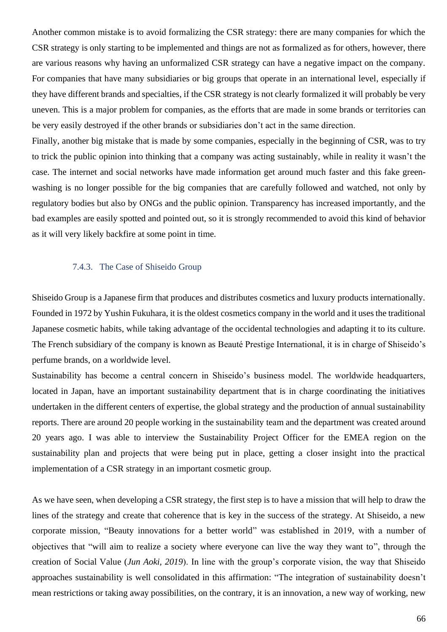Another common mistake is to avoid formalizing the CSR strategy: there are many companies for which the CSR strategy is only starting to be implemented and things are not as formalized as for others, however, there are various reasons why having an unformalized CSR strategy can have a negative impact on the company. For companies that have many subsidiaries or big groups that operate in an international level, especially if they have different brands and specialties, if the CSR strategy is not clearly formalized it will probably be very uneven. This is a major problem for companies, as the efforts that are made in some brands or territories can be very easily destroyed if the other brands or subsidiaries don't act in the same direction.

Finally, another big mistake that is made by some companies, especially in the beginning of CSR, was to try to trick the public opinion into thinking that a company was acting sustainably, while in reality it wasn't the case. The internet and social networks have made information get around much faster and this fake greenwashing is no longer possible for the big companies that are carefully followed and watched, not only by regulatory bodies but also by ONGs and the public opinion. Transparency has increased importantly, and the bad examples are easily spotted and pointed out, so it is strongly recommended to avoid this kind of behavior as it will very likely backfire at some point in time.

#### 7.4.3. The Case of Shiseido Group

Shiseido Group is a Japanese firm that produces and distributes cosmetics and luxury products internationally. Founded in 1972 by Yushin Fukuhara, it is the oldest cosmetics company in the world and it uses the traditional Japanese cosmetic habits, while taking advantage of the occidental technologies and adapting it to its culture. The French subsidiary of the company is known as Beauté Prestige International, it is in charge of Shiseido's perfume brands, on a worldwide level.

Sustainability has become a central concern in Shiseido's business model. The worldwide headquarters, located in Japan, have an important sustainability department that is in charge coordinating the initiatives undertaken in the different centers of expertise, the global strategy and the production of annual sustainability reports. There are around 20 people working in the sustainability team and the department was created around 20 years ago. I was able to interview the Sustainability Project Officer for the EMEA region on the sustainability plan and projects that were being put in place, getting a closer insight into the practical implementation of a CSR strategy in an important cosmetic group.

As we have seen, when developing a CSR strategy, the first step is to have a mission that will help to draw the lines of the strategy and create that coherence that is key in the success of the strategy. At Shiseido, a new corporate mission, "Beauty innovations for a better world" was established in 2019, with a number of objectives that "will aim to realize a society where everyone can live the way they want to", through the creation of Social Value (*Jun Aoki, 2019*). In line with the group's corporate vision, the way that Shiseido approaches sustainability is well consolidated in this affirmation: "The integration of sustainability doesn't mean restrictions or taking away possibilities, on the contrary, it is an innovation, a new way of working, new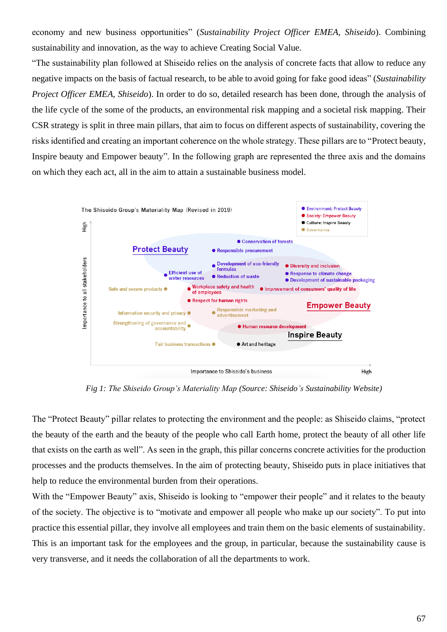economy and new business opportunities" (*Sustainability Project Officer EMEA, Shiseido*). Combining sustainability and innovation, as the way to achieve Creating Social Value.

"The sustainability plan followed at Shiseido relies on the analysis of concrete facts that allow to reduce any negative impacts on the basis of factual research, to be able to avoid going for fake good ideas" (*Sustainability Project Officer EMEA, Shiseido*). In order to do so, detailed research has been done, through the analysis of the life cycle of the some of the products, an environmental risk mapping and a societal risk mapping. Their CSR strategy is split in three main pillars, that aim to focus on different aspects of sustainability, covering the risks identified and creating an important coherence on the whole strategy. These pillars are to "Protect beauty, Inspire beauty and Empower beauty". In the following graph are represented the three axis and the domains on which they each act, all in the aim to attain a sustainable business model.



 *Fig 1: The Shiseido Group's Materiality Map (Source: Shiseido's Sustainability Website)*

The "Protect Beauty" pillar relates to protecting the environment and the people: as Shiseido claims, "protect the beauty of the earth and the beauty of the people who call Earth home, protect the beauty of all other life that exists on the earth as well". As seen in the graph, this pillar concerns concrete activities for the production processes and the products themselves. In the aim of protecting beauty, Shiseido puts in place initiatives that help to reduce the environmental burden from their operations.

With the "Empower Beauty" axis, Shiseido is looking to "empower their people" and it relates to the beauty of the society. The objective is to "motivate and empower all people who make up our society". To put into practice this essential pillar, they involve all employees and train them on the basic elements of sustainability. This is an important task for the employees and the group, in particular, because the sustainability cause is very transverse, and it needs the collaboration of all the departments to work.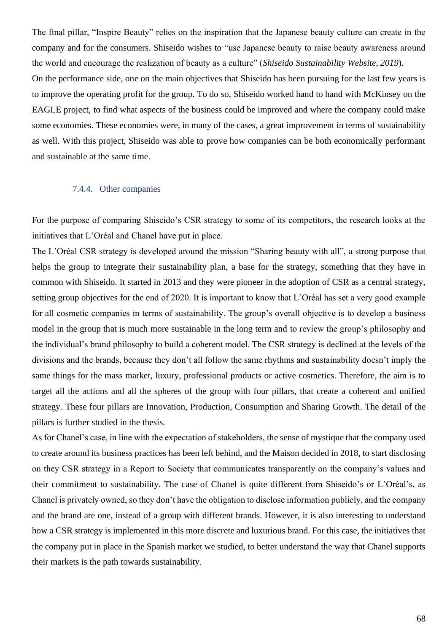The final pillar, "Inspire Beauty" relies on the inspiration that the Japanese beauty culture can create in the company and for the consumers. Shiseido wishes to "use Japanese beauty to raise beauty awareness around the world and encourage the realization of beauty as a culture" (*Shiseido Sustainability Website, 2019*).

On the performance side, one on the main objectives that Shiseido has been pursuing for the last few years is to improve the operating profit for the group. To do so, Shiseido worked hand to hand with McKinsey on the EAGLE project, to find what aspects of the business could be improved and where the company could make some economies. These economies were, in many of the cases, a great improvement in terms of sustainability as well. With this project, Shiseido was able to prove how companies can be both economically performant and sustainable at the same time.

#### 7.4.4. Other companies

For the purpose of comparing Shiseido's CSR strategy to some of its competitors, the research looks at the initiatives that L'Oréal and Chanel have put in place.

The L'Oréal CSR strategy is developed around the mission "Sharing beauty with all", a strong purpose that helps the group to integrate their sustainability plan, a base for the strategy, something that they have in common with Shiseido. It started in 2013 and they were pioneer in the adoption of CSR as a central strategy, setting group objectives for the end of 2020. It is important to know that L'Oréal has set a very good example for all cosmetic companies in terms of sustainability. The group's overall objective is to develop a business model in the group that is much more sustainable in the long term and to review the group's philosophy and the individual's brand philosophy to build a coherent model. The CSR strategy is declined at the levels of the divisions and the brands, because they don't all follow the same rhythms and sustainability doesn't imply the same things for the mass market, luxury, professional products or active cosmetics. Therefore, the aim is to target all the actions and all the spheres of the group with four pillars, that create a coherent and unified strategy. These four pillars are Innovation, Production, Consumption and Sharing Growth. The detail of the pillars is further studied in the thesis.

As for Chanel's case, in line with the expectation of stakeholders, the sense of mystique that the company used to create around its business practices has been left behind, and the Maison decided in 2018, to start disclosing on they CSR strategy in a Report to Society that communicates transparently on the company's values and their commitment to sustainability. The case of Chanel is quite different from Shiseido's or L'Oréal's, as Chanel is privately owned, so they don't have the obligation to disclose information publicly, and the company and the brand are one, instead of a group with different brands. However, it is also interesting to understand how a CSR strategy is implemented in this more discrete and luxurious brand. For this case, the initiatives that the company put in place in the Spanish market we studied, to better understand the way that Chanel supports their markets is the path towards sustainability.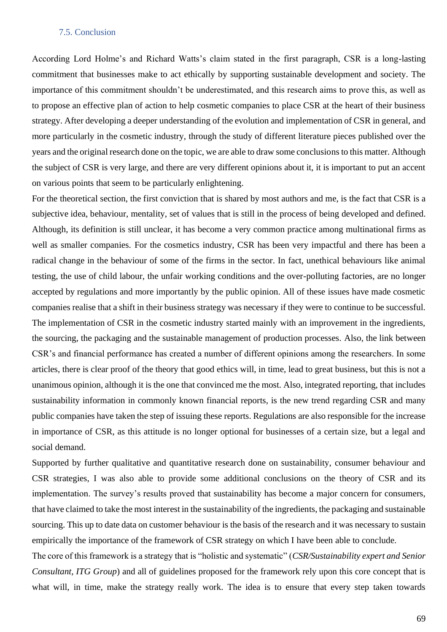#### 7.5. Conclusion

According Lord Holme's and Richard Watts's claim stated in the first paragraph, CSR is a long-lasting commitment that businesses make to act ethically by supporting sustainable development and society. The importance of this commitment shouldn't be underestimated, and this research aims to prove this, as well as to propose an effective plan of action to help cosmetic companies to place CSR at the heart of their business strategy. After developing a deeper understanding of the evolution and implementation of CSR in general, and more particularly in the cosmetic industry, through the study of different literature pieces published over the years and the original research done on the topic, we are able to draw some conclusions to this matter. Although the subject of CSR is very large, and there are very different opinions about it, it is important to put an accent on various points that seem to be particularly enlightening.

For the theoretical section, the first conviction that is shared by most authors and me, is the fact that CSR is a subjective idea, behaviour, mentality, set of values that is still in the process of being developed and defined. Although, its definition is still unclear, it has become a very common practice among multinational firms as well as smaller companies. For the cosmetics industry, CSR has been very impactful and there has been a radical change in the behaviour of some of the firms in the sector. In fact, unethical behaviours like animal testing, the use of child labour, the unfair working conditions and the over-polluting factories, are no longer accepted by regulations and more importantly by the public opinion. All of these issues have made cosmetic companies realise that a shift in their business strategy was necessary if they were to continue to be successful. The implementation of CSR in the cosmetic industry started mainly with an improvement in the ingredients, the sourcing, the packaging and the sustainable management of production processes. Also, the link between CSR's and financial performance has created a number of different opinions among the researchers. In some articles, there is clear proof of the theory that good ethics will, in time, lead to great business, but this is not a unanimous opinion, although it is the one that convinced me the most. Also, integrated reporting, that includes sustainability information in commonly known financial reports, is the new trend regarding CSR and many public companies have taken the step of issuing these reports. Regulations are also responsible for the increase in importance of CSR, as this attitude is no longer optional for businesses of a certain size, but a legal and social demand.

Supported by further qualitative and quantitative research done on sustainability, consumer behaviour and CSR strategies, I was also able to provide some additional conclusions on the theory of CSR and its implementation. The survey's results proved that sustainability has become a major concern for consumers, that have claimed to take the most interest in the sustainability of the ingredients, the packaging and sustainable sourcing. This up to date data on customer behaviour is the basis of the research and it was necessary to sustain empirically the importance of the framework of CSR strategy on which I have been able to conclude.

The core of this framework is a strategy that is "holistic and systematic" (*CSR/Sustainability expert and Senior Consultant, ITG Group*) and all of guidelines proposed for the framework rely upon this core concept that is what will, in time, make the strategy really work. The idea is to ensure that every step taken towards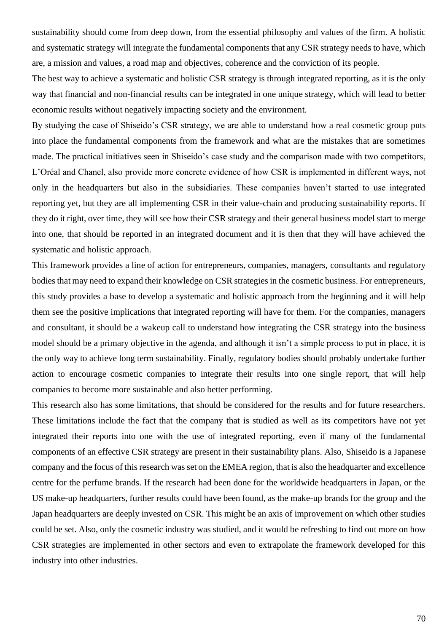sustainability should come from deep down, from the essential philosophy and values of the firm. A holistic and systematic strategy will integrate the fundamental components that any CSR strategy needs to have, which are, a mission and values, a road map and objectives, coherence and the conviction of its people.

The best way to achieve a systematic and holistic CSR strategy is through integrated reporting, as it is the only way that financial and non-financial results can be integrated in one unique strategy, which will lead to better economic results without negatively impacting society and the environment.

By studying the case of Shiseido's CSR strategy, we are able to understand how a real cosmetic group puts into place the fundamental components from the framework and what are the mistakes that are sometimes made. The practical initiatives seen in Shiseido's case study and the comparison made with two competitors, L'Oréal and Chanel, also provide more concrete evidence of how CSR is implemented in different ways, not only in the headquarters but also in the subsidiaries. These companies haven't started to use integrated reporting yet, but they are all implementing CSR in their value-chain and producing sustainability reports. If they do it right, over time, they will see how their CSR strategy and their general business model start to merge into one, that should be reported in an integrated document and it is then that they will have achieved the systematic and holistic approach.

This framework provides a line of action for entrepreneurs, companies, managers, consultants and regulatory bodies that may need to expand their knowledge on CSR strategies in the cosmetic business. For entrepreneurs, this study provides a base to develop a systematic and holistic approach from the beginning and it will help them see the positive implications that integrated reporting will have for them. For the companies, managers and consultant, it should be a wakeup call to understand how integrating the CSR strategy into the business model should be a primary objective in the agenda, and although it isn't a simple process to put in place, it is the only way to achieve long term sustainability. Finally, regulatory bodies should probably undertake further action to encourage cosmetic companies to integrate their results into one single report, that will help companies to become more sustainable and also better performing.

This research also has some limitations, that should be considered for the results and for future researchers. These limitations include the fact that the company that is studied as well as its competitors have not yet integrated their reports into one with the use of integrated reporting, even if many of the fundamental components of an effective CSR strategy are present in their sustainability plans. Also, Shiseido is a Japanese company and the focus of this research was set on the EMEA region, that is also the headquarter and excellence centre for the perfume brands. If the research had been done for the worldwide headquarters in Japan, or the US make-up headquarters, further results could have been found, as the make-up brands for the group and the Japan headquarters are deeply invested on CSR. This might be an axis of improvement on which other studies could be set. Also, only the cosmetic industry was studied, and it would be refreshing to find out more on how CSR strategies are implemented in other sectors and even to extrapolate the framework developed for this industry into other industries.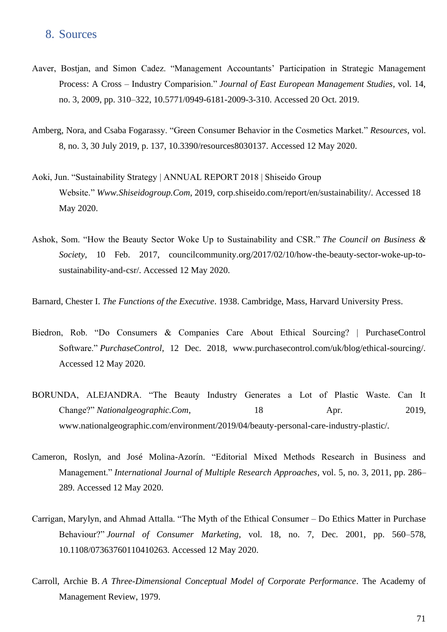# 8. Sources

- Aaver, Bostjan, and Simon Cadez. "Management Accountants' Participation in Strategic Management Process: A Cross – Industry Comparision." *Journal of East European Management Studies*, vol. 14, no. 3, 2009, pp. 310–322, 10.5771/0949-6181-2009-3-310. Accessed 20 Oct. 2019.
- Amberg, Nora, and Csaba Fogarassy. "Green Consumer Behavior in the Cosmetics Market." *Resources*, vol. 8, no. 3, 30 July 2019, p. 137, 10.3390/resources8030137. Accessed 12 May 2020.
- Aoki, Jun. "Sustainability Strategy | ANNUAL REPORT 2018 | Shiseido Group Website." *Www.Shiseidogroup.Com*, 2019, corp.shiseido.com/report/en/sustainability/. Accessed 18 May 2020.
- Ashok, Som. "How the Beauty Sector Woke Up to Sustainability and CSR." *The Council on Business & Society*, 10 Feb. 2017, councilcommunity.org/2017/02/10/how-the-beauty-sector-woke-up-tosustainability-and-csr/. Accessed 12 May 2020.
- Barnard, Chester I. *The Functions of the Executive*. 1938. Cambridge, Mass, Harvard University Press.
- Biedron, Rob. "Do Consumers & Companies Care About Ethical Sourcing? | PurchaseControl Software." *PurchaseControl*, 12 Dec. 2018, www.purchasecontrol.com/uk/blog/ethical-sourcing/. Accessed 12 May 2020.
- BORUNDA, ALEJANDRA. "The Beauty Industry Generates a Lot of Plastic Waste. Can It Change?" *Nationalgeographic.Com*, 18 Apr. 2019, www.nationalgeographic.com/environment/2019/04/beauty-personal-care-industry-plastic/.
- Cameron, Roslyn, and José Molina-Azorín. "Editorial Mixed Methods Research in Business and Management." *International Journal of Multiple Research Approaches*, vol. 5, no. 3, 2011, pp. 286– 289. Accessed 12 May 2020.
- Carrigan, Marylyn, and Ahmad Attalla. "The Myth of the Ethical Consumer Do Ethics Matter in Purchase Behaviour?" *Journal of Consumer Marketing*, vol. 18, no. 7, Dec. 2001, pp. 560–578, 10.1108/07363760110410263. Accessed 12 May 2020.
- Carroll, Archie B. *A Three-Dimensional Conceptual Model of Corporate Performance*. The Academy of Management Review, 1979.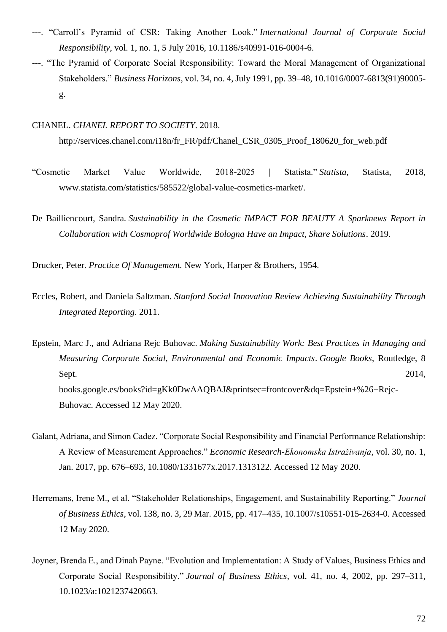- ---. "Carroll's Pyramid of CSR: Taking Another Look." *International Journal of Corporate Social Responsibility*, vol. 1, no. 1, 5 July 2016, 10.1186/s40991-016-0004-6.
- ---. "The Pyramid of Corporate Social Responsibility: Toward the Moral Management of Organizational Stakeholders." *Business Horizons*, vol. 34, no. 4, July 1991, pp. 39–48, 10.1016/0007-6813(91)90005 g.

## CHANEL. *CHANEL REPORT TO SOCIETY*. 2018.

http://services.chanel.com/i18n/fr\_FR/pdf/Chanel\_CSR\_0305\_Proof\_180620\_for\_web.pdf

- "Cosmetic Market Value Worldwide, 2018-2025 | Statista." *Statista*, Statista, 2018, www.statista.com/statistics/585522/global-value-cosmetics-market/.
- De Bailliencourt, Sandra. *Sustainability in the Cosmetic IMPACT FOR BEAUTY A Sparknews Report in Collaboration with Cosmoprof Worldwide Bologna Have an Impact, Share Solutions*. 2019.

Drucker, Peter. *Practice Of Management.* New York, Harper & Brothers, 1954.

Eccles, Robert, and Daniela Saltzman. *Stanford Social Innovation Review Achieving Sustainability Through Integrated Reporting*. 2011.

Epstein, Marc J., and Adriana Rejc Buhovac. *Making Sustainability Work: Best Practices in Managing and Measuring Corporate Social, Environmental and Economic Impacts*. *Google Books*, Routledge, 8 Sept.  $2014$ , books.google.es/books?id=gKk0DwAAQBAJ&printsec=frontcover&dq=Epstein+%26+Rejc-Buhovac. Accessed 12 May 2020.

- Galant, Adriana, and Simon Cadez. "Corporate Social Responsibility and Financial Performance Relationship: A Review of Measurement Approaches." *Economic Research-Ekonomska Istraživanja*, vol. 30, no. 1, Jan. 2017, pp. 676–693, 10.1080/1331677x.2017.1313122. Accessed 12 May 2020.
- Herremans, Irene M., et al. "Stakeholder Relationships, Engagement, and Sustainability Reporting." *Journal of Business Ethics*, vol. 138, no. 3, 29 Mar. 2015, pp. 417–435, 10.1007/s10551-015-2634-0. Accessed 12 May 2020.
- Joyner, Brenda E., and Dinah Payne. "Evolution and Implementation: A Study of Values, Business Ethics and Corporate Social Responsibility." *Journal of Business Ethics*, vol. 41, no. 4, 2002, pp. 297–311, 10.1023/a:1021237420663.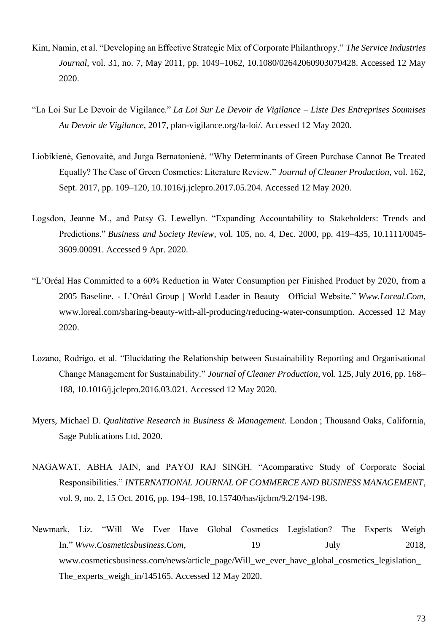- Kim, Namin, et al. "Developing an Effective Strategic Mix of Corporate Philanthropy." *The Service Industries Journal*, vol. 31, no. 7, May 2011, pp. 1049–1062, 10.1080/02642060903079428. Accessed 12 May 2020.
- "La Loi Sur Le Devoir de Vigilance." *La Loi Sur Le Devoir de Vigilance – Liste Des Entreprises Soumises Au Devoir de Vigilance*, 2017, plan-vigilance.org/la-loi/. Accessed 12 May 2020.
- Liobikienė, Genovaitė, and Jurga Bernatonienė. "Why Determinants of Green Purchase Cannot Be Treated Equally? The Case of Green Cosmetics: Literature Review." *Journal of Cleaner Production*, vol. 162, Sept. 2017, pp. 109–120, 10.1016/j.jclepro.2017.05.204. Accessed 12 May 2020.
- Logsdon, Jeanne M., and Patsy G. Lewellyn. "Expanding Accountability to Stakeholders: Trends and Predictions." *Business and Society Review*, vol. 105, no. 4, Dec. 2000, pp. 419–435, 10.1111/0045- 3609.00091. Accessed 9 Apr. 2020.
- "L'Oréal Has Committed to a 60% Reduction in Water Consumption per Finished Product by 2020, from a 2005 Baseline. - L'Oréal Group | World Leader in Beauty | Official Website." *Www.Loreal.Com*, www.loreal.com/sharing-beauty-with-all-producing/reducing-water-consumption. Accessed 12 May 2020.
- Lozano, Rodrigo, et al. "Elucidating the Relationship between Sustainability Reporting and Organisational Change Management for Sustainability." *Journal of Cleaner Production*, vol. 125, July 2016, pp. 168– 188, 10.1016/j.jclepro.2016.03.021. Accessed 12 May 2020.
- Myers, Michael D. *Qualitative Research in Business & Management*. London ; Thousand Oaks, California, Sage Publications Ltd, 2020.
- NAGAWAT, ABHA JAIN, and PAYOJ RAJ SINGH. "Acomparative Study of Corporate Social Responsibilities." *INTERNATIONAL JOURNAL OF COMMERCE AND BUSINESS MANAGEMENT*, vol. 9, no. 2, 15 Oct. 2016, pp. 194–198, 10.15740/has/ijcbm/9.2/194-198.
- Newmark, Liz. "Will We Ever Have Global Cosmetics Legislation? The Experts Weigh In." *Www.Cosmeticsbusiness.Com*, 19 July 2018, www.cosmeticsbusiness.com/news/article\_page/Will\_we\_ever\_have\_global\_cosmetics\_legislation The\_experts\_weigh\_in/145165. Accessed 12 May 2020.